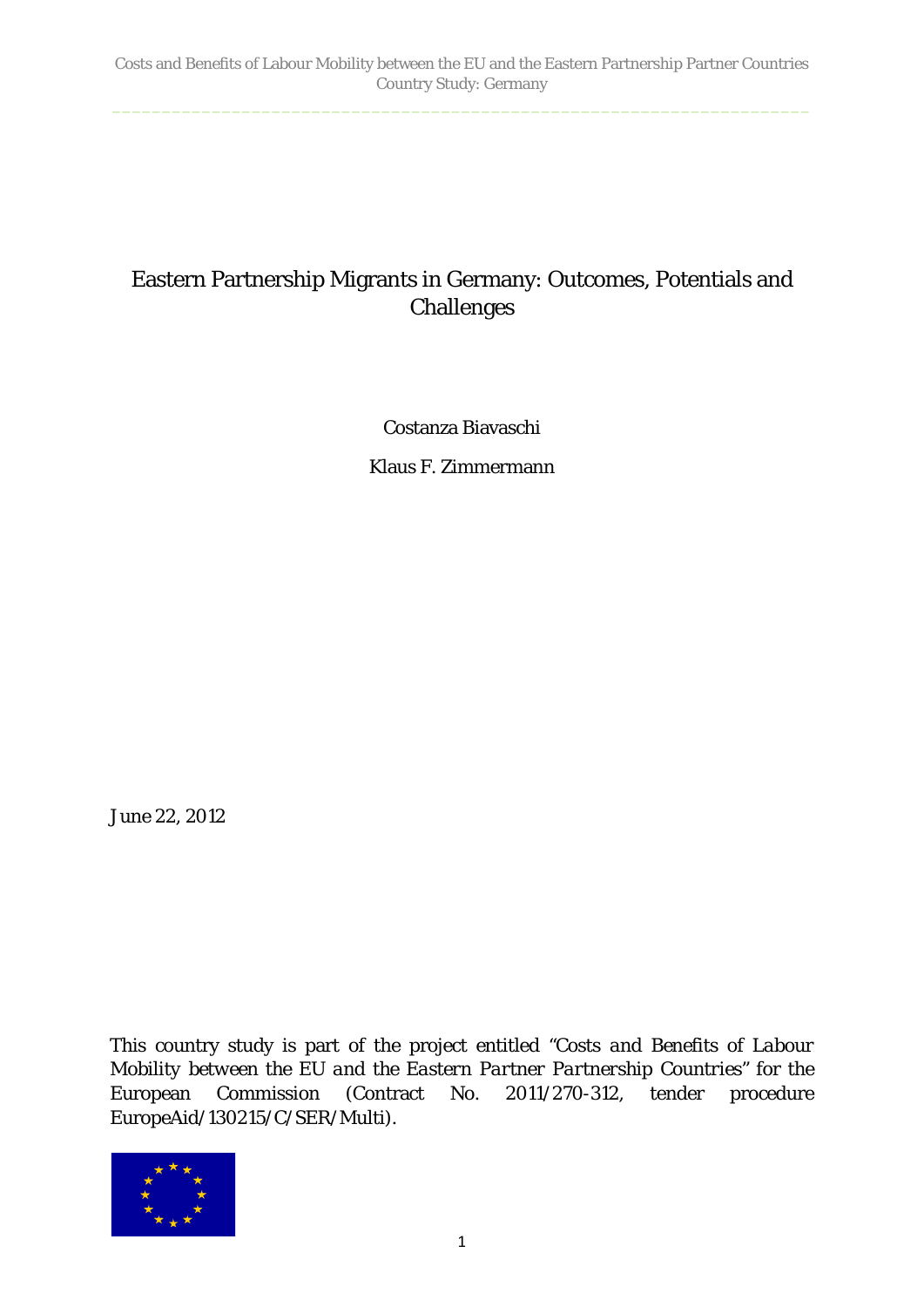# Eastern Partnership Migrants in Germany: Outcomes, Potentials and Challenges

Costanza Biavaschi

Klaus F. Zimmermann

June 22, 2012

This country study is part of the project entitled *"Costs and Benefits of Labour Mobility between the EU and the Eastern Partner Partnership Countries"* for the European Commission (Contract No. 2011/270-312, tender procedure EuropeAid/130215/C/SER/Multi).

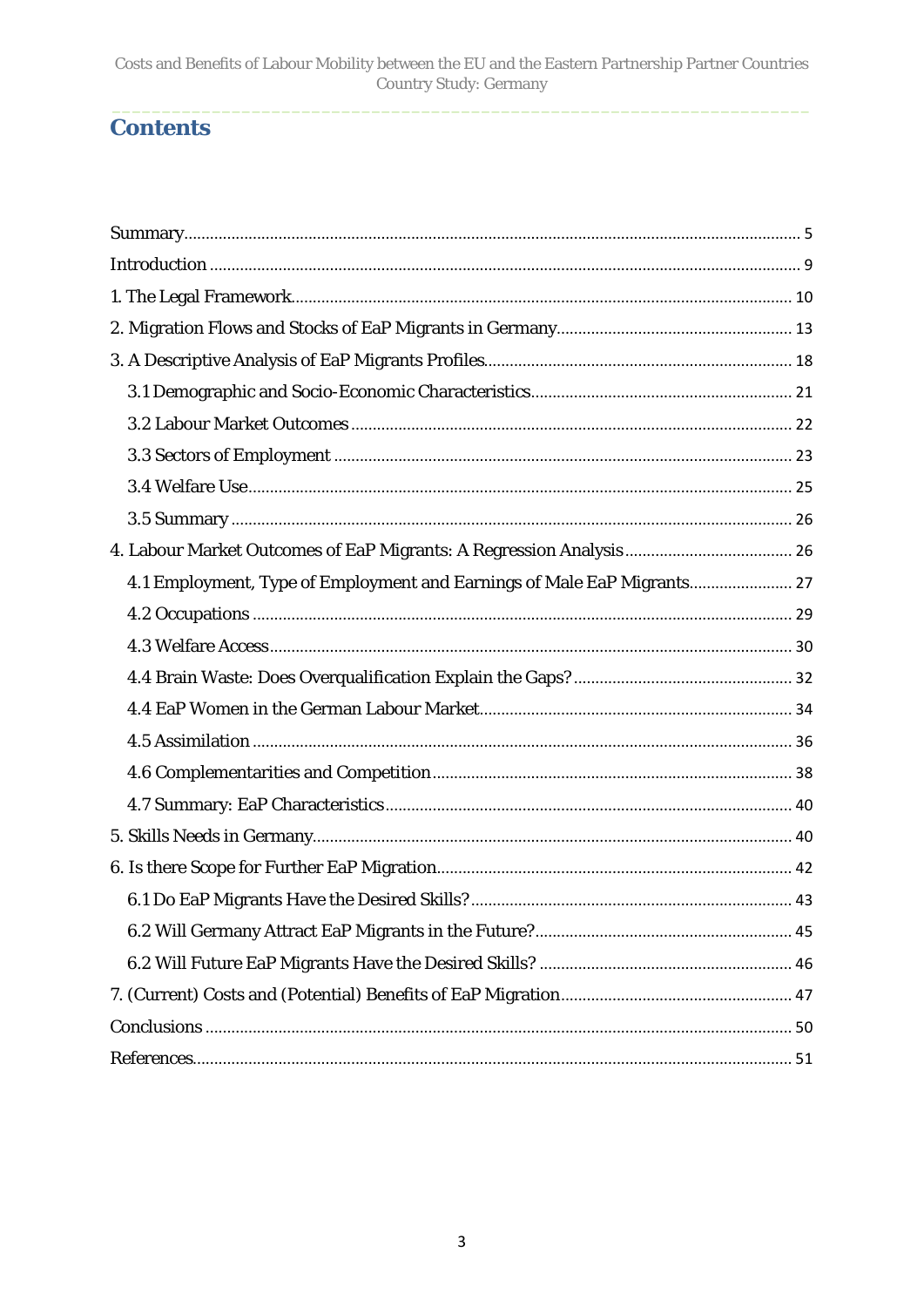# **Contents**

| 4.1 Employment, Type of Employment and Earnings of Male EaP Migrants 27 |  |
|-------------------------------------------------------------------------|--|
|                                                                         |  |
|                                                                         |  |
|                                                                         |  |
|                                                                         |  |
|                                                                         |  |
|                                                                         |  |
|                                                                         |  |
|                                                                         |  |
|                                                                         |  |
|                                                                         |  |
|                                                                         |  |
|                                                                         |  |
|                                                                         |  |
|                                                                         |  |
|                                                                         |  |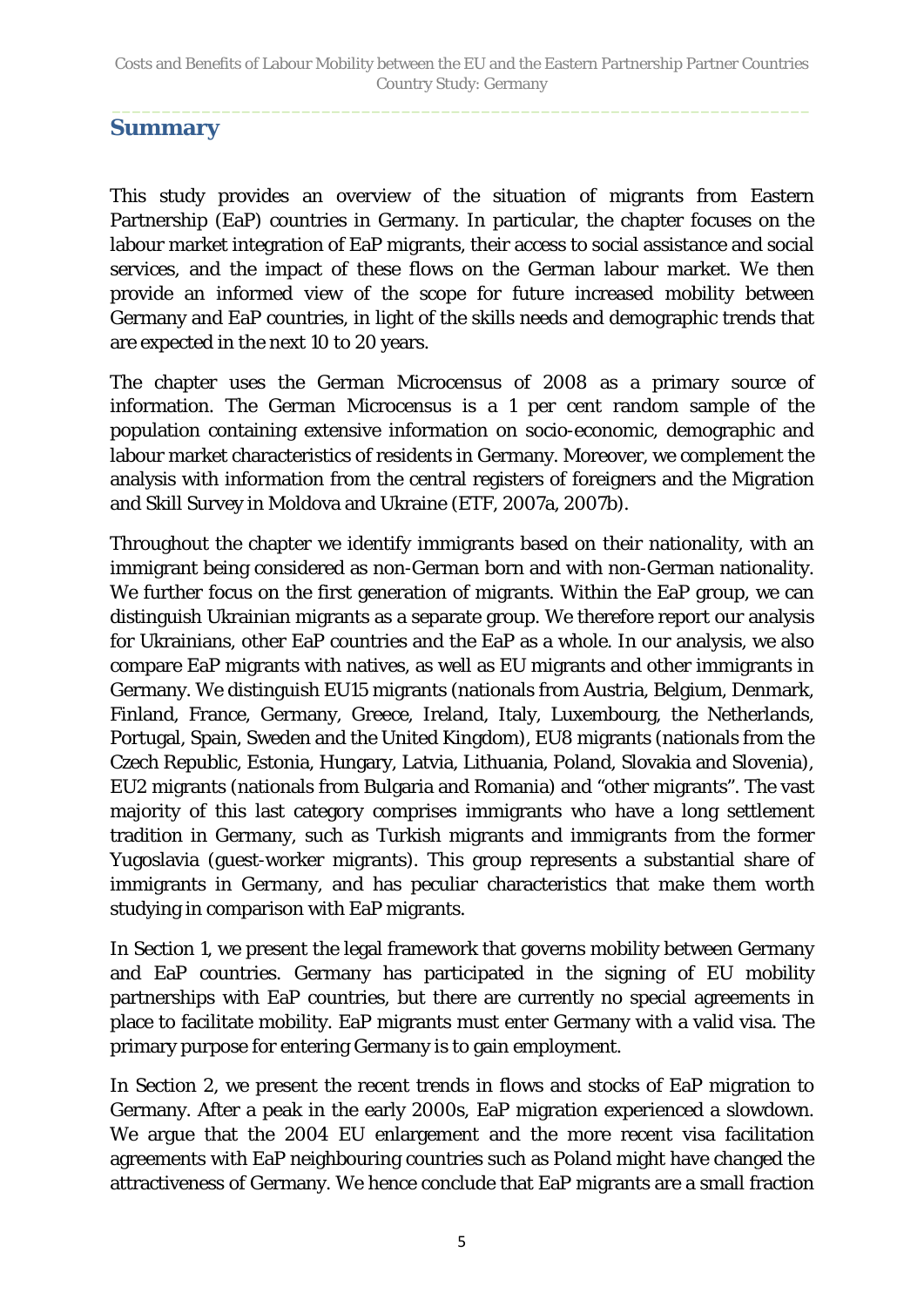#### <span id="page-4-0"></span>**Summary**

This study provides an overview of the situation of migrants from Eastern Partnership (EaP) countries in Germany. In particular, the chapter focuses on the labour market integration of EaP migrants, their access to social assistance and social services, and the impact of these flows on the German labour market. We then provide an informed view of the scope for future increased mobility between Germany and EaP countries, in light of the skills needs and demographic trends that are expected in the next 10 to 20 years.

The chapter uses the German Microcensus of 2008 as a primary source of information. The German Microcensus is a 1 per cent random sample of the population containing extensive information on socio-economic, demographic and labour market characteristics of residents in Germany. Moreover, we complement the analysis with information from the central registers of foreigners and the Migration and Skill Survey in Moldova and Ukraine (ETF, 2007a, 2007b).

Throughout the chapter we identify immigrants based on their nationality, with an immigrant being considered as non-German born and with non-German nationality. We further focus on the first generation of migrants. Within the EaP group, we can distinguish Ukrainian migrants as a separate group. We therefore report our analysis for Ukrainians, other EaP countries and the EaP as a whole. In our analysis, we also compare EaP migrants with natives, as well as EU migrants and other immigrants in Germany. We distinguish EU15 migrants (nationals from Austria, Belgium, Denmark, Finland, France, Germany, Greece, Ireland, Italy, Luxembourg, the Netherlands, Portugal, Spain, Sweden and the United Kingdom), EU8 migrants (nationals from the Czech Republic, Estonia, Hungary, Latvia, Lithuania, Poland, Slovakia and Slovenia), EU2 migrants (nationals from Bulgaria and Romania) and "other migrants". The vast majority of this last category comprises immigrants who have a long settlement tradition in Germany, such as Turkish migrants and immigrants from the former Yugoslavia (guest-worker migrants). This group represents a substantial share of immigrants in Germany, and has peculiar characteristics that make them worth studying in comparison with EaP migrants.

In Section 1, we present the legal framework that governs mobility between Germany and EaP countries. Germany has participated in the signing of EU mobility partnerships with EaP countries, but there are currently no special agreements in place to facilitate mobility. EaP migrants must enter Germany with a valid visa. The primary purpose for entering Germany is to gain employment.

In Section 2, we present the recent trends in flows and stocks of EaP migration to Germany. After a peak in the early 2000s, EaP migration experienced a slowdown. We argue that the 2004 EU enlargement and the more recent visa facilitation agreements with EaP neighbouring countries such as Poland might have changed the attractiveness of Germany. We hence conclude that EaP migrants are a small fraction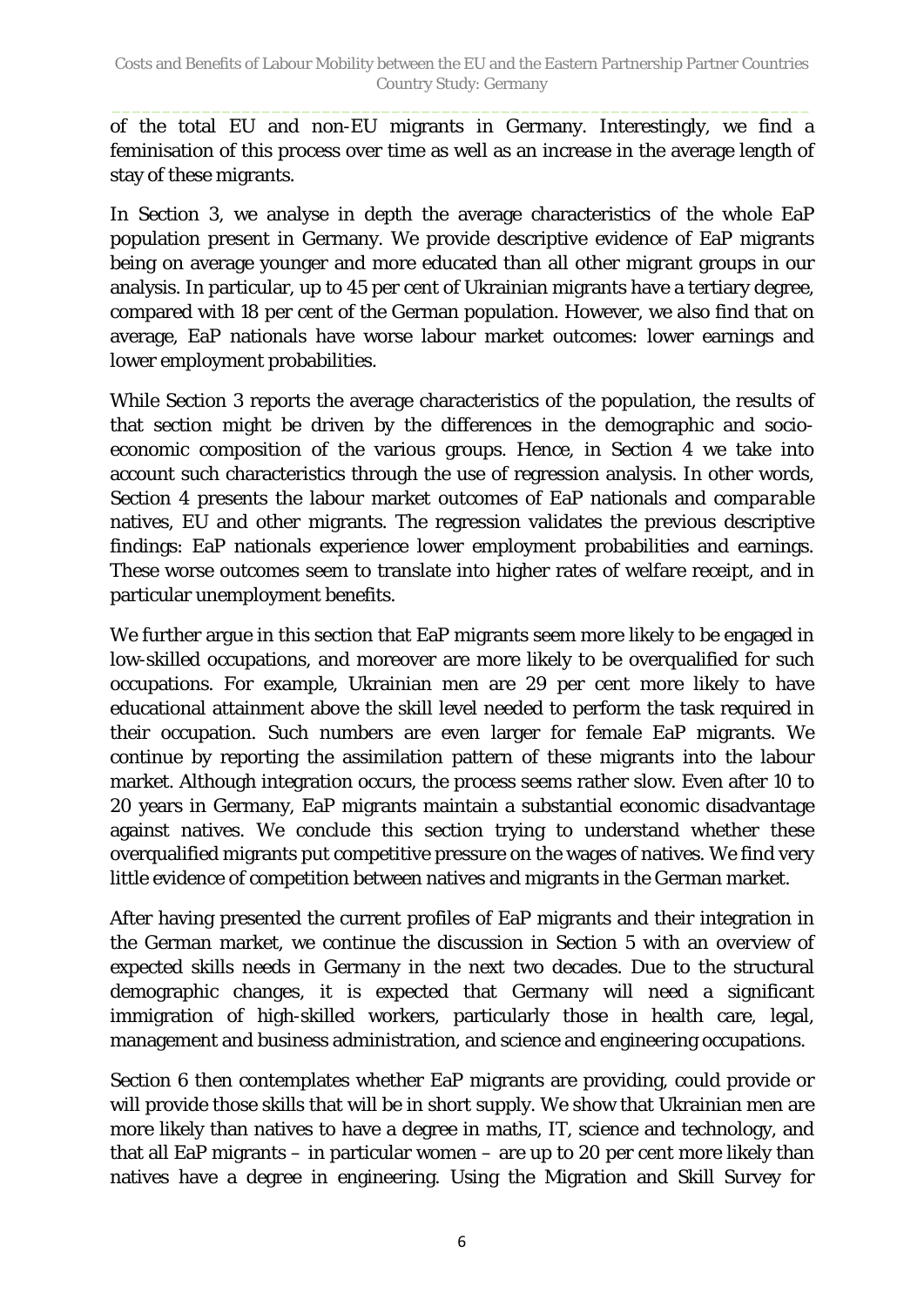of the total EU and non-EU migrants in Germany. Interestingly, we find a feminisation of this process over time as well as an increase in the average length of stay of these migrants.

In Section 3, we analyse in depth the average characteristics of the whole EaP population present in Germany. We provide descriptive evidence of EaP migrants being on average younger and more educated than all other migrant groups in our analysis. In particular, up to 45 per cent of Ukrainian migrants have a tertiary degree, compared with 18 per cent of the German population. However, we also find that on average, EaP nationals have worse labour market outcomes: lower earnings and lower employment probabilities.

While Section 3 reports the average characteristics of the population, the results of that section might be driven by the differences in the demographic and socioeconomic composition of the various groups. Hence, in Section 4 we take into account such characteristics through the use of regression analysis. In other words, Section 4 presents the labour market outcomes of EaP nationals and *comparable* natives, EU and other migrants. The regression validates the previous descriptive findings: EaP nationals experience lower employment probabilities and earnings. These worse outcomes seem to translate into higher rates of welfare receipt, and in particular unemployment benefits.

We further argue in this section that EaP migrants seem more likely to be engaged in low-skilled occupations, and moreover are more likely to be overqualified for such occupations. For example, Ukrainian men are 29 per cent more likely to have educational attainment above the skill level needed to perform the task required in their occupation. Such numbers are even larger for female EaP migrants. We continue by reporting the assimilation pattern of these migrants into the labour market. Although integration occurs, the process seems rather slow. Even after 10 to 20 years in Germany, EaP migrants maintain a substantial economic disadvantage against natives. We conclude this section trying to understand whether these overqualified migrants put competitive pressure on the wages of natives. We find very little evidence of competition between natives and migrants in the German market.

After having presented the current profiles of EaP migrants and their integration in the German market, we continue the discussion in Section 5 with an overview of expected skills needs in Germany in the next two decades. Due to the structural demographic changes, it is expected that Germany will need a significant immigration of high-skilled workers, particularly those in health care, legal, management and business administration, and science and engineering occupations.

Section 6 then contemplates whether EaP migrants are providing, could provide or will provide those skills that will be in short supply. We show that Ukrainian men are more likely than natives to have a degree in maths, IT, science and technology, and that all EaP migrants – in particular women – are up to 20 per cent more likely than natives have a degree in engineering. Using the Migration and Skill Survey for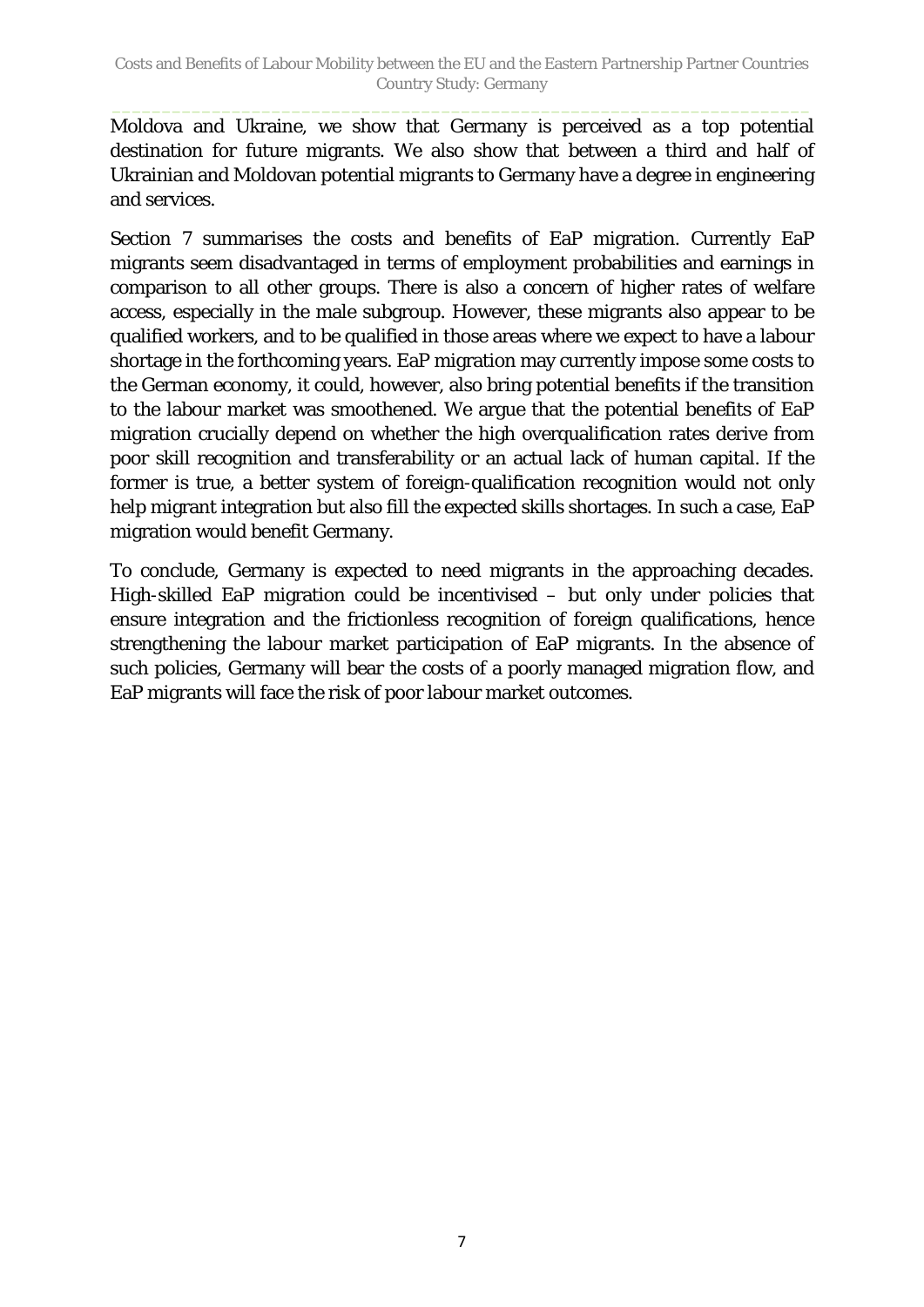Moldova and Ukraine, we show that Germany is perceived as a top potential destination for future migrants. We also show that between a third and half of Ukrainian and Moldovan potential migrants to Germany have a degree in engineering and services.

Section 7 summarises the costs and benefits of EaP migration. Currently EaP migrants seem disadvantaged in terms of employment probabilities and earnings in comparison to all other groups. There is also a concern of higher rates of welfare access, especially in the male subgroup. However, these migrants also appear to be qualified workers, and to be qualified in those areas where we expect to have a labour shortage in the forthcoming years. EaP migration may currently impose some costs to the German economy, it could, however, also bring potential benefits if the transition to the labour market was smoothened. We argue that the potential benefits of EaP migration crucially depend on whether the high overqualification rates derive from poor skill recognition and transferability or an actual lack of human capital. If the former is true, a better system of foreign-qualification recognition would not only help migrant integration but also fill the expected skills shortages. In such a case, EaP migration would benefit Germany.

To conclude, Germany is expected to need migrants in the approaching decades. High-skilled EaP migration could be incentivised – but only under policies that ensure integration and the frictionless recognition of foreign qualifications, hence strengthening the labour market participation of EaP migrants. In the absence of such policies, Germany will bear the costs of a poorly managed migration flow, and EaP migrants will face the risk of poor labour market outcomes.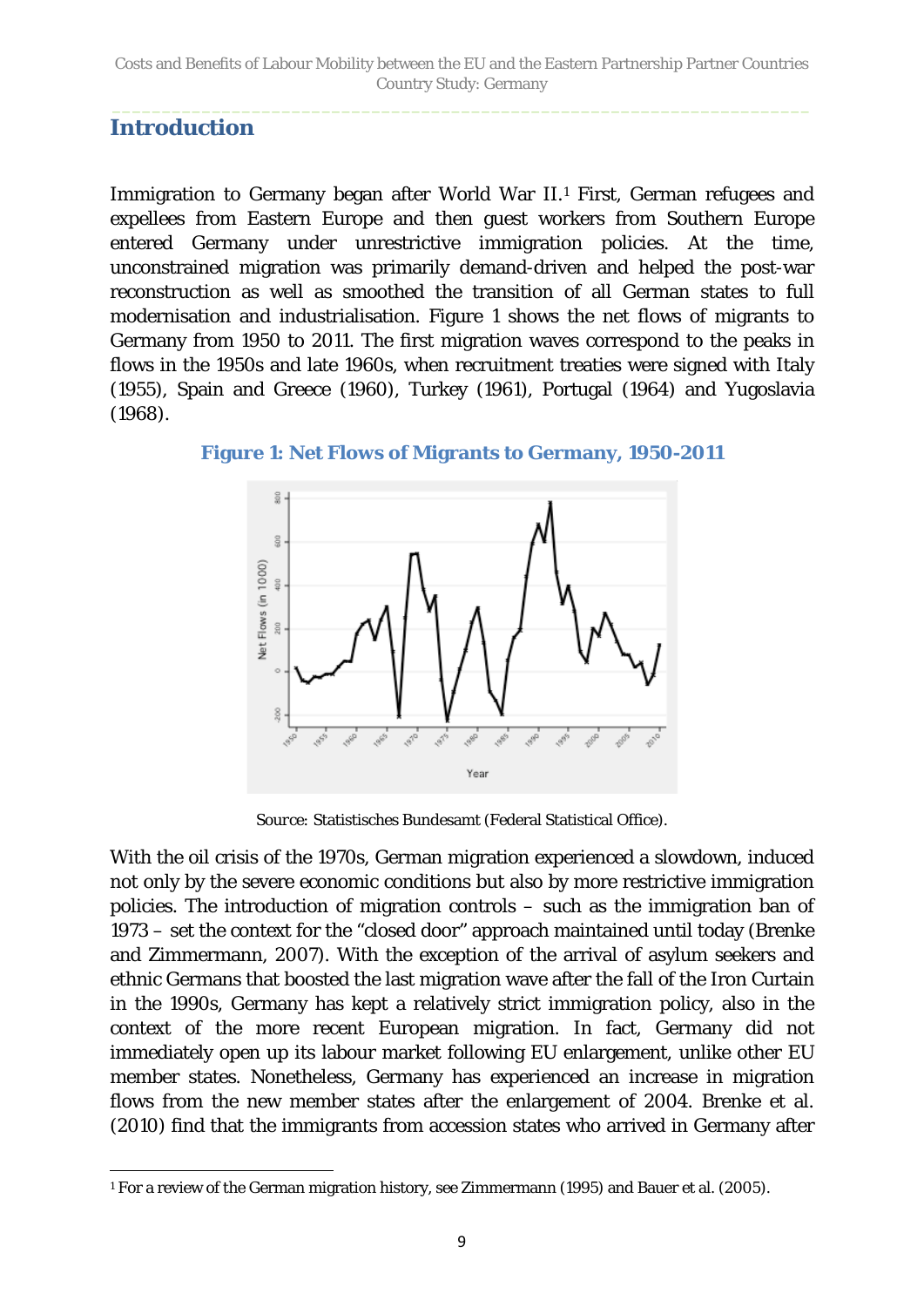#### <span id="page-8-0"></span>**Introduction**

Immigration to Germany began after World War II.<sup>[1](#page-8-2)</sup> First, German refugees and expellees from Eastern Europe and then guest workers from Southern Europe entered Germany under unrestrictive immigration policies. At the time, unconstrained migration was primarily demand-driven and helped the post-war reconstruction as well as smoothed the transition of all German states to full modernisation and industrialisation. [Figure 1](#page-8-1) shows the net flows of migrants to Germany from 1950 to 2011. The first migration waves correspond to the peaks in flows in the 1950s and late 1960s, when recruitment treaties were signed with Italy (1955), Spain and Greece (1960), Turkey (1961), Portugal (1964) and Yugoslavia (1968).



<span id="page-8-1"></span>**Figure 1: Net Flows of Migrants to Germany, 1950-2011**

*Source:* Statistisches Bundesamt (Federal Statistical Office).

With the oil crisis of the 1970s, German migration experienced a slowdown, induced not only by the severe economic conditions but also by more restrictive immigration policies. The introduction of migration controls – such as the immigration ban of 1973 – set the context for the "closed door" approach maintained until today (Brenke and Zimmermann, 2007). With the exception of the arrival of asylum seekers and ethnic Germans that boosted the last migration wave after the fall of the Iron Curtain in the 1990s, Germany has kept a relatively strict immigration policy, also in the context of the more recent European migration. In fact, Germany did not immediately open up its labour market following EU enlargement, unlike other EU member states. Nonetheless, Germany has experienced an increase in migration flows from the new member states after the enlargement of 2004. Brenke et al. (2010) find that the immigrants from accession states who arrived in Germany after

<span id="page-8-2"></span> $\overline{a}$ <sup>1</sup> For a review of the German migration history, see Zimmermann (1995) and Bauer et al. (2005).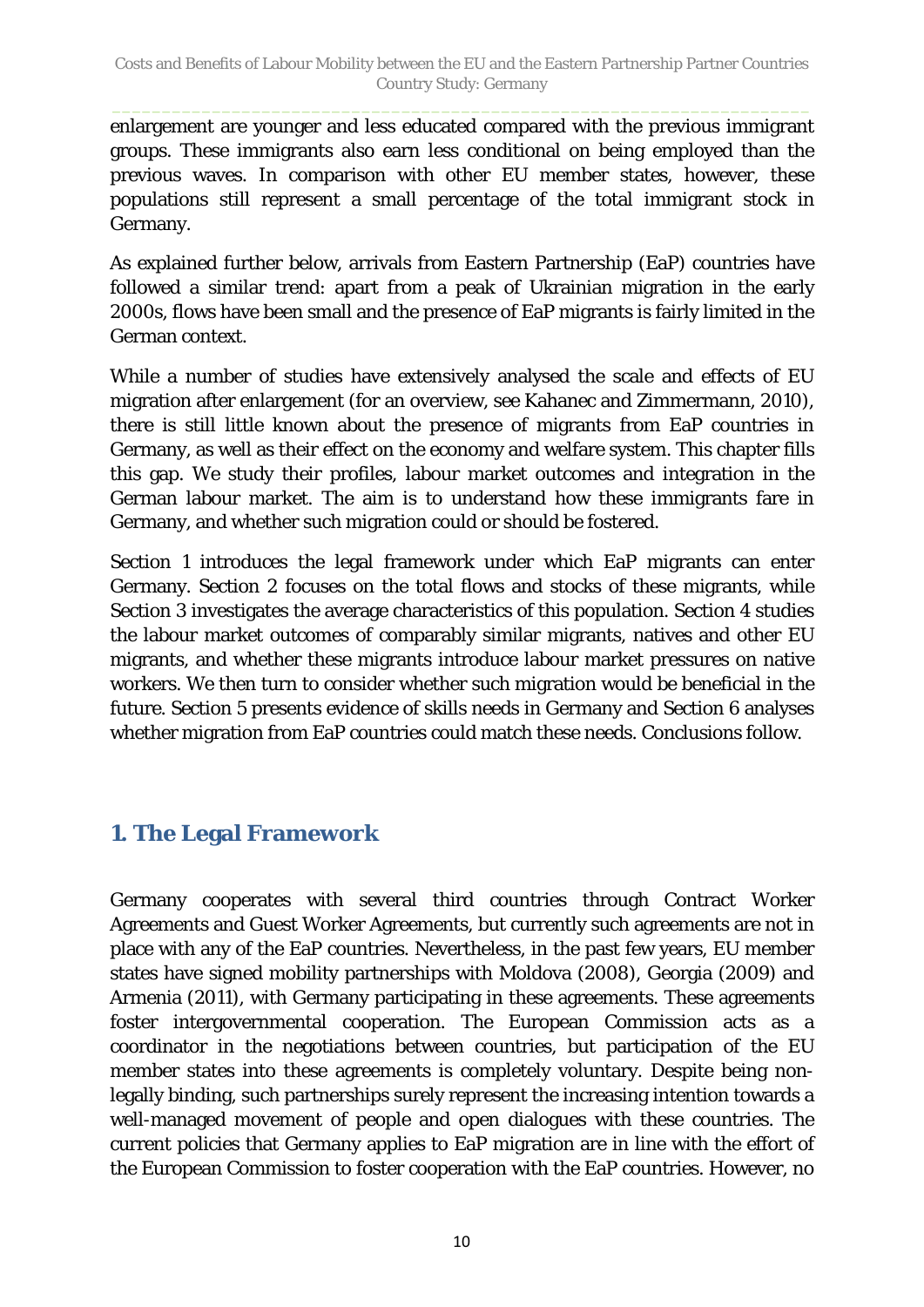enlargement are younger and less educated compared with the previous immigrant groups. These immigrants also earn less conditional on being employed than the previous waves. In comparison with other EU member states, however, these populations still represent a small percentage of the total immigrant stock in Germany.

As explained further below, arrivals from Eastern Partnership (EaP) countries have followed a similar trend: apart from a peak of Ukrainian migration in the early 2000s, flows have been small and the presence of EaP migrants is fairly limited in the German context.

While a number of studies have extensively analysed the scale and effects of EU migration after enlargement (for an overview, see Kahanec and Zimmermann, 2010), there is still little known about the presence of migrants from EaP countries in Germany, as well as their effect on the economy and welfare system. This chapter fills this gap. We study their profiles, labour market outcomes and integration in the German labour market. The aim is to understand how these immigrants fare in Germany, and whether such migration could or should be fostered.

Section 1 introduces the legal framework under which EaP migrants can enter Germany. Section 2 focuses on the total flows and stocks of these migrants, while Section 3 investigates the average characteristics of this population. Section 4 studies the labour market outcomes of comparably similar migrants, natives and other EU migrants, and whether these migrants introduce labour market pressures on native workers. We then turn to consider whether such migration would be beneficial in the future. Section 5 presents evidence of skills needs in Germany and Section 6 analyses whether migration from EaP countries could match these needs. Conclusions follow.

## <span id="page-9-0"></span>**1. The Legal Framework**

Germany cooperates with several third countries through Contract Worker Agreements and Guest Worker Agreements, but currently such agreements are not in place with any of the EaP countries. Nevertheless, in the past few years, EU member states have signed mobility partnerships with Moldova (2008), Georgia (2009) and Armenia (2011), with Germany participating in these agreements. These agreements foster intergovernmental cooperation. The European Commission acts as a coordinator in the negotiations between countries, but participation of the EU member states into these agreements is completely voluntary. Despite being nonlegally binding, such partnerships surely represent the increasing intention towards a well-managed movement of people and open dialogues with these countries. The current policies that Germany applies to EaP migration are in line with the effort of the European Commission to foster cooperation with the EaP countries. However, no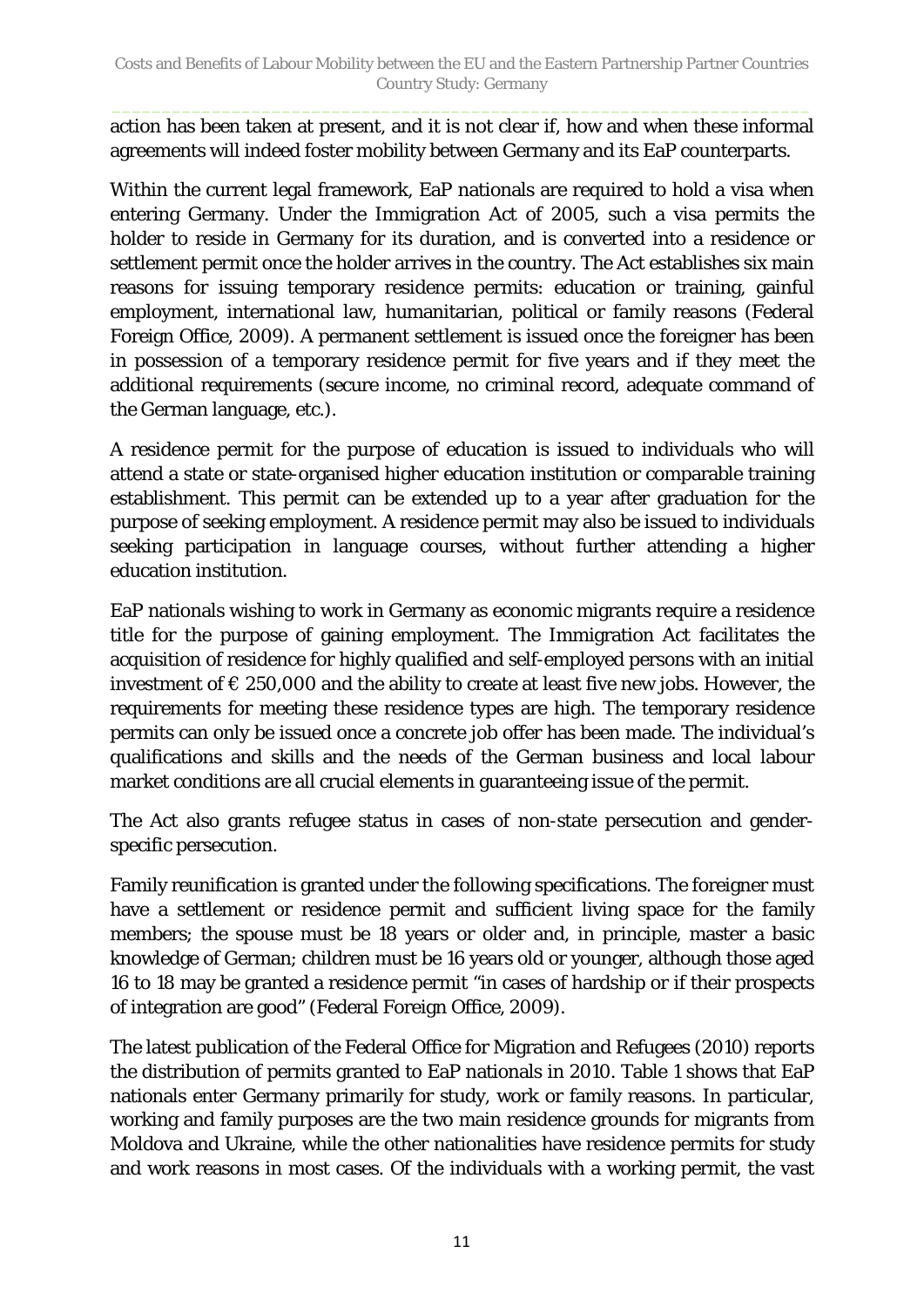action has been taken at present, and it is not clear if, how and when these informal agreements will indeed foster mobility between Germany and its EaP counterparts.

Within the current legal framework, EaP nationals are required to hold a visa when entering Germany. Under the Immigration Act of 2005, such a visa permits the holder to reside in Germany for its duration, and is converted into a residence or settlement permit once the holder arrives in the country. The Act establishes six main reasons for issuing temporary residence permits: education or training, gainful employment, international law, humanitarian, political or family reasons (Federal Foreign Office, 2009). A permanent settlement is issued once the foreigner has been in possession of a temporary residence permit for five years and if they meet the additional requirements (secure income, no criminal record, adequate command of the German language, etc.).

A residence permit for the purpose of education is issued to individuals who will attend a state or state-organised higher education institution or comparable training establishment. This permit can be extended up to a year after graduation for the purpose of seeking employment. A residence permit may also be issued to individuals seeking participation in language courses, without further attending a higher education institution.

EaP nationals wishing to work in Germany as economic migrants require a residence title for the purpose of gaining employment. The Immigration Act facilitates the acquisition of residence for highly qualified and self-employed persons with an initial investment of  $\epsilon$  250,000 and the ability to create at least five new jobs. However, the requirements for meeting these residence types are high. The temporary residence permits can only be issued once a concrete job offer has been made. The individual's qualifications and skills and the needs of the German business and local labour market conditions are all crucial elements in guaranteeing issue of the permit.

The Act also grants refugee status in cases of non-state persecution and genderspecific persecution.

Family reunification is granted under the following specifications. The foreigner must have a settlement or residence permit and sufficient living space for the family members; the spouse must be 18 years or older and, in principle, master a basic knowledge of German; children must be 16 years old or younger, although those aged 16 to 18 may be granted a residence permit "in cases of hardship or if their prospects of integration are good" (Federal Foreign Office, 2009).

The latest publication of the Federal Office for Migration and Refugees (2010) reports the distribution of permits granted to EaP nationals in 2010. [Table 1](#page-11-0) shows that EaP nationals enter Germany primarily for study, work or family reasons. In particular, working and family purposes are the two main residence grounds for migrants from Moldova and Ukraine, while the other nationalities have residence permits for study and work reasons in most cases. Of the individuals with a working permit, the vast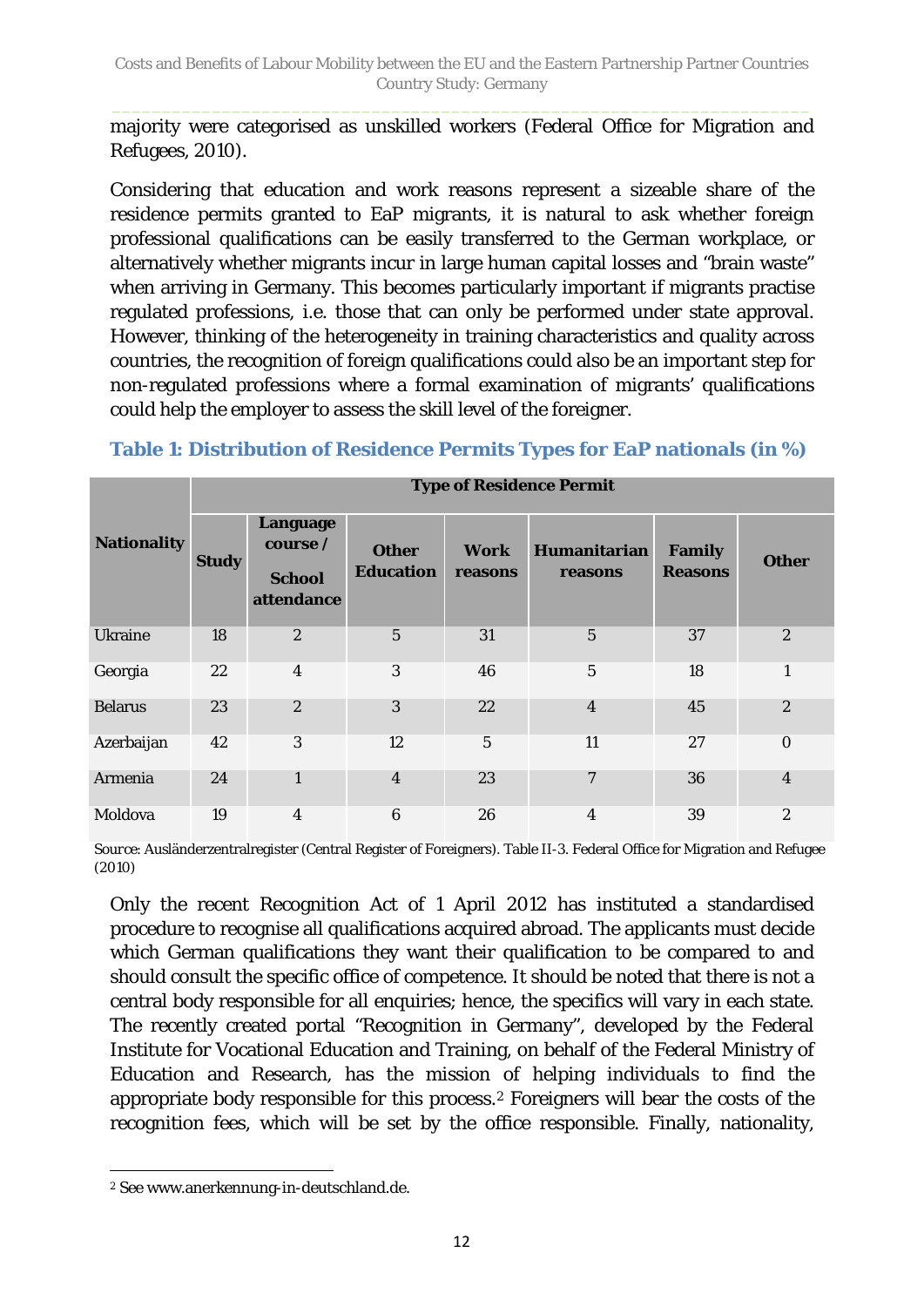majority were categorised as unskilled workers (Federal Office for Migration and Refugees, 2010).

Considering that education and work reasons represent a sizeable share of the residence permits granted to EaP migrants, it is natural to ask whether foreign professional qualifications can be easily transferred to the German workplace, or alternatively whether migrants incur in large human capital losses and "brain waste" when arriving in Germany. This becomes particularly important if migrants practise regulated professions, i.e. those that can only be performed under state approval. However, thinking of the heterogeneity in training characteristics and quality across countries, the recognition of foreign qualifications could also be an important step for non-regulated professions where a formal examination of migrants' qualifications could help the employer to assess the skill level of the foreigner.

|                    |              | <b>Type of Residence Permit</b>                     |                                  |                        |                         |                                 |                  |  |  |  |  |  |  |
|--------------------|--------------|-----------------------------------------------------|----------------------------------|------------------------|-------------------------|---------------------------------|------------------|--|--|--|--|--|--|
| <b>Nationality</b> | <b>Study</b> | Language<br>course /<br><b>School</b><br>attendance | <b>Other</b><br><b>Education</b> | <b>Work</b><br>reasons | Humanitarian<br>reasons | <b>Family</b><br><b>Reasons</b> | <b>Other</b>     |  |  |  |  |  |  |
| <b>Ukraine</b>     | 18           | $\boldsymbol{2}$                                    | $\overline{5}$                   | 31                     | $\overline{5}$          | 37                              | $\boldsymbol{2}$ |  |  |  |  |  |  |
| Georgia            | 22           | $\overline{4}$                                      | 3                                | 46                     | $\overline{5}$          | 18                              | $\mathbf{1}$     |  |  |  |  |  |  |
| <b>Belarus</b>     | 23           | $\boldsymbol{2}$                                    | 3                                | 22                     | $\overline{\mathbf{4}}$ | 45                              | $\boldsymbol{2}$ |  |  |  |  |  |  |
| Azerbaijan         | 42           | 3                                                   | 12                               | 5                      | 11                      | 27                              | $\mathbf{0}$     |  |  |  |  |  |  |
| Armenia            | 24           | $\mathbf{1}$                                        | $\overline{4}$                   | 23                     | $\overline{7}$          | 36                              | $\overline{4}$   |  |  |  |  |  |  |
| Moldova            | 19           | $\overline{4}$                                      | $\boldsymbol{6}$                 | 26                     | 4                       | 39                              | $\overline{2}$   |  |  |  |  |  |  |

### <span id="page-11-0"></span>**Table 1: Distribution of Residence Permits Types for EaP nationals (in %)**

*Source*: Ausländerzentralregister (Central Register of Foreigners). Table II-3. Federal Office for Migration and Refugee (2010)

Only the recent Recognition Act of 1 April 2012 has instituted a standardised procedure to recognise all qualifications acquired abroad. The applicants must decide which German qualifications they want their qualification to be compared to and should consult the specific office of competence. It should be noted that there is not a central body responsible for all enquiries; hence, the specifics will vary in each state. The recently created portal "Recognition in Germany", developed by the Federal Institute for Vocational Education and Training, on behalf of the Federal Ministry of Education and Research, has the mission of helping individuals to find the appropriate body responsible for this process.[2](#page-11-1) Foreigners will bear the costs of the recognition fees, which will be set by the office responsible. Finally, nationality,

<span id="page-11-1"></span> $\overline{a}$ <sup>2</sup> See www.anerkennung-in-deutschland.de.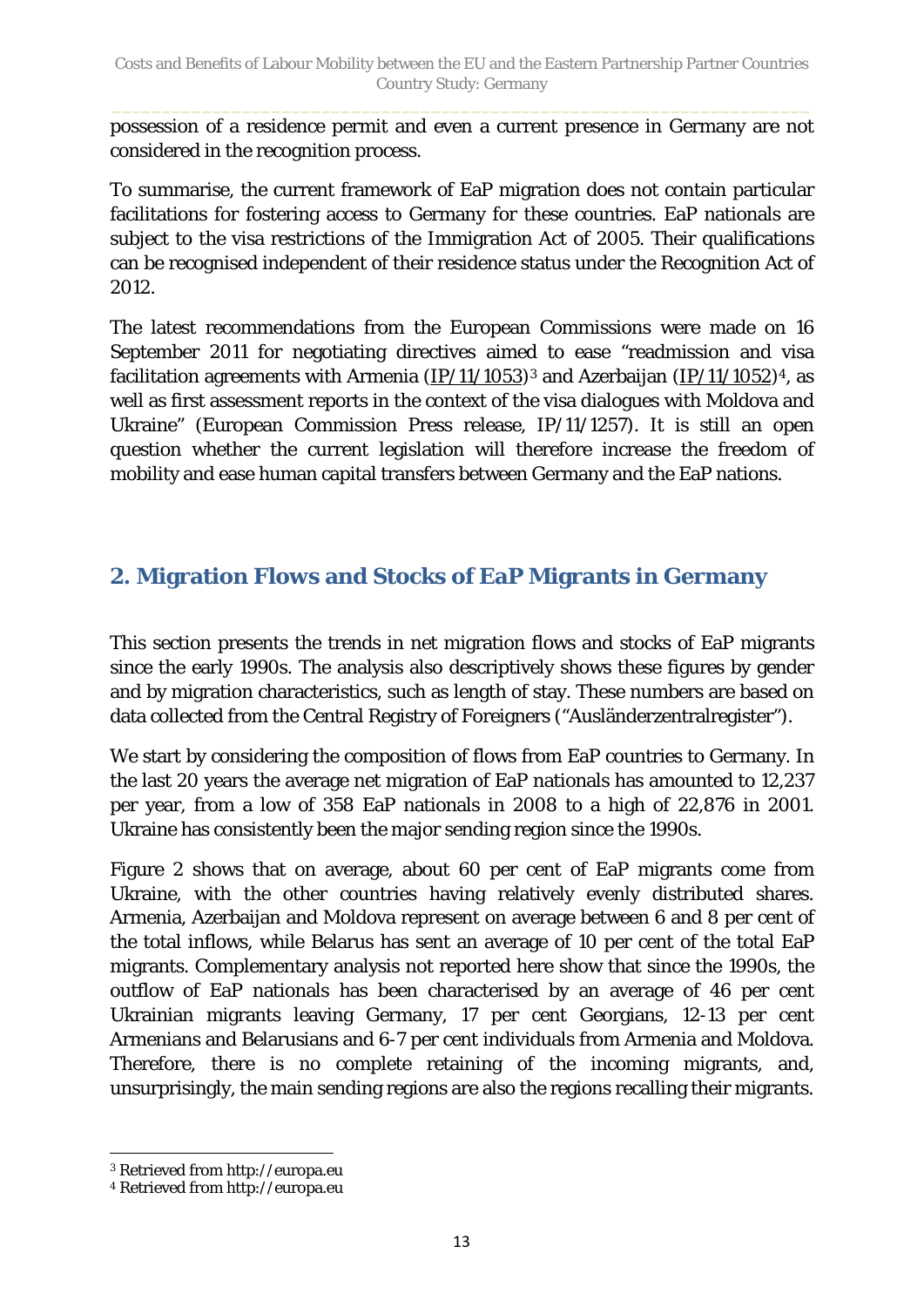possession of a residence permit and even a current presence in Germany are not considered in the recognition process.

To summarise, the current framework of EaP migration does not contain particular facilitations for fostering access to Germany for these countries. EaP nationals are subject to the visa restrictions of the Immigration Act of 2005. Their qualifications can be recognised independent of their residence status under the Recognition Act of 2012.

The latest recommendations from the European Commissions were made on 16 September 2011 for negotiating directives aimed to ease "readmission and visa facilitation agreements with Armenia  $(IP/11/1053)^3$  $(IP/11/1053)^3$  $(IP/11/1053)^3$  and Azerbaijan  $(IP/11/1052)^4$  $(IP/11/1052)^4$  $(IP/11/1052)^4$ , as well as first assessment reports in the context of the visa dialogues with Moldova and Ukraine" (European Commission Press release, IP/11/1257). It is still an open question whether the current legislation will therefore increase the freedom of mobility and ease human capital transfers between Germany and the EaP nations.

## <span id="page-12-0"></span>**2. Migration Flows and Stocks of EaP Migrants in Germany**

This section presents the trends in net migration flows and stocks of EaP migrants since the early 1990s. The analysis also descriptively shows these figures by gender and by migration characteristics, such as length of stay. These numbers are based on data collected from the Central Registry of Foreigners ("Ausländerzentralregister").

We start by considering the composition of flows from EaP countries to Germany. In the last 20 years the average net migration of EaP nationals has amounted to 12,237 per year, from a low of 358 EaP nationals in 2008 to a high of 22,876 in 2001. Ukraine has consistently been the major sending region since the 1990s.

[Figure 2](#page-13-0) shows that on average, about 60 per cent of EaP migrants come from Ukraine, with the other countries having relatively evenly distributed shares. Armenia, Azerbaijan and Moldova represent on average between 6 and 8 per cent of the total inflows, while Belarus has sent an average of 10 per cent of the total EaP migrants. Complementary analysis not reported here show that since the 1990s, the outflow of EaP nationals has been characterised by an average of 46 per cent Ukrainian migrants leaving Germany, 17 per cent Georgians, 12-13 per cent Armenians and Belarusians and 6-7 per cent individuals from Armenia and Moldova. Therefore, there is no complete retaining of the incoming migrants, and, unsurprisingly, the main sending regions are also the regions recalling their migrants.

 $\overline{a}$ 

<span id="page-12-1"></span><sup>3</sup> Retrieved from http://europa.eu

<span id="page-12-2"></span><sup>4</sup> Retrieved from http://europa.eu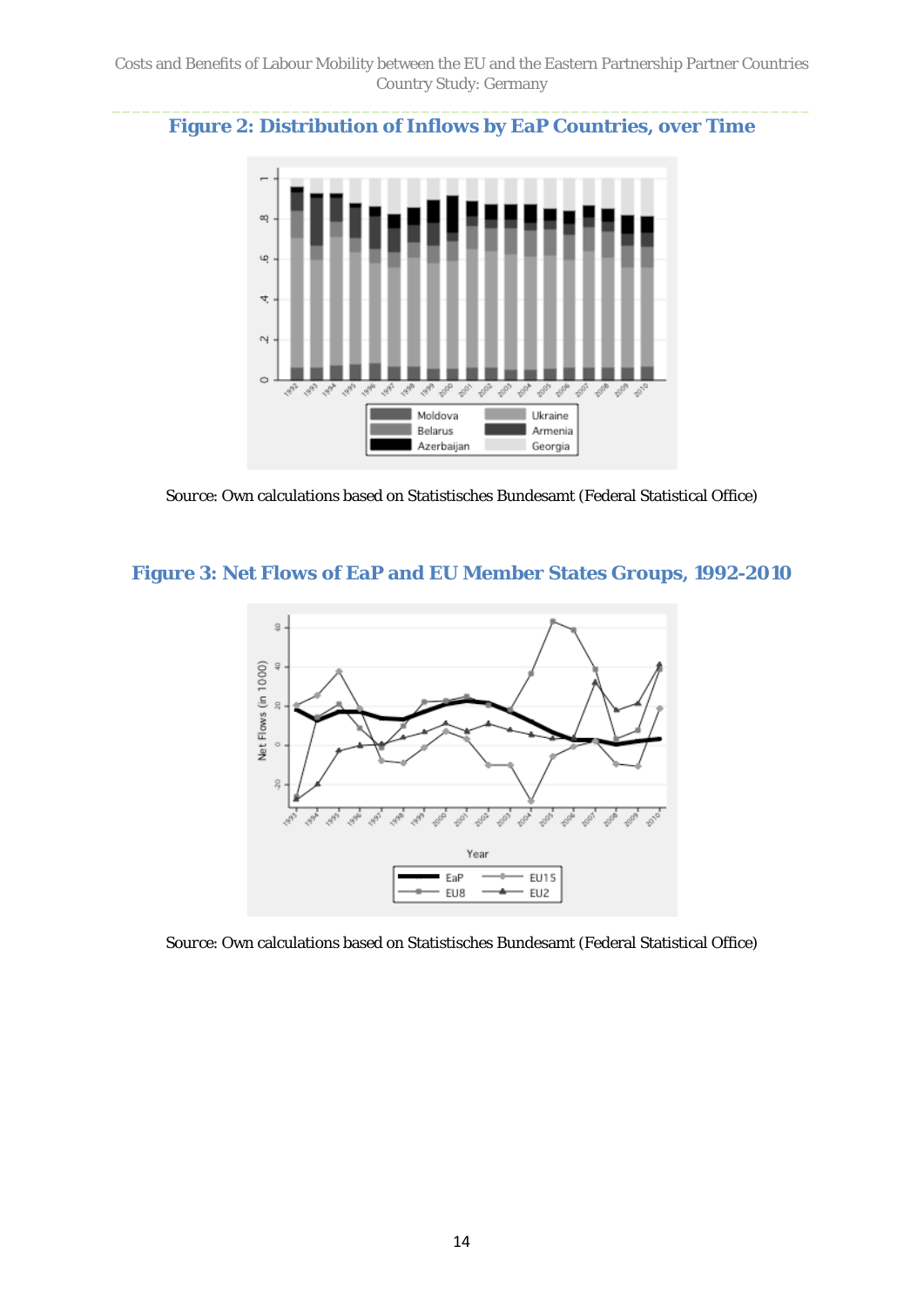#### <span id="page-13-0"></span>**Figure 2: Distribution of Inflows by EaP Countries, over Time**



*Source*: Own calculations based on Statistisches Bundesamt (Federal Statistical Office)

#### **Figure 3: Net Flows of EaP and EU Member States Groups, 1992-2010**



*Source*: Own calculations based on Statistisches Bundesamt (Federal Statistical Office)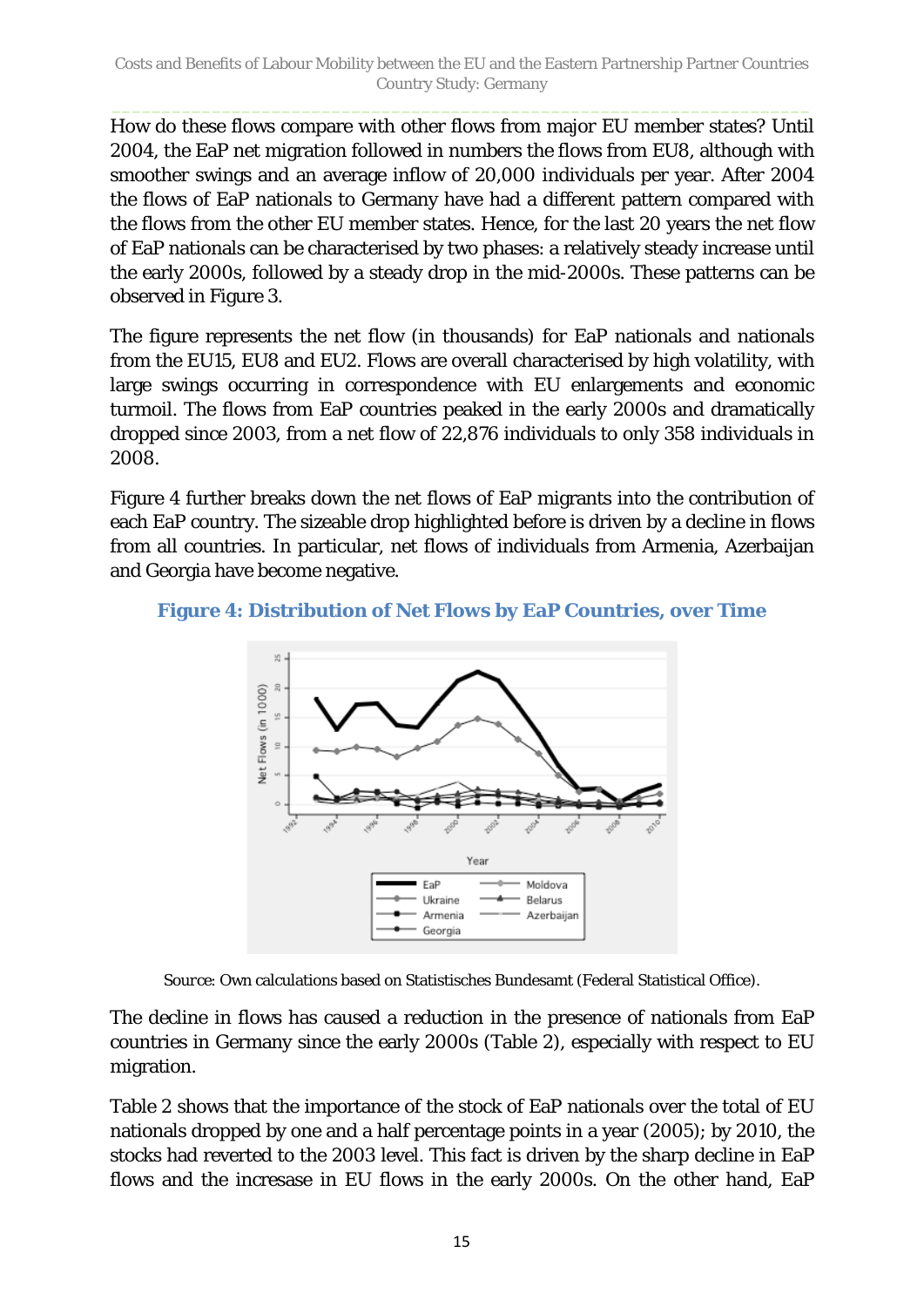How do these flows compare with other flows from major EU member states? Until 2004, the EaP net migration followed in numbers the flows from EU8, although with smoother swings and an average inflow of 20,000 individuals per year. After 2004 the flows of EaP nationals to Germany have had a different pattern compared with the flows from the other EU member states. Hence, for the last 20 years the net flow of EaP nationals can be characterised by two phases: a relatively steady increase until the early 2000s, followed by a steady drop in the mid-2000s. These patterns can be observed in Figure 3.

The figure represents the net flow (in thousands) for EaP nationals and nationals from the EU15, EU8 and EU2. Flows are overall characterised by high volatility, with large swings occurring in correspondence with EU enlargements and economic turmoil. The flows from EaP countries peaked in the early 2000s and dramatically dropped since 2003, from a net flow of 22,876 individuals to only 358 individuals in 2008.

[Figure 4](#page-14-0) further breaks down the net flows of EaP migrants into the contribution of each EaP country. The sizeable drop highlighted before is driven by a decline in flows from all countries. In particular, net flows of individuals from Armenia, Azerbaijan and Georgia have become negative.

<span id="page-14-0"></span>



*Source*: Own calculations based on Statistisches Bundesamt (Federal Statistical Office).

The decline in flows has caused a reduction in the presence of nationals from EaP countries in Germany since the early 2000s [\(Table 2\)](#page-15-0), especially with respect to EU migration.

[Table 2](#page-15-0) shows that the importance of the stock of EaP nationals over the total of EU nationals dropped by one and a half percentage points in a year (2005); by 2010, the stocks had reverted to the 2003 level. This fact is driven by the sharp decline in EaP flows and the incresase in EU flows in the early 2000s. On the other hand, EaP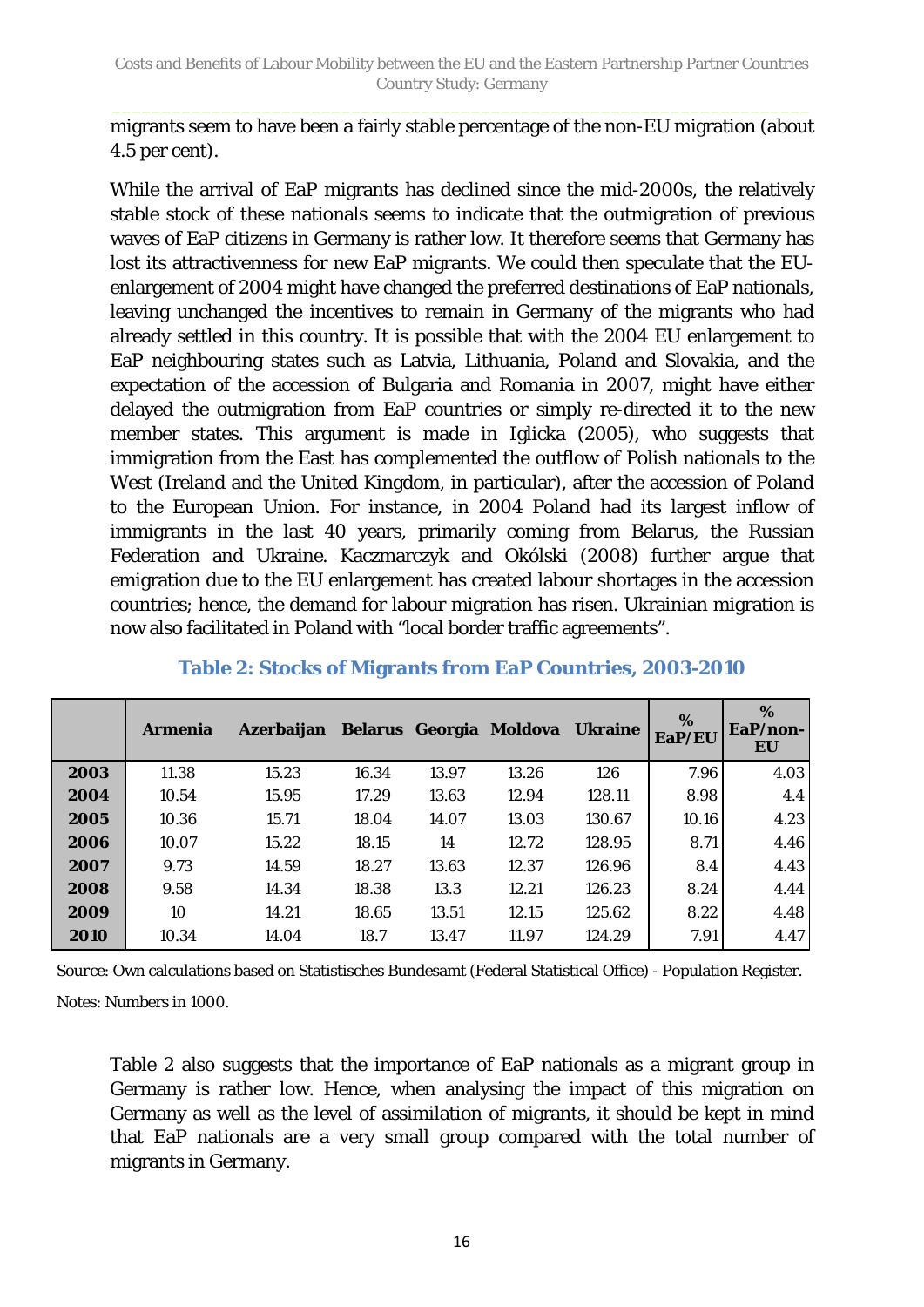migrants seem to have been a fairly stable percentage of the non-EU migration (about 4.5 per cent).

While the arrival of EaP migrants has declined since the mid-2000s, the relatively stable stock of these nationals seems to indicate that the outmigration of previous waves of EaP citizens in Germany is rather low. It therefore seems that Germany has lost its attractivenness for new EaP migrants. We could then speculate that the EUenlargement of 2004 might have changed the preferred destinations of EaP nationals, leaving unchanged the incentives to remain in Germany of the migrants who had already settled in this country. It is possible that with the 2004 EU enlargement to EaP neighbouring states such as Latvia, Lithuania, Poland and Slovakia, and the expectation of the accession of Bulgaria and Romania in 2007, might have either delayed the outmigration from EaP countries or simply re-directed it to the new member states. This argument is made in Iglicka (2005), who suggests that immigration from the East has complemented the outflow of Polish nationals to the West (Ireland and the United Kingdom, in particular), after the accession of Poland to the European Union. For instance, in 2004 Poland had its largest inflow of immigrants in the last 40 years, primarily coming from Belarus, the Russian Federation and Ukraine. Kaczmarczyk and Okólski (2008) further argue that emigration due to the EU enlargement has created labour shortages in the accession countries; hence, the demand for labour migration has risen. Ukrainian migration is now also facilitated in Poland with "local border traffic agreements".

|      | Armenia | Azerbaijan Belarus Georgia Moldova Ukraine |       |       |       |        | %<br>EaP/EU | $\%$<br>$EaP/non-$<br>EU |
|------|---------|--------------------------------------------|-------|-------|-------|--------|-------------|--------------------------|
| 2003 | 11.38   | 15.23                                      | 16.34 | 13.97 | 13.26 | 126    | 7.96        | 4.03                     |
| 2004 | 10.54   | 15.95                                      | 17.29 | 13.63 | 12.94 | 128.11 | 8.98        | 4.4                      |
| 2005 | 10.36   | 15.71                                      | 18.04 | 14.07 | 13.03 | 130.67 | 10.16       | 4.23                     |
| 2006 | 10.07   | 15.22                                      | 18.15 | 14    | 12.72 | 128.95 | 8.71        | 4.46                     |
| 2007 | 9.73    | 14.59                                      | 18.27 | 13.63 | 12.37 | 126.96 | 8.4         | 4.43                     |
| 2008 | 9.58    | 14.34                                      | 18.38 | 13.3  | 12.21 | 126.23 | 8.24        | 4.44                     |
| 2009 | 10      | 14.21                                      | 18.65 | 13.51 | 12.15 | 125.62 | 8.22        | 4.48                     |
| 2010 | 10.34   | 14.04                                      | 18.7  | 13.47 | 11.97 | 124.29 | 7.91        | 4.47                     |

### <span id="page-15-0"></span>**Table 2: Stocks of Migrants from EaP Countries, 2003-2010**

*Source*: Own calculations based on Statistisches Bundesamt (Federal Statistical Office) - Population Register.

*Notes*: Numbers in 1000.

[Table 2](#page-15-0) also suggests that the importance of EaP nationals as a migrant group in Germany is rather low. Hence, when analysing the impact of this migration on Germany as well as the level of assimilation of migrants, it should be kept in mind that EaP nationals are a very small group compared with the total number of migrants in Germany.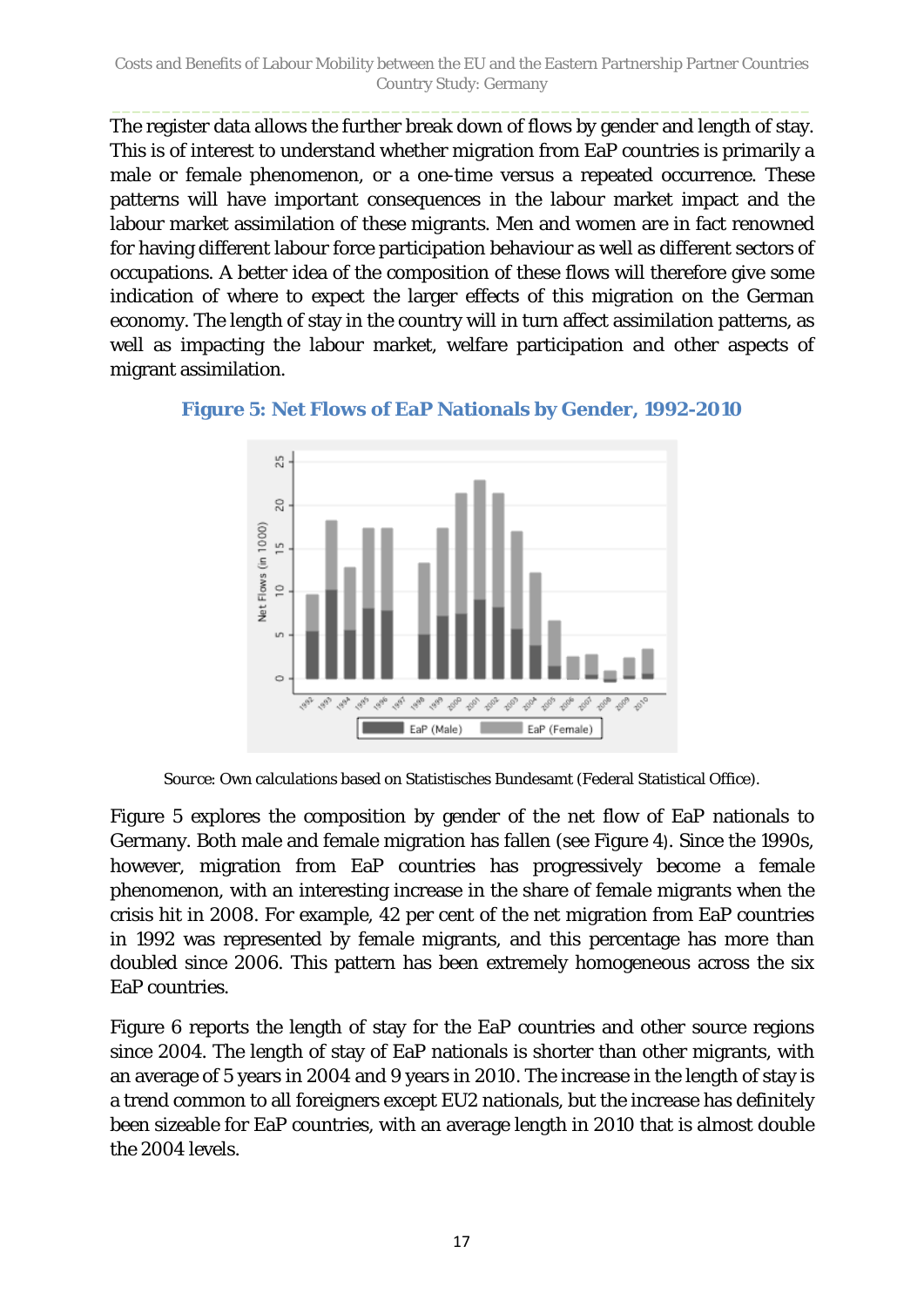The register data allows the further break down of flows by gender and length of stay. This is of interest to understand whether migration from EaP countries is primarily a male or female phenomenon, or a one-time versus a repeated occurrence. These patterns will have important consequences in the labour market impact and the labour market assimilation of these migrants. Men and women are in fact renowned for having different labour force participation behaviour as well as different sectors of occupations. A better idea of the composition of these flows will therefore give some indication of where to expect the larger effects of this migration on the German economy. The length of stay in the country will in turn affect assimilation patterns, as well as impacting the labour market, welfare participation and other aspects of migrant assimilation.

<span id="page-16-0"></span>



*Source*: Own calculations based on Statistisches Bundesamt (Federal Statistical Office).

[Figure 5](#page-16-0) explores the composition by gender of the net flow of EaP nationals to Germany. Both male and female migration has fallen (see [Figure 4](#page-14-0)). Since the 1990s, however, migration from EaP countries has progressively become a female phenomenon, with an interesting increase in the share of female migrants when the crisis hit in 2008. For example, 42 per cent of the net migration from EaP countries in 1992 was represented by female migrants, and this percentage has more than doubled since 2006. This pattern has been extremely homogeneous across the six EaP countries.

[Figure 6](#page-17-1) reports the length of stay for the EaP countries and other source regions since 2004. The length of stay of EaP nationals is shorter than other migrants, with an average of 5 years in 2004 and 9 years in 2010. The increase in the length of stay is a trend common to all foreigners except EU2 nationals, but the increase has definitely been sizeable for EaP countries, with an average length in 2010 that is almost double the 2004 levels.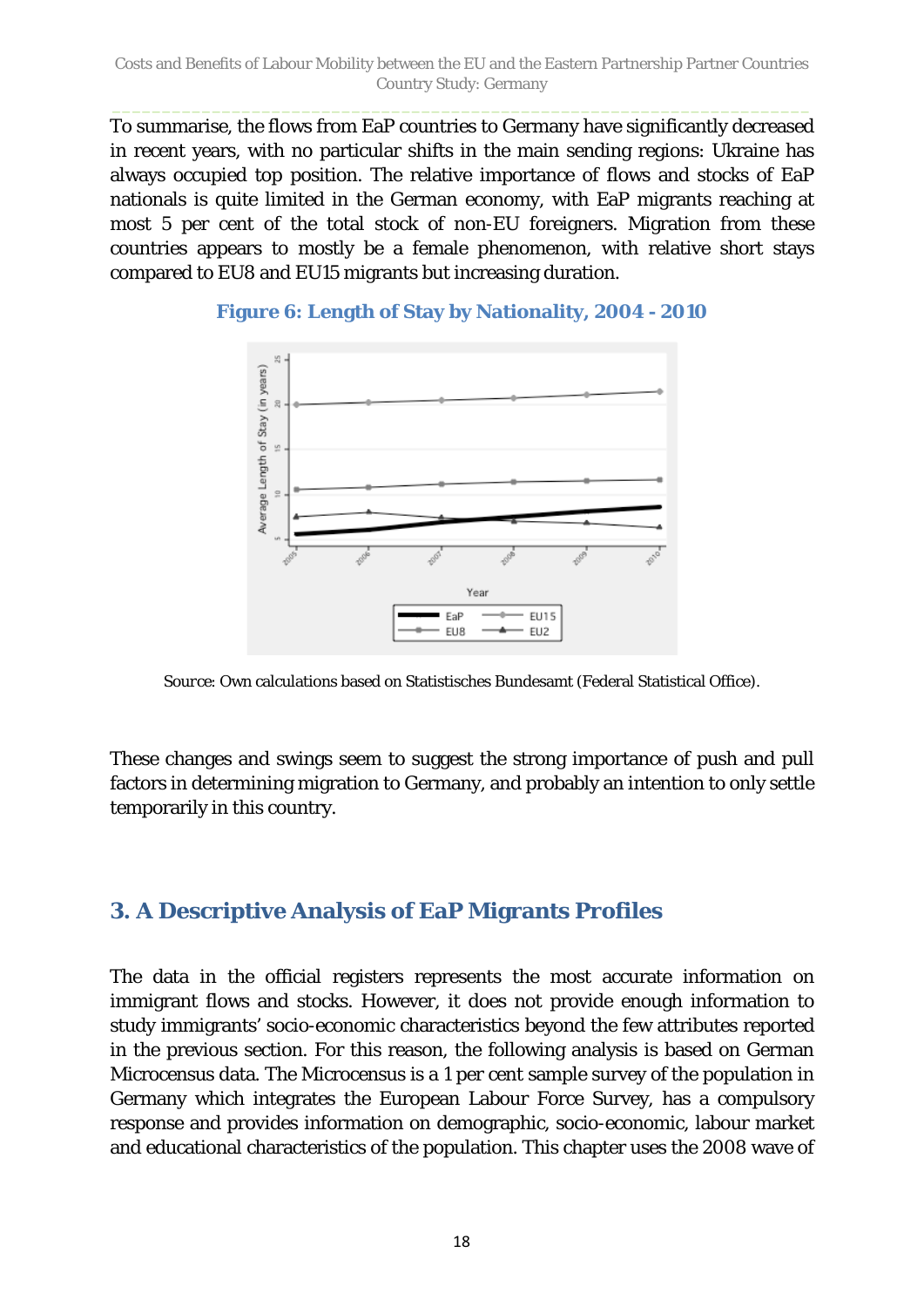To summarise, the flows from EaP countries to Germany have significantly decreased in recent years, with no particular shifts in the main sending regions: Ukraine has always occupied top position. The relative importance of flows and stocks of EaP nationals is quite limited in the German economy, with EaP migrants reaching at most 5 per cent of the total stock of non-EU foreigners. Migration from these countries appears to mostly be a female phenomenon, with relative short stays compared to EU8 and EU15 migrants but increasing duration.



#### <span id="page-17-1"></span>**Figure 6: Length of Stay by Nationality, 2004 - 2010**

*Source*: Own calculations based on Statistisches Bundesamt (Federal Statistical Office).

These changes and swings seem to suggest the strong importance of push and pull factors in determining migration to Germany, and probably an intention to only settle temporarily in this country.

# <span id="page-17-0"></span>**3. A Descriptive Analysis of EaP Migrants Profiles**

The data in the official registers represents the most accurate information on immigrant flows and stocks. However, it does not provide enough information to study immigrants' socio-economic characteristics beyond the few attributes reported in the previous section. For this reason, the following analysis is based on German Microcensus data. The Microcensus is a 1 per cent sample survey of the population in Germany which integrates the European Labour Force Survey, has a compulsory response and provides information on demographic, socio-economic, labour market and educational characteristics of the population. This chapter uses the 2008 wave of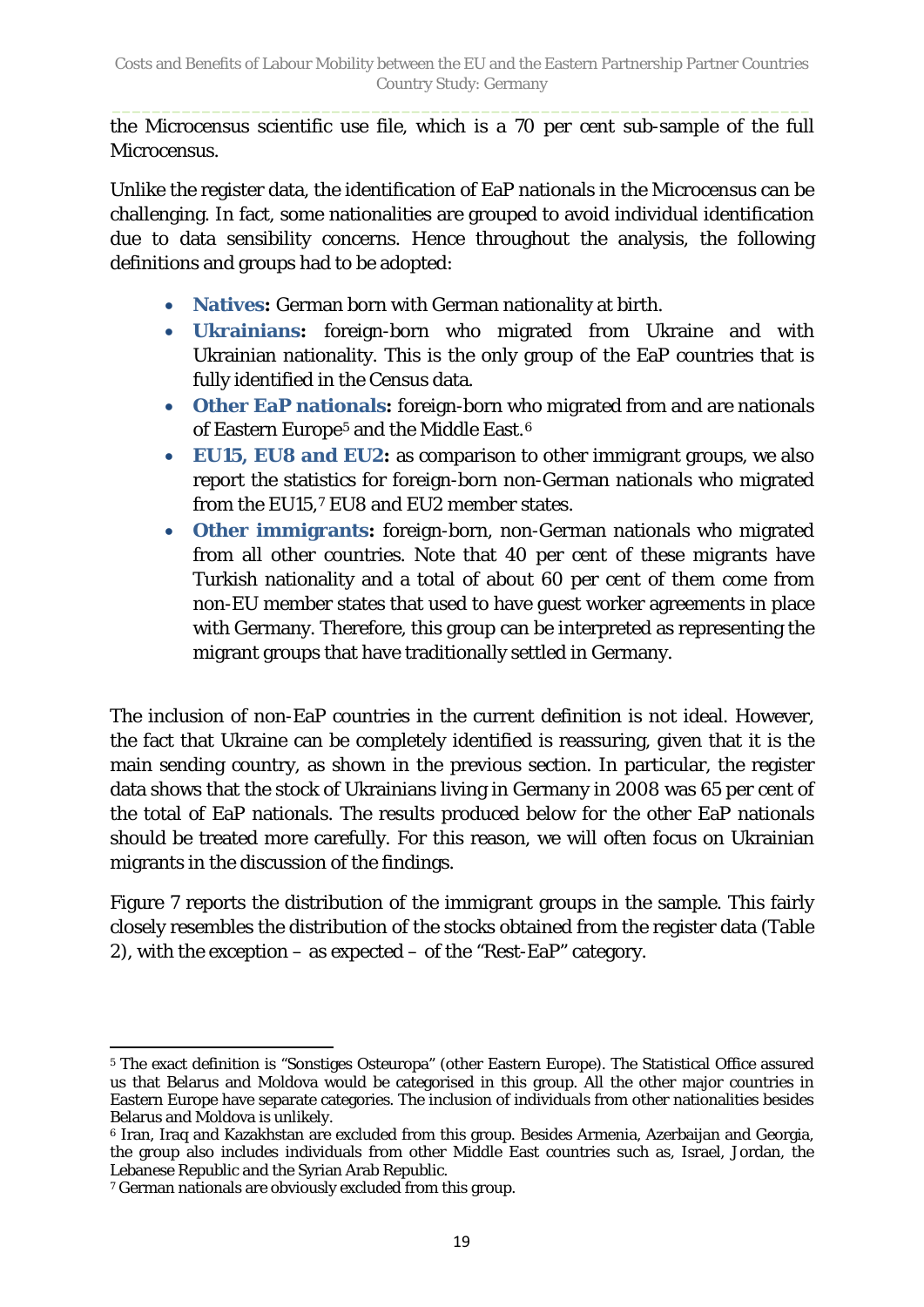the Microcensus scientific use file, which is a 70 per cent sub-sample of the full Microcensus.

Unlike the register data, the identification of EaP nationals in the Microcensus can be challenging. In fact, some nationalities are grouped to avoid individual identification due to data sensibility concerns. Hence throughout the analysis, the following definitions and groups had to be adopted:

- **Natives:** German born with German nationality at birth.
- **Ukrainians:** foreign-born who migrated from Ukraine and with Ukrainian nationality. This is the only group of the EaP countries that is fully identified in the Census data.
- **Other EaP nationals:** foreign-born who migrated from and are nationals of Eastern Europe<sup>[5](#page-18-0)</sup> and the Middle East.<sup>[6](#page-18-1)</sup>
- **EU15, EU8 and EU2:** as comparison to other immigrant groups, we also report the statistics for foreign-born non-German nationals who migrated from the EU15,[7](#page-18-2) EU8 and EU2 member states.
- **Other immigrants:** foreign-born, non-German nationals who migrated from all other countries. Note that 40 per cent of these migrants have Turkish nationality and a total of about 60 per cent of them come from non-EU member states that used to have guest worker agreements in place with Germany. Therefore, this group can be interpreted as representing the migrant groups that have traditionally settled in Germany.

The inclusion of non-EaP countries in the current definition is not ideal. However, the fact that Ukraine can be completely identified is reassuring, given that it is the main sending country, as shown in the previous section. In particular, the register data shows that the stock of Ukrainians living in Germany in 2008 was 65 per cent of the total of EaP nationals. The results produced below for the other EaP nationals should be treated more carefully. For this reason, we will often focus on Ukrainian migrants in the discussion of the findings.

[Figure 7](#page-19-0) reports the distribution of the immigrant groups in the sample. This fairly closely resembles the distribution of the stocks obtained from the register data [\(Table](#page-15-0)  [2\)](#page-15-0), with the exception – as expected – of the "Rest-EaP" category.

<span id="page-18-0"></span> $\overline{a}$ <sup>5</sup> The exact definition is "Sonstiges Osteuropa" (other Eastern Europe). The Statistical Office assured us that Belarus and Moldova would be categorised in this group. All the other major countries in Eastern Europe have separate categories. The inclusion of individuals from other nationalities besides Belarus and Moldova is unlikely.

<span id="page-18-1"></span><sup>6</sup> Iran, Iraq and Kazakhstan are excluded from this group. Besides Armenia, Azerbaijan and Georgia, the group also includes individuals from other Middle East countries such as, Israel, Jordan, the Lebanese Republic and the Syrian Arab Republic.

<span id="page-18-2"></span><sup>7</sup> German nationals are obviously excluded from this group.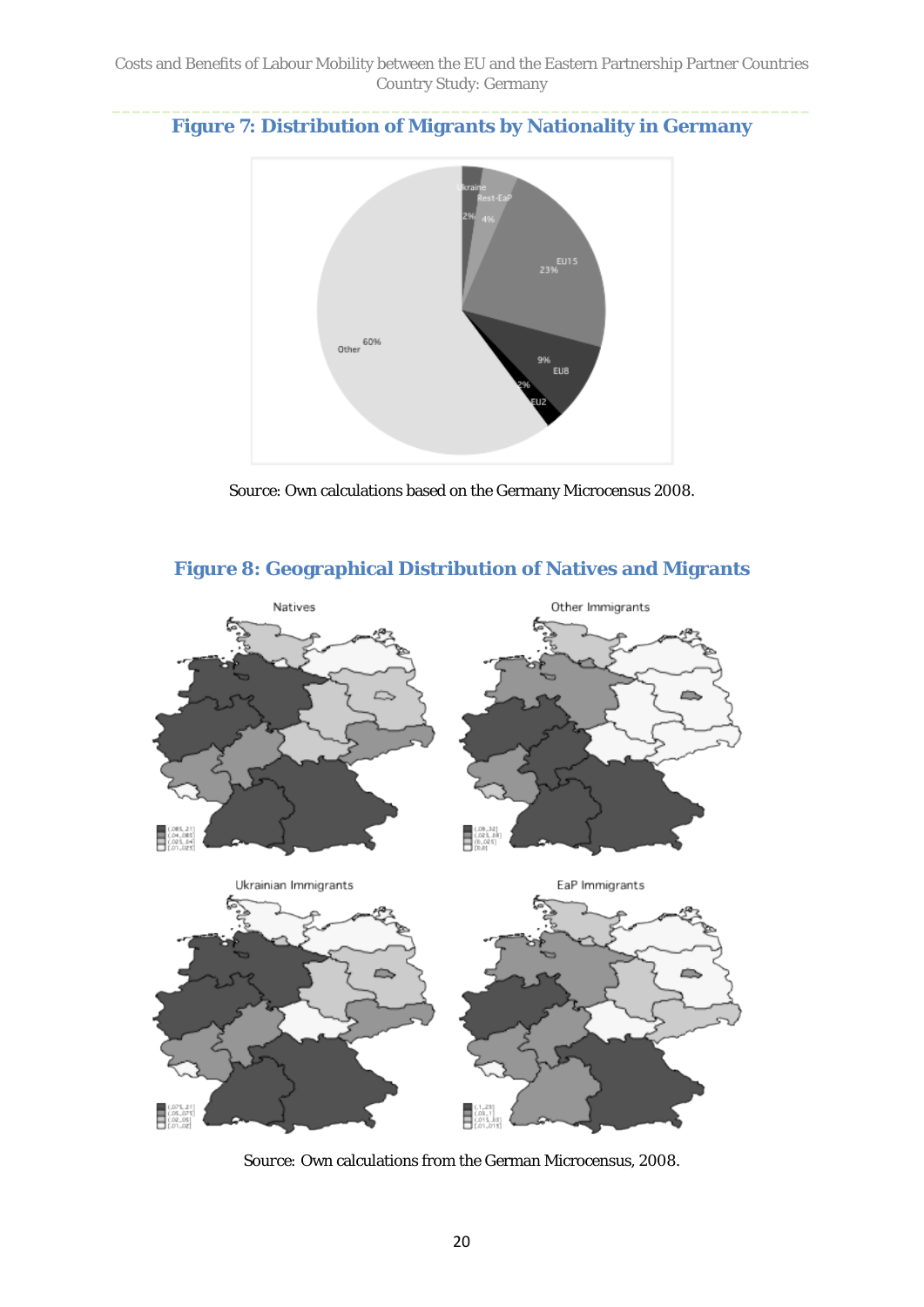<span id="page-19-0"></span>**Figure 7: Distribution of Migrants by Nationality in Germany**



*Source*: Own calculations based on the Germany Microcensus 2008.

<span id="page-19-1"></span>

#### **Figure 8: Geographical Distribution of Natives and Migrants**

*Source:* Own calculations from the German Microcensus, 2008.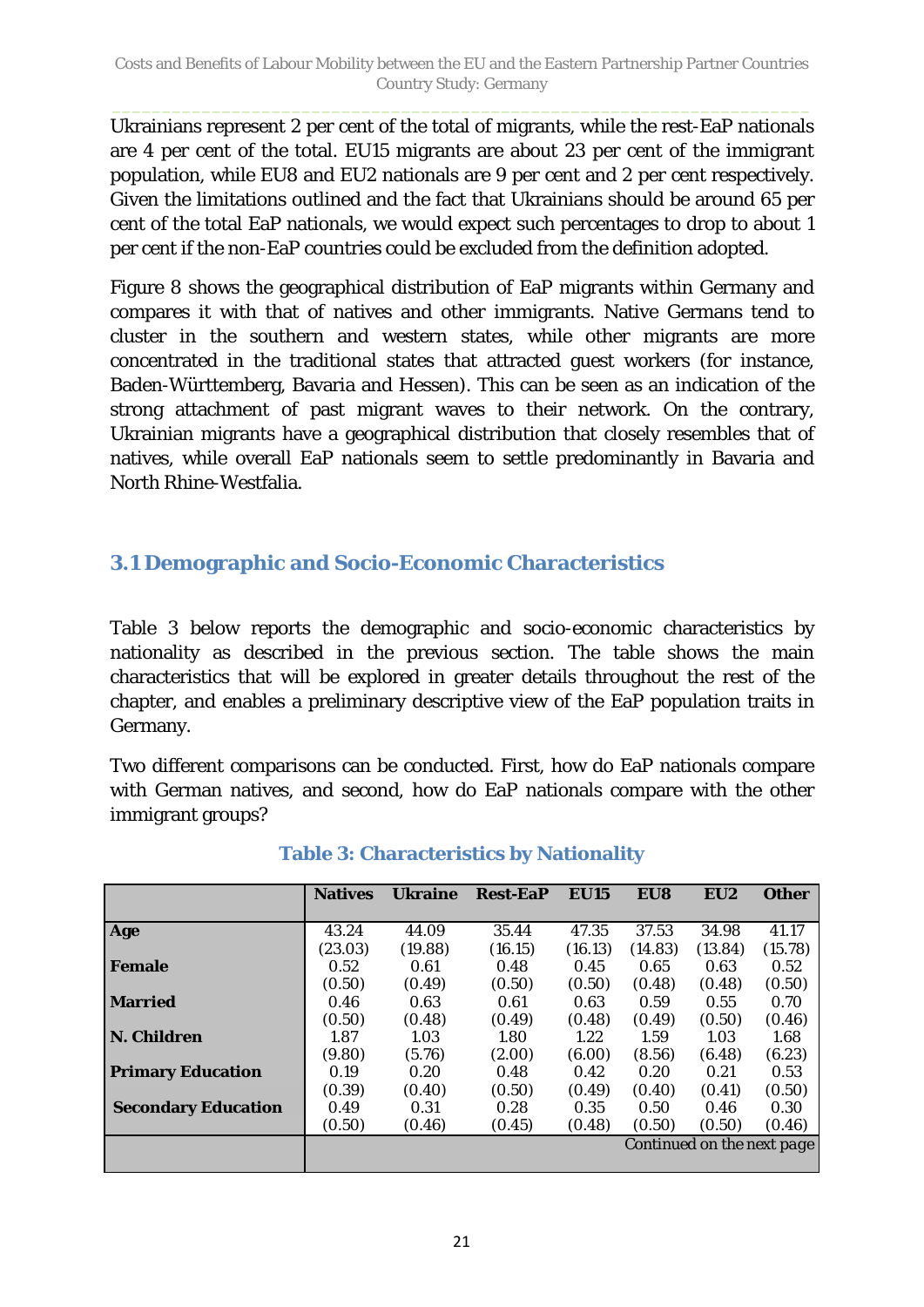Ukrainians represent 2 per cent of the total of migrants, while the rest-EaP nationals are 4 per cent of the total. EU15 migrants are about 23 per cent of the immigrant population, while EU8 and EU2 nationals are 9 per cent and 2 per cent respectively. Given the limitations outlined and the fact that Ukrainians should be around 65 per cent of the total EaP nationals, we would expect such percentages to drop to about 1 per cent if the non-EaP countries could be excluded from the definition adopted.

[Figure 8](#page-19-1) shows the geographical distribution of EaP migrants within Germany and compares it with that of natives and other immigrants. Native Germans tend to cluster in the southern and western states, while other migrants are more concentrated in the traditional states that attracted guest workers (for instance, Baden-Württemberg, Bavaria and Hessen). This can be seen as an indication of the strong attachment of past migrant waves to their network. On the contrary, Ukrainian migrants have a geographical distribution that closely resembles that of natives, while overall EaP nationals seem to settle predominantly in Bavaria and North Rhine-Westfalia.

### <span id="page-20-0"></span>**3.1 Demographic and Socio-Economic Characteristics**

[Table 3](#page-20-1) below reports the demographic and socio-economic characteristics by nationality as described in the previous section. The table shows the main characteristics that will be explored in greater details throughout the rest of the chapter, and enables a preliminary descriptive view of the EaP population traits in Germany.

Two different comparisons can be conducted. First, how do EaP nationals compare with German natives, and second, how do EaP nationals compare with the other immigrant groups?

<span id="page-20-1"></span>

|                            | <b>Natives</b> | <b>Ukraine</b> | <b>Rest-EaP</b> | <b>EU15</b>                | EU8     | EU2     | <b>Other</b> |  |  |  |
|----------------------------|----------------|----------------|-----------------|----------------------------|---------|---------|--------------|--|--|--|
|                            |                |                |                 |                            |         |         |              |  |  |  |
| Age                        | 43.24          | 44.09          | 35.44           | 47.35                      | 37.53   | 34.98   | 41.17        |  |  |  |
|                            | (23.03)        | (19.88)        | (16.15)         | (16.13)                    | (14.83) | (13.84) | (15.78)      |  |  |  |
| <b>Female</b>              | 0.52           | 0.61           | 0.48            | 0.45                       | 0.65    | 0.63    | 0.52         |  |  |  |
|                            | (0.50)         | (0.49)         | (0.50)          | (0.50)                     | (0.48)  | (0.48)  | (0.50)       |  |  |  |
| <b>Married</b>             | 0.46           | 0.63           | 0.63<br>0.61    |                            | 0.59    | 0.55    | 0.70         |  |  |  |
|                            | (0.50)         | (0.48)         | (0.49)          | (0.48)                     | (0.49)  | (0.50)  | (0.46)       |  |  |  |
| N. Children                | 1.87           | 1.03           | 1.80            | 1.22                       | 1.59    | 1.03    | 1.68         |  |  |  |
|                            | (9.80)         | (5.76)         | (2.00)          | (6.00)                     | (8.56)  | (6.48)  | (6.23)       |  |  |  |
| <b>Primary Education</b>   | 0.19           | 0.20           | 0.48            | 0.42                       | 0.20    | 0.21    | 0.53         |  |  |  |
|                            | (0.39)         | (0.40)         | (0.50)          | (0.49)                     | (0.40)  | (0.41)  | (0.50)       |  |  |  |
| <b>Secondary Education</b> | 0.49           | 0.31           | 0.28            | 0.35                       | 0.50    | 0.46    | 0.30         |  |  |  |
|                            | (0.50)         | (0.46)         | (0.45)          | (0.48)                     | (0.50)  | (0.50)  | (0.46)       |  |  |  |
|                            |                |                |                 | Continued on the next page |         |         |              |  |  |  |
|                            |                |                |                 |                            |         |         |              |  |  |  |

### **Table 3: Characteristics by Nationality**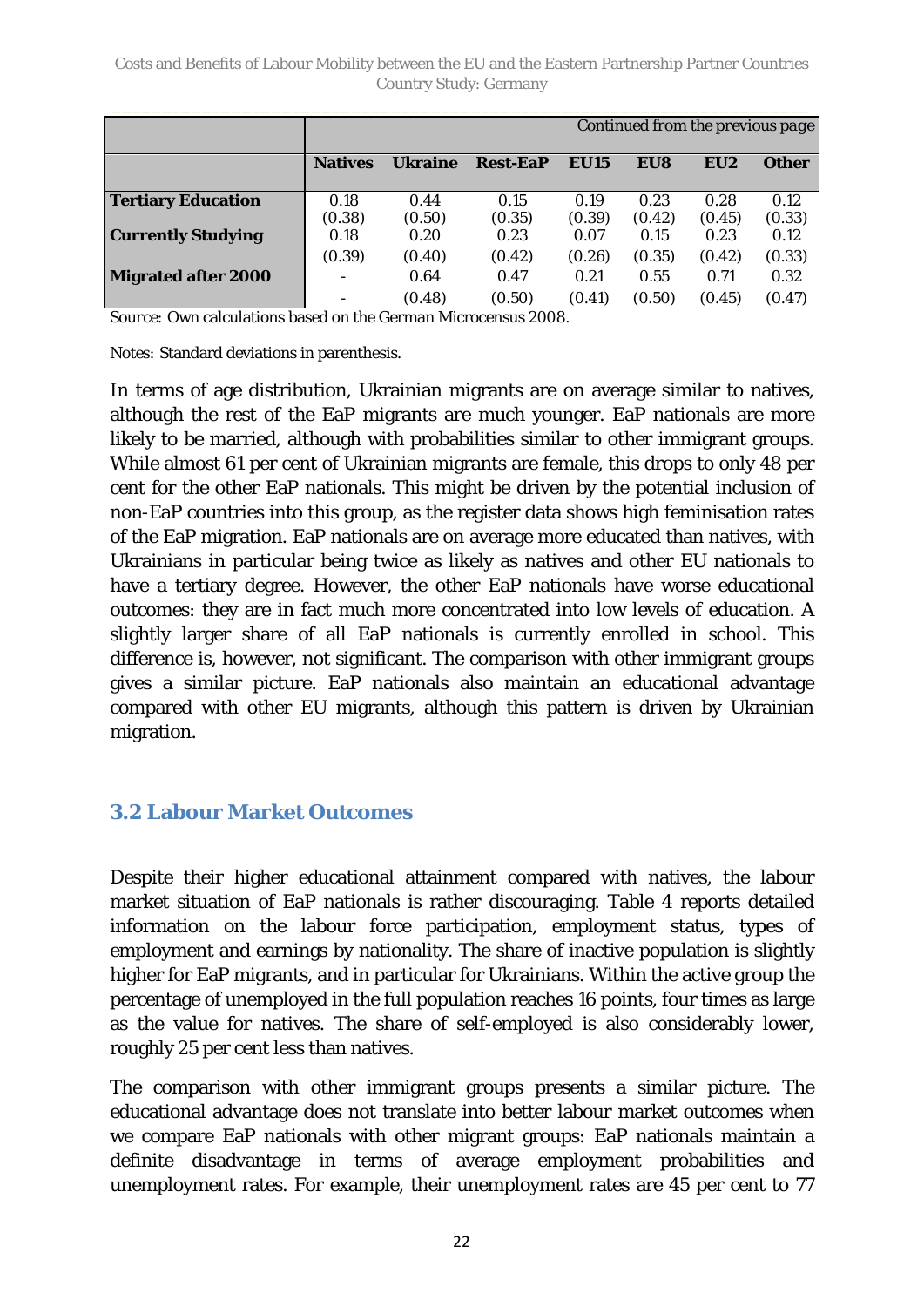|                            |                |                |                 |             | Continued from the previous page |                 |              |
|----------------------------|----------------|----------------|-----------------|-------------|----------------------------------|-----------------|--------------|
|                            | <b>Natives</b> | <b>Ukraine</b> | <b>Rest-EaP</b> | <b>EU15</b> | EU8                              | EU <sub>2</sub> | <b>Other</b> |
| <b>Tertiary Education</b>  | 0.18           | 0.44           | 0.15            | 0.19        | 0.23                             | 0.28            | 0.12         |
|                            | (0.38)         | (0.50)         | (0.35)          | (0.39)      | (0.42)                           | (0.45)          | (0.33)       |
| <b>Currently Studying</b>  | 0.18           | 0.20           | 0.23            | 0.07        | 0.15                             | 0.23            | 0.12         |
|                            | (0.39)         | (0.40)         | (0.42)          | (0.26)      | (0.35)                           | (0.42)          | (0.33)       |
| <b>Migrated after 2000</b> |                | 0.64           | 0.47            | 0.21        | 0.55                             | 0.71            | 0.32         |
|                            |                | (0.48)         | (0.50)          | (0.41)      | (0.50)                           | (0.45)          | (0.47)       |

*Source:* Own calculations based on the German Microcensus 2008.

*Notes: S*tandard deviations in parenthesis.

In terms of age distribution, Ukrainian migrants are on average similar to natives, although the rest of the EaP migrants are much younger. EaP nationals are more likely to be married, although with probabilities similar to other immigrant groups. While almost 61 per cent of Ukrainian migrants are female, this drops to only 48 per cent for the other EaP nationals. This might be driven by the potential inclusion of non-EaP countries into this group, as the register data shows high feminisation rates of the EaP migration. EaP nationals are on average more educated than natives, with Ukrainians in particular being twice as likely as natives and other EU nationals to have a tertiary degree. However, the other EaP nationals have worse educational outcomes: they are in fact much more concentrated into low levels of education. A slightly larger share of all EaP nationals is currently enrolled in school. This difference is, however, not significant. The comparison with other immigrant groups gives a similar picture. EaP nationals also maintain an educational advantage compared with other EU migrants, although this pattern is driven by Ukrainian migration.

### <span id="page-21-0"></span>**3.2 Labour Market Outcomes**

Despite their higher educational attainment compared with natives, the labour market situation of EaP nationals is rather discouraging. [Table 4](#page-22-1) reports detailed information on the labour force participation, employment status, types of employment and earnings by nationality. The share of inactive population is slightly higher for EaP migrants, and in particular for Ukrainians. Within the active group the percentage of unemployed in the full population reaches 16 points, four times as large as the value for natives. The share of self-employed is also considerably lower, roughly 25 per cent less than natives.

The comparison with other immigrant groups presents a similar picture. The educational advantage does not translate into better labour market outcomes when we compare EaP nationals with other migrant groups: EaP nationals maintain a definite disadvantage in terms of average employment probabilities and unemployment rates. For example, their unemployment rates are 45 per cent to 77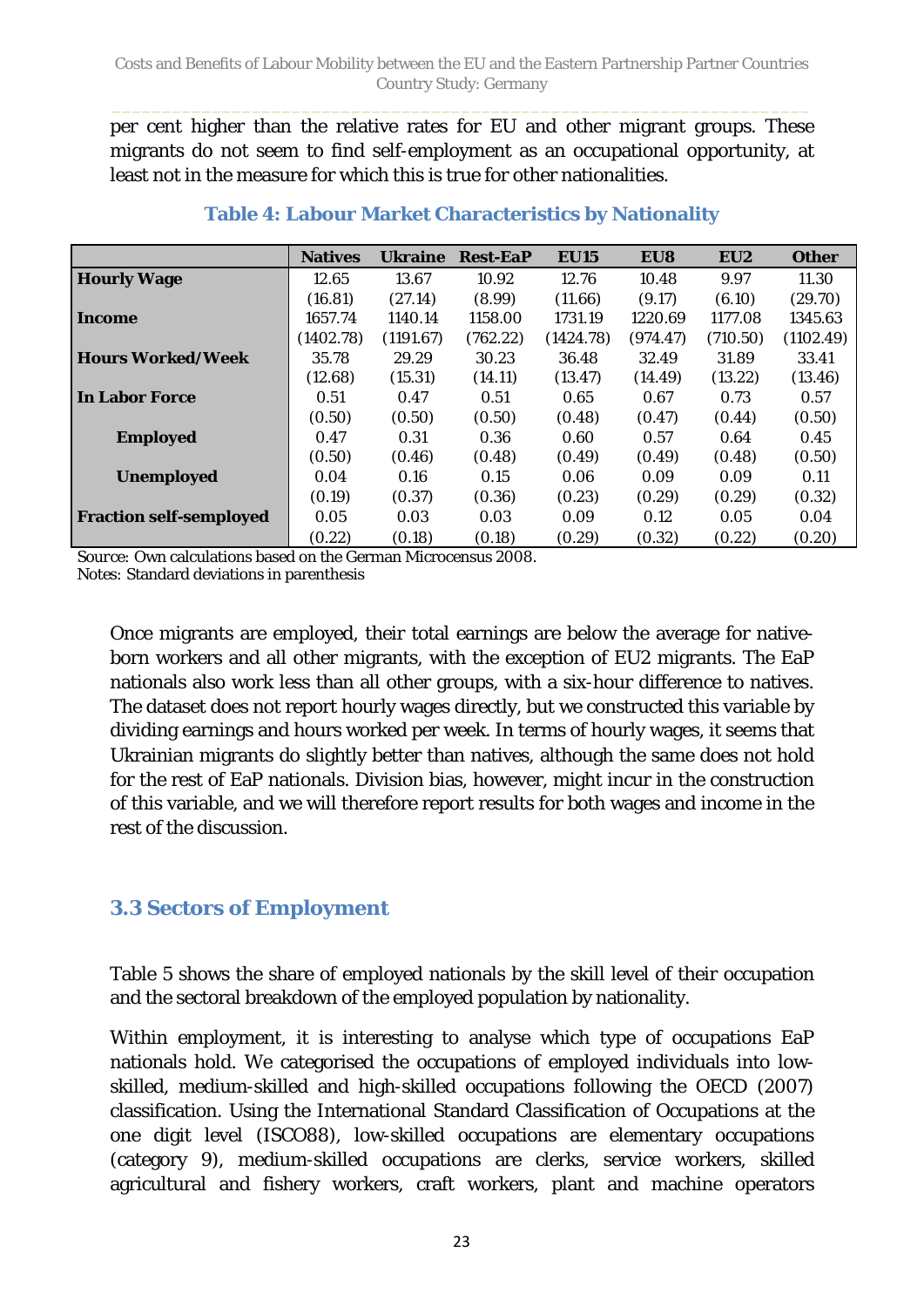per cent higher than the relative rates for EU and other migrant groups. These migrants do not seem to find self-employment as an occupational opportunity, at least not in the measure for which this is true for other nationalities.

<span id="page-22-1"></span>

|                                | <b>Natives</b> | <b>Ukraine</b> | <b>Rest-EaP</b> | <b>EU15</b> | EU8      | EU <sub>2</sub> | <b>Other</b> |
|--------------------------------|----------------|----------------|-----------------|-------------|----------|-----------------|--------------|
| <b>Hourly Wage</b>             | 12.65          | 13.67          | 10.92           | 12.76       | 10.48    | 9.97            | 11.30        |
|                                | (16.81)        | (27.14)        | (8.99)          | (11.66)     | (9.17)   | (6.10)          | (29.70)      |
| Income                         | 1657.74        | 1140.14        | 1158.00         | 1731.19     | 1220.69  | 1177.08         | 1345.63      |
|                                | (1402.78)      | (1191.67)      | (762.22)        | (1424.78)   | (974.47) | (710.50)        | (1102.49)    |
| <b>Hours Worked/Week</b>       | 35.78          | 29.29          | 30.23           | 36.48       | 32.49    | 31.89           | 33.41        |
|                                | (12.68)        | (15.31)        | (14.11)         | (13.47)     | (14.49)  | (13.22)         | (13.46)      |
| <b>In Labor Force</b>          | 0.51           | 0.47           | 0.51            | 0.65        | 0.67     | 0.73            | 0.57         |
|                                | (0.50)         | (0.50)         | (0.50)          | (0.48)      | (0.47)   | (0.44)          | (0.50)       |
| <b>Employed</b>                | 0.47           | 0.31           | 0.36            | 0.60        | 0.57     | 0.64            | 0.45         |
|                                | (0.50)         | (0.46)         | (0.48)          | (0.49)      | (0.49)   | (0.48)          | (0.50)       |
| <b>Unemployed</b>              | 0.04           | 0.16           | 0.15            | 0.06        | 0.09     | 0.09            | 0.11         |
|                                | (0.19)         | (0.37)         | (0.36)          | (0.23)      | (0.29)   | (0.29)          | (0.32)       |
| <b>Fraction self-semployed</b> | 0.05           | 0.03           | 0.03            | 0.09        | 0.12     | 0.05            | 0.04         |
|                                | (0.22)         | (0.18)         | (0.18)          | (0.29)      | (0.32)   | (0.22)          | (0.20)       |

#### **Table 4: Labour Market Characteristics by Nationality**

*Source:* Own calculations based on the German Microcensus 2008. *Notes: S*tandard deviations in parenthesis

Once migrants are employed, their total earnings are below the average for nativeborn workers and all other migrants, with the exception of EU2 migrants. The EaP nationals also work less than all other groups, with a six-hour difference to natives. The dataset does not report hourly wages directly, but we constructed this variable by dividing earnings and hours worked per week. In terms of hourly wages, it seems that Ukrainian migrants do slightly better than natives, although the same does not hold for the rest of EaP nationals. Division bias, however, might incur in the construction of this variable, and we will therefore report results for both wages and income in the rest of the discussion.

## <span id="page-22-0"></span>**3.3 Sectors of Employment**

[Table 5](#page-23-0) shows the share of employed nationals by the skill level of their occupation and the sectoral breakdown of the employed population by nationality.

Within employment, it is interesting to analyse which type of occupations EaP nationals hold. We categorised the occupations of employed individuals into lowskilled, medium-skilled and high-skilled occupations following the OECD (2007) classification. Using the International Standard Classification of Occupations at the one digit level (ISCO88), low-skilled occupations are elementary occupations (category 9), medium-skilled occupations are clerks, service workers, skilled agricultural and fishery workers, craft workers, plant and machine operators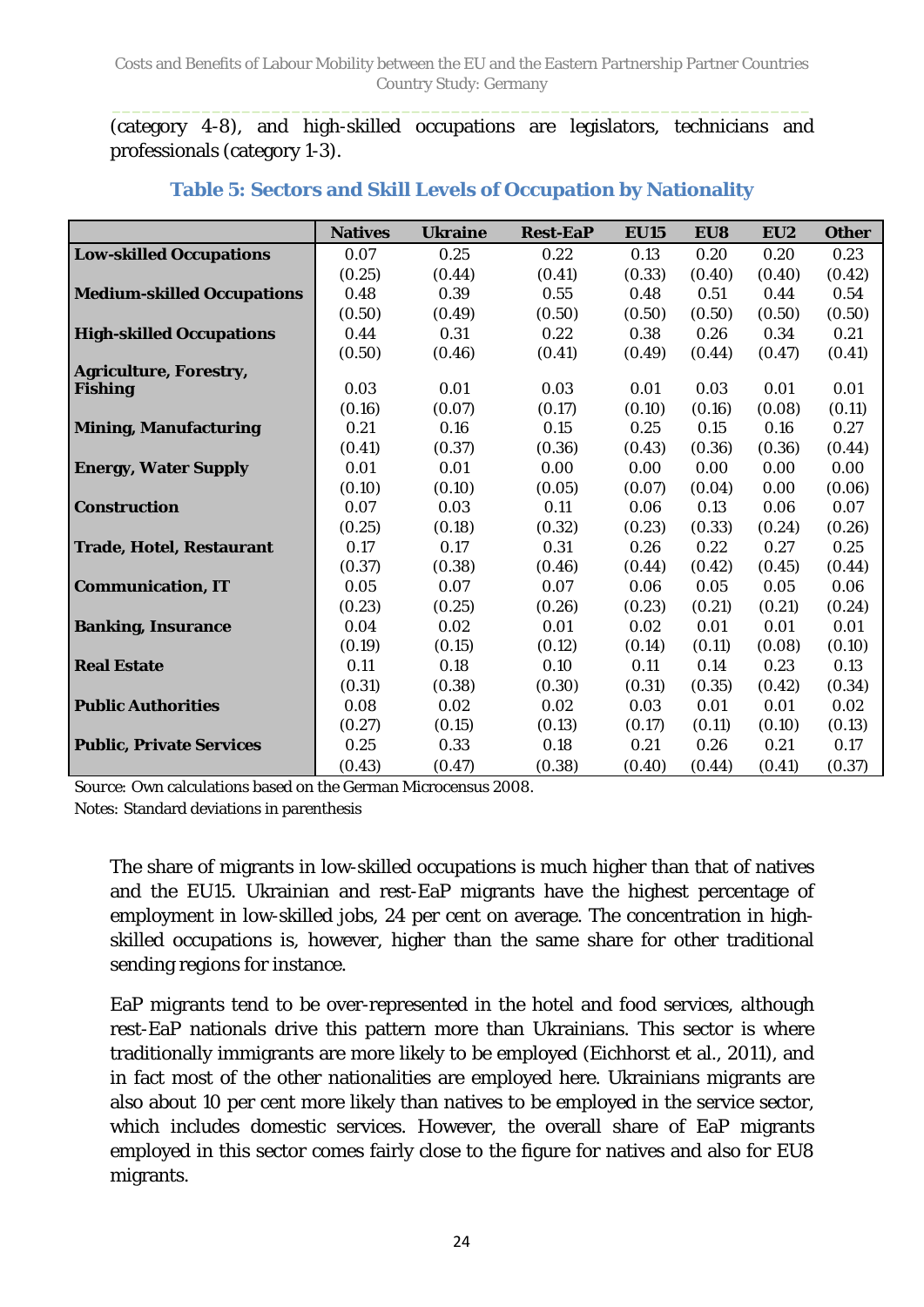(category 4-8), and high-skilled occupations are legislators, technicians and professionals (category 1-3).

<span id="page-23-0"></span>

|                                   | <b>Natives</b> | <b>Ukraine</b> | <b>Rest-EaP</b> | <b>EU15</b> | EU8    | EU <sub>2</sub> | <b>Other</b> |
|-----------------------------------|----------------|----------------|-----------------|-------------|--------|-----------------|--------------|
| <b>Low-skilled Occupations</b>    | 0.07           | 0.25           | 0.22            | 0.13        | 0.20   | 0.20            | 0.23         |
|                                   | (0.25)         | (0.44)         | (0.41)          | (0.33)      | (0.40) | (0.40)          | (0.42)       |
| <b>Medium-skilled Occupations</b> | 0.48           | 0.39           | 0.55            | 0.48        | 0.51   | 0.44            | 0.54         |
|                                   | (0.50)         | (0.49)         | (0.50)          | (0.50)      | (0.50) | (0.50)          | (0.50)       |
| <b>High-skilled Occupations</b>   | 0.44           | 0.31           | 0.22            | 0.38        | 0.26   | 0.34            | 0.21         |
|                                   | (0.50)         | (0.46)         | (0.41)          | (0.49)      | (0.44) | (0.47)          | (0.41)       |
| <b>Agriculture, Forestry,</b>     |                |                |                 |             |        |                 |              |
| <b>Fishing</b>                    | 0.03           | 0.01           | 0.03            | 0.01        | 0.03   | 0.01            | 0.01         |
|                                   | (0.16)         | (0.07)         | (0.17)          | (0.10)      | (0.16) | (0.08)          | (0.11)       |
| <b>Mining, Manufacturing</b>      | 0.21           | 0.16           | 0.15            | 0.25        | 0.15   | 0.16            | 0.27         |
|                                   | (0.41)         | (0.37)         | (0.36)          | (0.43)      | (0.36) | (0.36)          | (0.44)       |
| <b>Energy, Water Supply</b>       | 0.01           | 0.01           | 0.00            | 0.00        | 0.00   | 0.00            | 0.00         |
|                                   | (0.10)         | (0.10)         | (0.05)          | (0.07)      | (0.04) | 0.00            | (0.06)       |
| <b>Construction</b>               | 0.07           | 0.03           | 0.11            | 0.06        | 0.13   | 0.06            | 0.07         |
|                                   | (0.25)         | (0.18)         | (0.32)          | (0.23)      | (0.33) | (0.24)          | (0.26)       |
| <b>Trade, Hotel, Restaurant</b>   | 0.17           | 0.17           | 0.31            | 0.26        | 0.22   | 0.27            | 0.25         |
|                                   | (0.37)         | (0.38)         | (0.46)          | (0.44)      | (0.42) | (0.45)          | (0.44)       |
| <b>Communication, IT</b>          | 0.05           | 0.07           | 0.07            | 0.06        | 0.05   | 0.05            | 0.06         |
|                                   | (0.23)         | (0.25)         | (0.26)          | (0.23)      | (0.21) | (0.21)          | (0.24)       |
| <b>Banking, Insurance</b>         | 0.04           | 0.02           | 0.01            | 0.02        | 0.01   | 0.01            | 0.01         |
|                                   | (0.19)         | (0.15)         | (0.12)          | (0.14)      | (0.11) | (0.08)          | (0.10)       |
| <b>Real Estate</b>                | 0.11           | 0.18           | 0.10            | 0.11        | 0.14   | 0.23            | 0.13         |
|                                   | (0.31)         | (0.38)         | (0.30)          | (0.31)      | (0.35) | (0.42)          | (0.34)       |
| <b>Public Authorities</b>         | 0.08           | 0.02           | 0.02            | 0.03        | 0.01   | 0.01            | 0.02         |
|                                   | (0.27)         | (0.15)         | (0.13)          | (0.17)      | (0.11) | (0.10)          | (0.13)       |
| <b>Public, Private Services</b>   | 0.25           | 0.33           | 0.18            | 0.21        | 0.26   | 0.21            | 0.17         |
|                                   | (0.43)         | (0.47)         | (0.38)          | (0.40)      | (0.44) | (0.41)          | (0.37)       |

#### **Table 5: Sectors and Skill Levels of Occupation by Nationality**

*Source:* Own calculations based on the German Microcensus 2008. *Notes: S*tandard deviations in parenthesis

The share of migrants in low-skilled occupations is much higher than that of natives and the EU15. Ukrainian and rest-EaP migrants have the highest percentage of employment in low-skilled jobs, 24 per cent on average. The concentration in highskilled occupations is, however, higher than the same share for other traditional sending regions for instance.

EaP migrants tend to be over-represented in the hotel and food services, although rest-EaP nationals drive this pattern more than Ukrainians. This sector is where traditionally immigrants are more likely to be employed (Eichhorst et al., 2011), and in fact most of the other nationalities are employed here. Ukrainians migrants are also about 10 per cent more likely than natives to be employed in the service sector, which includes domestic services. However, the overall share of EaP migrants employed in this sector comes fairly close to the figure for natives and also for EU8 migrants.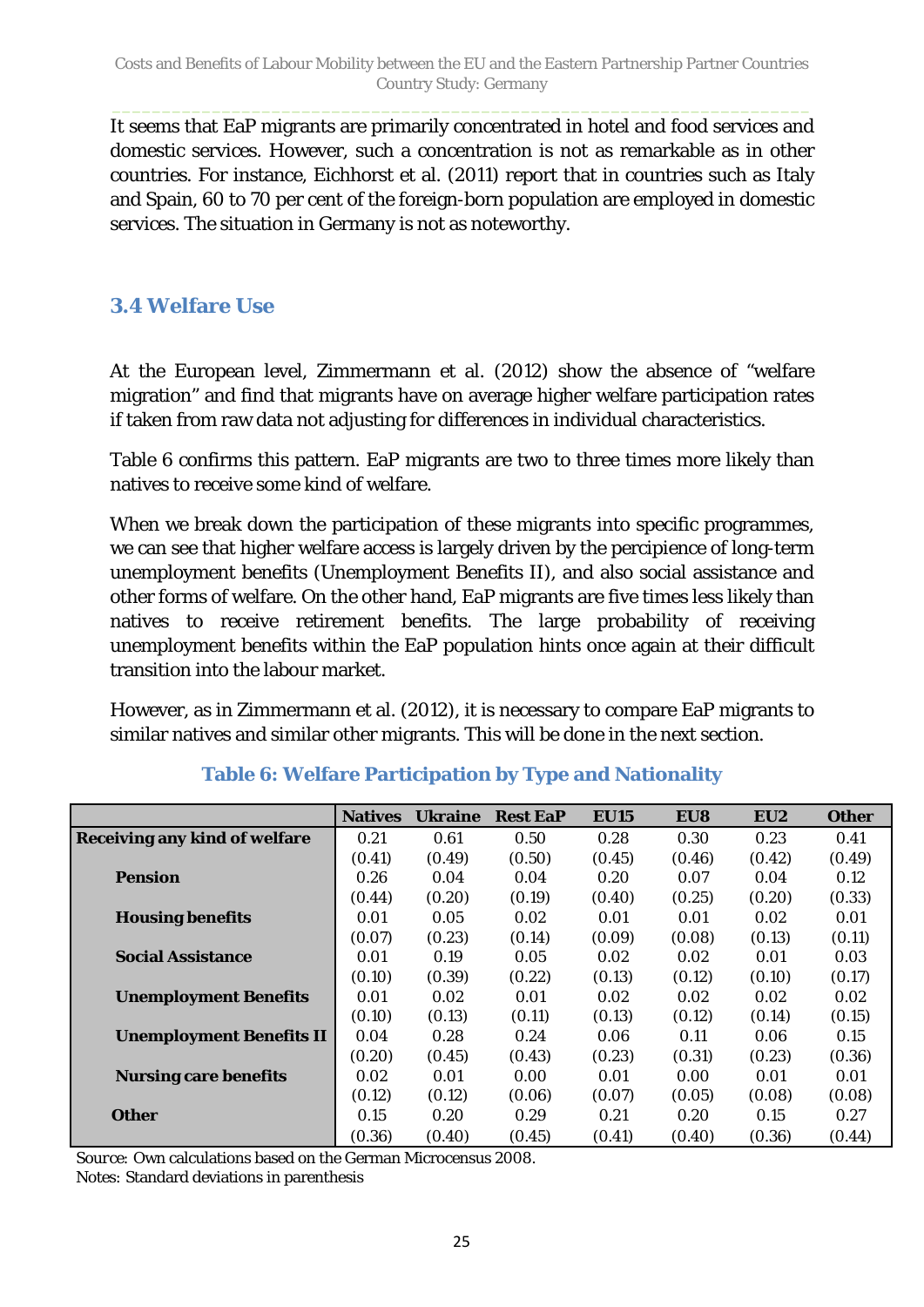It seems that EaP migrants are primarily concentrated in hotel and food services and domestic services. However, such a concentration is not as remarkable as in other countries. For instance, Eichhorst et al. (2011) report that in countries such as Italy and Spain, 60 to 70 per cent of the foreign-born population are employed in domestic services. The situation in Germany is not as noteworthy.

### <span id="page-24-0"></span>**3.4 Welfare Use**

At the European level, Zimmermann et al. (2012) show the absence of "welfare migration" and find that migrants have on average higher welfare participation rates if taken from raw data not adjusting for differences in individual characteristics.

[Table 6](#page-24-1) confirms this pattern. EaP migrants are two to three times more likely than natives to receive some kind of welfare.

When we break down the participation of these migrants into specific programmes, we can see that higher welfare access is largely driven by the percipience of long-term unemployment benefits (Unemployment Benefits II), and also social assistance and other forms of welfare. On the other hand, EaP migrants are five times less likely than natives to receive retirement benefits. The large probability of receiving unemployment benefits within the EaP population hints once again at their difficult transition into the labour market.

However, as in Zimmermann et al. (2012), it is necessary to compare EaP migrants to similar natives and similar other migrants. This will be done in the next section.

<span id="page-24-1"></span>

|                                      | <b>Natives</b> | <b>Ukraine</b> | <b>Rest EaP</b> | <b>EU15</b> | EU8    | EU <sub>2</sub> | <b>Other</b> |
|--------------------------------------|----------------|----------------|-----------------|-------------|--------|-----------------|--------------|
| <b>Receiving any kind of welfare</b> | 0.21           | 0.61           | 0.50            | 0.28        | 0.30   | 0.23            | 0.41         |
|                                      | (0.41)         | (0.49)         | (0.50)          | (0.45)      | (0.46) | (0.42)          | (0.49)       |
| <b>Pension</b>                       | 0.26           | 0.04           | 0.04            | 0.20        | 0.07   | 0.04            | 0.12         |
|                                      | (0.44)         | (0.20)         | (0.19)          | (0.40)      | (0.25) | (0.20)          | (0.33)       |
| <b>Housing benefits</b>              | 0.01           | 0.05           | 0.02            | 0.01        | 0.01   | 0.02            | 0.01         |
|                                      | (0.07)         | (0.23)         | (0.14)          | (0.09)      | (0.08) | (0.13)          | (0.11)       |
| <b>Social Assistance</b>             | 0.01           | 0.19           | 0.05            | 0.02        | 0.02   | 0.01            | 0.03         |
|                                      | (0.10)         | (0.39)         | (0.22)          | (0.13)      | (0.12) | (0.10)          | (0.17)       |
| <b>Unemployment Benefits</b>         | 0.01           | 0.02           | 0.01            | 0.02        | 0.02   | 0.02            | 0.02         |
|                                      | (0.10)         | (0.13)         | (0.11)          | (0.13)      | (0.12) | (0.14)          | (0.15)       |
| <b>Unemployment Benefits II</b>      | 0.04           | 0.28           | 0.24            | 0.06        | 0.11   | 0.06            | 0.15         |
|                                      | (0.20)         | (0.45)         | (0.43)          | (0.23)      | (0.31) | (0.23)          | (0.36)       |
| <b>Nursing care benefits</b>         | 0.02           | 0.01           | 0.00            | 0.01        | 0.00   | 0.01            | 0.01         |
|                                      | (0.12)         | (0.12)         | (0.06)          | (0.07)      | (0.05) | (0.08)          | (0.08)       |
| <b>Other</b>                         | 0.15           | 0.20           | 0.29            | 0.21        | 0.20   | 0.15            | 0.27         |
|                                      | (0.36)         | (0.40)         | (0.45)          | (0.41)      | (0.40) | (0.36)          | (0.44)       |

### **Table 6: Welfare Participation by Type and Nationality**

*Source:* Own calculations based on the German Microcensus 2008.

*Notes: S*tandard deviations in parenthesis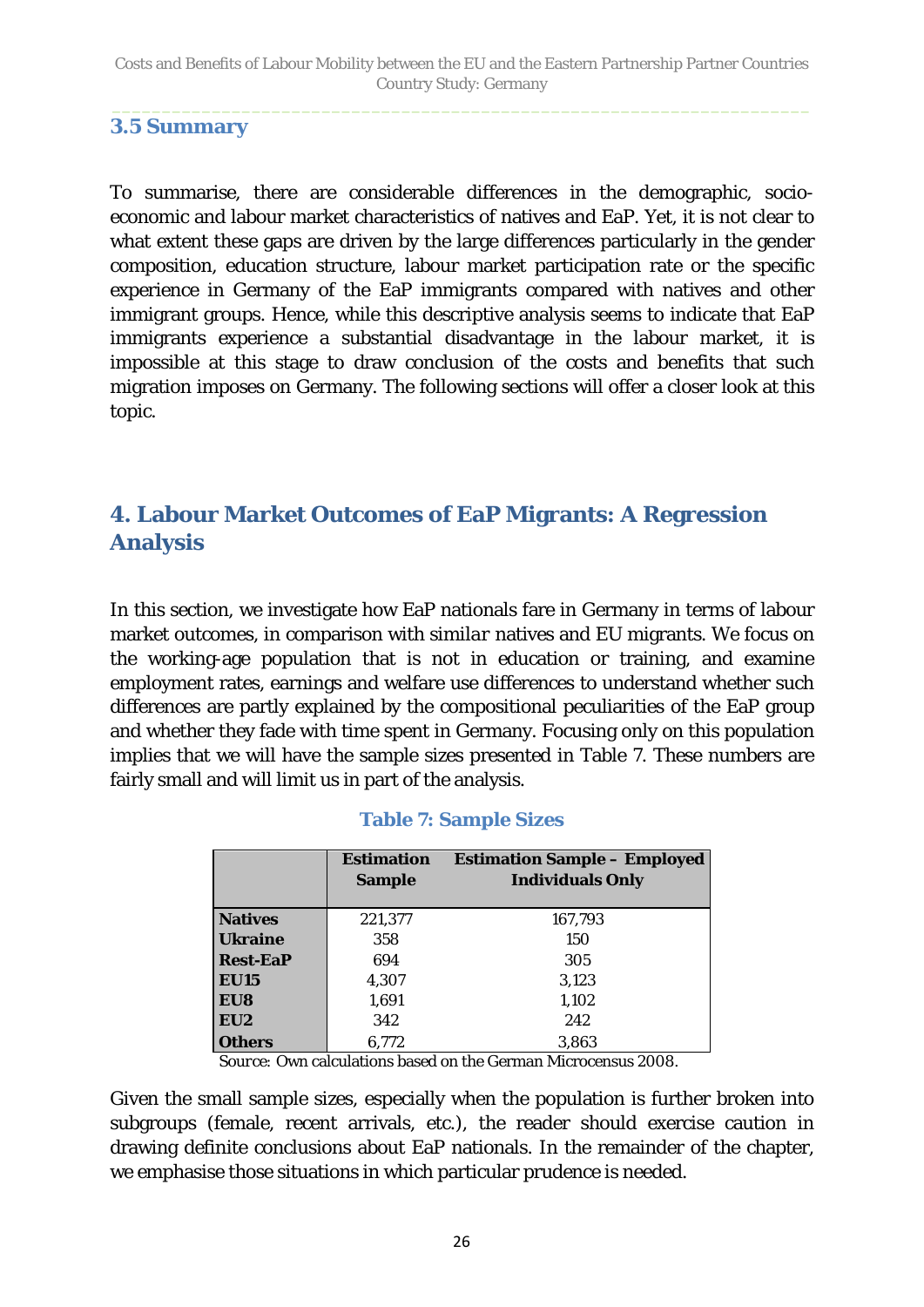### <span id="page-25-0"></span>**3.5 Summary**

To summarise, there are considerable differences in the demographic, socioeconomic and labour market characteristics of natives and EaP. Yet, it is not clear to what extent these gaps are driven by the large differences particularly in the gender composition, education structure, labour market participation rate or the specific experience in Germany of the EaP immigrants compared with natives and other immigrant groups. Hence, while this descriptive analysis seems to indicate that EaP immigrants experience a substantial disadvantage in the labour market, it is impossible at this stage to draw conclusion of the costs and benefits that such migration imposes on Germany. The following sections will offer a closer look at this topic.

# <span id="page-25-1"></span>**4. Labour Market Outcomes of EaP Migrants: A Regression Analysis**

In this section, we investigate how EaP nationals fare in Germany in terms of labour market outcomes, in comparison with *similar* natives and EU migrants. We focus on the working-age population that is not in education or training, and examine employment rates, earnings and welfare use differences to understand whether such differences are partly explained by the compositional peculiarities of the EaP group and whether they fade with time spent in Germany. Focusing only on this population implies that we will have the sample sizes presented in [Table 7.](#page-25-2) These numbers are fairly small and will limit us in part of the analysis.

<span id="page-25-2"></span>

|                 | <b>Estimation</b> | <b>Estimation Sample - Employed</b> |
|-----------------|-------------------|-------------------------------------|
|                 | <b>Sample</b>     | <b>Individuals Only</b>             |
|                 |                   |                                     |
| <b>Natives</b>  | 221,377           | 167,793                             |
| <b>Ukraine</b>  | 358               | 150                                 |
| <b>Rest-EaP</b> | 694               | 305                                 |
| <b>EU15</b>     | 4,307             | 3,123                               |
| EU8             | 1,691             | 1,102                               |
| EU <sub>2</sub> | 342               | 242                                 |
| <b>Others</b>   | 6,772             | 3.863                               |

#### **Table 7: Sample Sizes**

*Source: O*wn calculations based on the German Microcensus 2008.

Given the small sample sizes, especially when the population is further broken into subgroups (female, recent arrivals, etc.), the reader should exercise caution in drawing definite conclusions about EaP nationals. In the remainder of the chapter, we emphasise those situations in which particular prudence is needed.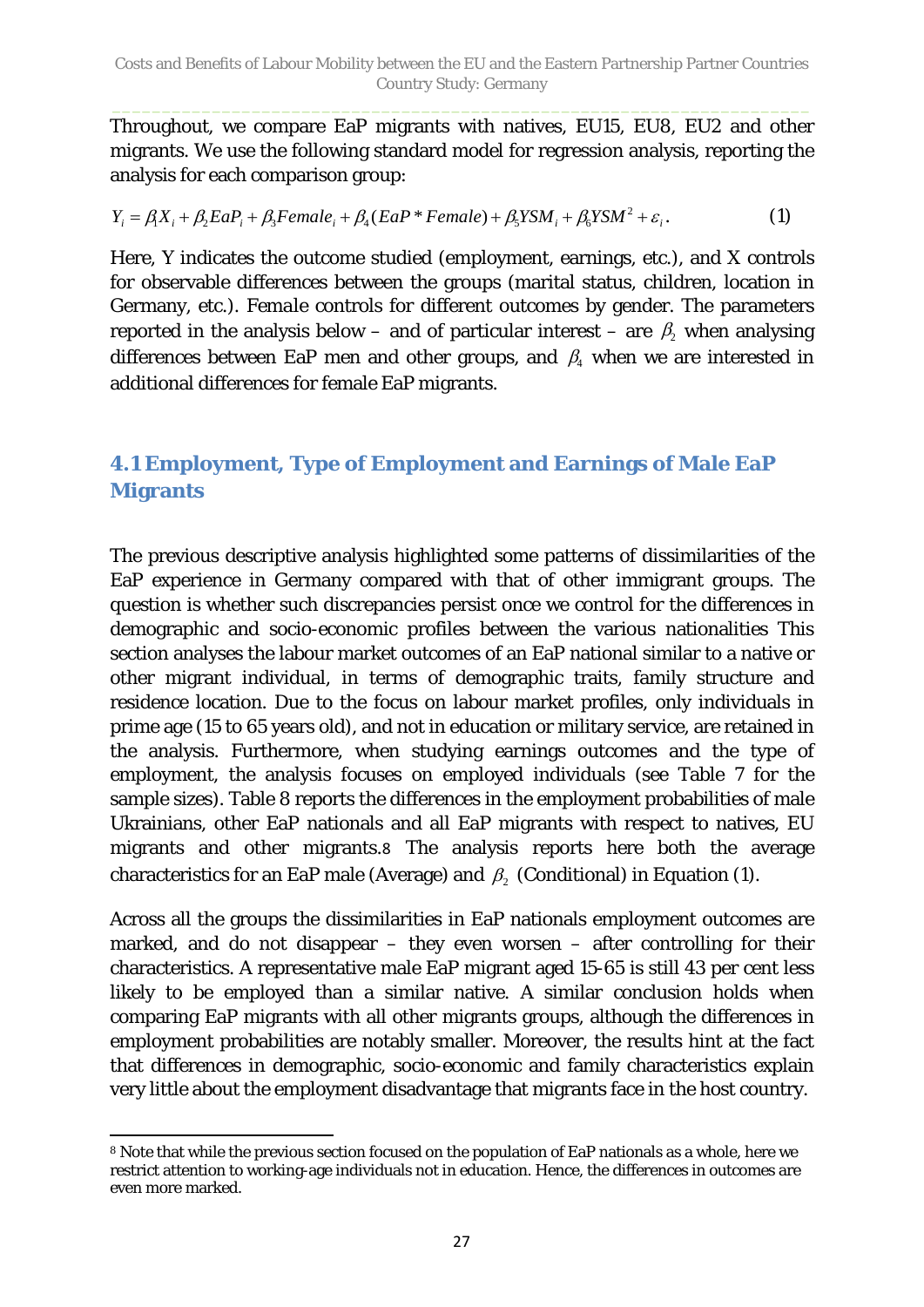Throughout, we compare EaP migrants with natives, EU15, EU8, EU2 and other migrants. We use the following standard model for regression analysis, reporting the analysis for each comparison group:

$$
Y_i = \beta_i X_i + \beta_2 E a P_i + \beta_3 F e male_i + \beta_4 (E a P * Female) + \beta_5 Y S M_i + \beta_6 Y S M^2 + \varepsilon_i.
$$
 (1)

Here, *Y* indicates the outcome studied (employment, earnings, etc.), and *X* controls for observable differences between the groups (marital status, children, location in Germany, etc.). *Female* controls for different outcomes by gender. The parameters reported in the analysis below – and of particular interest – are  $\,\beta_{\!2}$  when analysing differences between EaP men and other groups, and  $\beta_4$  when we are interested in additional differences for female EaP migrants.

## <span id="page-26-0"></span>**4.1 Employment, Type of Employment and Earnings of Male EaP Migrants**

The previous descriptive analysis highlighted some patterns of dissimilarities of the EaP experience in Germany compared with that of other immigrant groups. The question is whether such discrepancies persist once we control for the differences in demographic and socio-economic profiles between the various nationalities This section analyses the labour market outcomes of an EaP national similar to a native or other migrant individual, in terms of demographic traits, family structure and residence location. Due to the focus on labour market profiles, only individuals in prime age (15 to 65 years old), and not in education or military service, are retained in the analysis. Furthermore, when studying earnings outcomes and the type of employment, the analysis focuses on employed individuals (see [Table 7](#page-25-2) for the sample sizes). Table 8 reports the differences in the employment probabilities of male Ukrainians, other EaP nationals and all EaP migrants with respect to natives, EU migrants and other migrants.[8](#page-26-1) The analysis reports here both the average characteristics for an EaP male (Average) and  $\beta$ . (Conditional) in Equation (1).

Across all the groups the dissimilarities in EaP nationals employment outcomes are marked, and do not disappear – they even worsen – after controlling for their characteristics. A representative male EaP migrant aged 15-65 is still 43 per cent less likely to be employed than a similar native. A similar conclusion holds when comparing EaP migrants with all other migrants groups, although the differences in employment probabilities are notably smaller. Moreover, the results hint at the fact that differences in demographic, socio-economic and family characteristics explain very little about the employment disadvantage that migrants face in the host country.

<span id="page-26-1"></span> $\overline{a}$ <sup>8</sup> Note that while the previous section focused on the population of EaP nationals as a whole, here we restrict attention to working-age individuals not in education. Hence, the differences in outcomes are even more marked.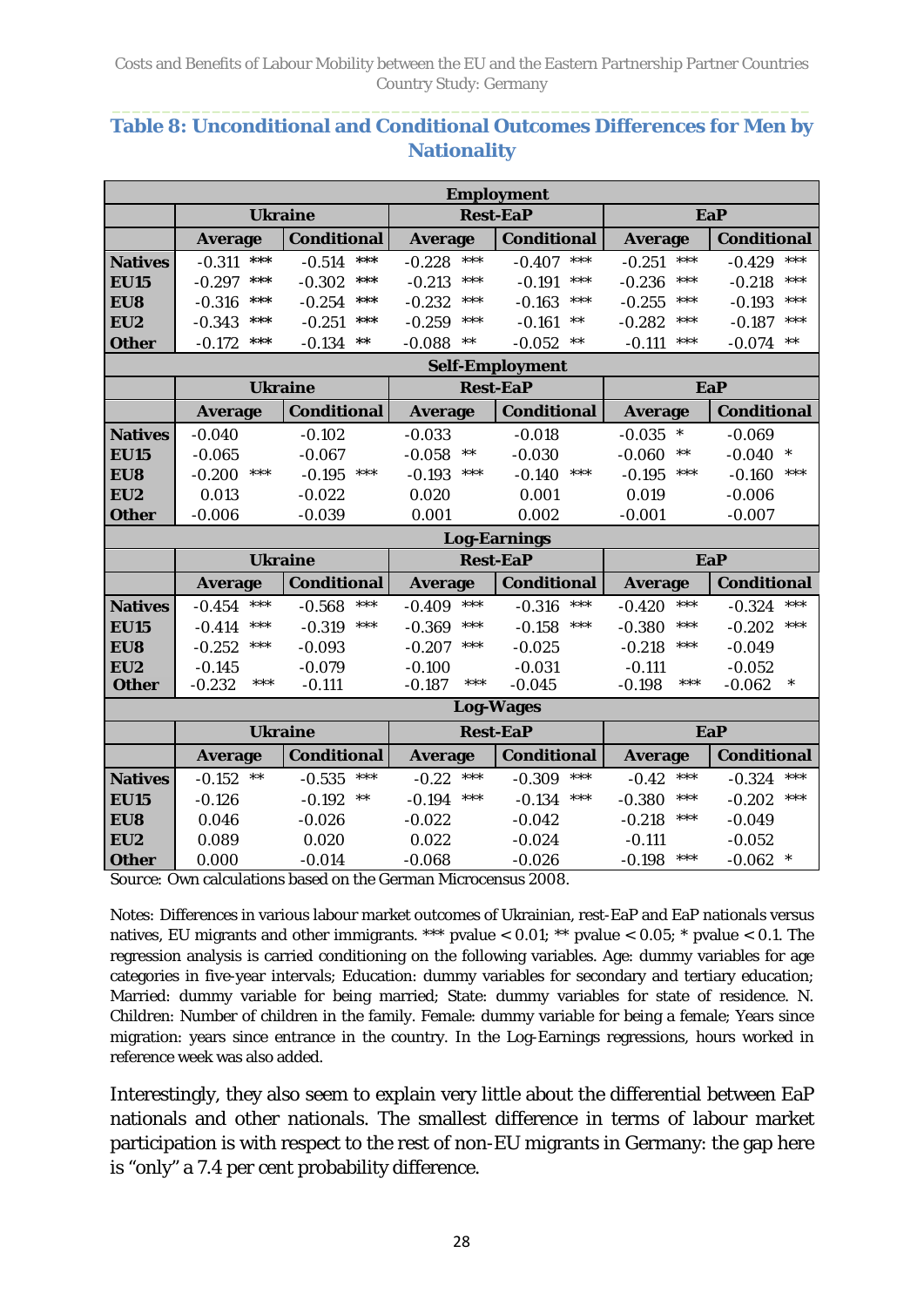#### **Table 8: Unconditional and Conditional Outcomes Differences for Men by Nationality**

| <b>Employment</b>   |                   |                    |                   |                        |                      |                      |  |  |  |  |
|---------------------|-------------------|--------------------|-------------------|------------------------|----------------------|----------------------|--|--|--|--|
|                     |                   | <b>Ukraine</b>     |                   | <b>Rest-EaP</b>        |                      | <b>EaP</b>           |  |  |  |  |
|                     | <b>Average</b>    | <b>Conditional</b> | <b>Average</b>    | <b>Conditional</b>     | <b>Average</b>       | <b>Conditional</b>   |  |  |  |  |
| <b>Natives</b>      | $-0.311$<br>***   | $-0.514$<br>$***$  | $-0.228$<br>***   | $***$<br>$-0.407$      | ***<br>$-0.251$      | ***<br>$-0.429$      |  |  |  |  |
| <b>EU15</b>         | $-0.297$<br>***   | $***$<br>$-0.302$  | $-0.213$<br>***   | $-0.191$<br>***        | ***<br>$-0.236$      | ***<br>$-0.218$      |  |  |  |  |
| EU8                 | $-0.316$<br>***   | $-0.254$<br>***    | $-0.232$<br>***   | $-0.163$<br>$***$      | $-0.255$<br>***      | ***<br>$-0.193$      |  |  |  |  |
| EU2                 | $-0.343$<br>***   | ***<br>$-0.251$    | $-0.259$<br>***   | $-0.161$<br>$***$      | ***<br>$-0.282$      | ***<br>$-0.187$      |  |  |  |  |
| <b>Other</b>        | $-0.172$<br>***   | $***$<br>$-0.134$  | $***$<br>$-0.088$ | $***$<br>$-0.052$      | ***<br>$-0.111$      | $***$<br>$-0.074$    |  |  |  |  |
|                     |                   |                    |                   | <b>Self-Employment</b> |                      |                      |  |  |  |  |
|                     |                   | <b>Ukraine</b>     |                   | <b>Rest-EaP</b>        |                      | <b>EaP</b>           |  |  |  |  |
|                     | <b>Average</b>    | <b>Conditional</b> | <b>Average</b>    | <b>Conditional</b>     | <b>Average</b>       | <b>Conditional</b>   |  |  |  |  |
| <b>Natives</b>      | $-0.040$          | $-0.102$           | $-0.033$          | $-0.018$               | $-0.035$<br>$\ast$   | $-0.069$             |  |  |  |  |
| <b>EU15</b>         | $-0.065$          | $-0.067$           | $-0.058$<br>$***$ | $-0.030$               | $***$<br>$-0.060$    | $\ast$<br>$-0.040$   |  |  |  |  |
| EU8                 | ***<br>$-0.200$   | $***$<br>$-0.195$  | $***$<br>$-0.193$ | $***$<br>$-0.140$      | $***$<br>$-0.195$    | $***$<br>$-0.160$    |  |  |  |  |
| EU2                 | 0.013             | $-0.022$           | 0.020             | 0.001                  | 0.019                | $-0.006$             |  |  |  |  |
| <b>Other</b>        | $-0.006$          | $-0.039$           | 0.001             | 0.002                  | $-0.001$             | $-0.007$             |  |  |  |  |
|                     |                   |                    |                   | <b>Log-Earnings</b>    |                      |                      |  |  |  |  |
|                     | <b>Ukraine</b>    |                    |                   | <b>Rest-EaP</b>        | <b>EaP</b>           |                      |  |  |  |  |
|                     |                   |                    |                   |                        |                      |                      |  |  |  |  |
|                     | <b>Average</b>    | <b>Conditional</b> | <b>Average</b>    | <b>Conditional</b>     | <b>Average</b>       | <b>Conditional</b>   |  |  |  |  |
| <b>Natives</b>      | ***<br>$-0.454$   | $***$<br>$-0.568$  | ***<br>$-0.409$   | $***$<br>$-0.316$      | ***<br>$-0.420$      | ***<br>$-0.324$      |  |  |  |  |
| <b>EU15</b>         | ***<br>$-0.414$   | $***$<br>$-0.319$  | $-0.369$<br>***   | $-0.158$<br>***        | $***$<br>$-0.380$    | ***<br>$-0.202$      |  |  |  |  |
| EU8                 | $-0.252$<br>***   | $-0.093$           | $***$<br>$-0.207$ | $-0.025$               | ***<br>$-0.218$      | $-0.049$             |  |  |  |  |
| EU <sub>2</sub>     | $-0.145$          | $-0.079$           | $-0.100$          | $-0.031$               | $-0.111$             | $-0.052$             |  |  |  |  |
| <b>Other</b>        | ***<br>$-0.232$   | $-0.111$           | ***<br>$-0.187$   | $-0.045$               | $-0.198$<br>***      | $\ast$<br>$-0.062$   |  |  |  |  |
|                     |                   |                    |                   | <b>Log-Wages</b>       |                      |                      |  |  |  |  |
|                     |                   | <b>Ukraine</b>     |                   | <b>Rest-EaP</b>        |                      | <b>EaP</b>           |  |  |  |  |
|                     | <b>Average</b>    | <b>Conditional</b> | <b>Average</b>    | <b>Conditional</b>     | <b>Average</b>       | <b>Conditional</b>   |  |  |  |  |
| <b>Natives</b>      | $-0.152$<br>$***$ | $***$<br>$-0.535$  | $-0.22$<br>$***$  | $***$<br>$-0.309$      | ***<br>$-0.42$       | $***$<br>$-0.324$    |  |  |  |  |
| <b>EU15</b>         | $-0.126$          | $***$<br>$-0.192$  | $***$<br>$-0.194$ | $***$<br>$-0.134$      | ***<br>$-0.380$      | $***$<br>$-0.202$    |  |  |  |  |
| EU8                 | 0.046             | $-0.026$           | $-0.022$          | $-0.042$               | $-0.218$<br>***      | $-0.049$             |  |  |  |  |
| EU2<br><b>Other</b> | 0.089<br>0.000    | 0.020<br>$-0.014$  | 0.022<br>$-0.068$ | $-0.024$<br>$-0.026$   | $-0.111$<br>$-0.198$ | $-0.052$<br>$-0.062$ |  |  |  |  |

*Source:* Own calculations based on the German Microcensus 2008.

*Notes:* Differences in various labour market outcomes of Ukrainian, rest-EaP and EaP nationals versus natives, EU migrants and other immigrants. \*\*\* pvalue  $< 0.01$ ; \*\* pvalue  $< 0.05$ ; \* pvalue  $< 0.1$ . The regression analysis is carried conditioning on the following variables. Age: dummy variables for age categories in five-year intervals; Education: dummy variables for secondary and tertiary education; Married: dummy variable for being married; State: dummy variables for state of residence. N. Children: Number of children in the family. Female: dummy variable for being a female; Years since migration: years since entrance in the country. In the Log-Earnings regressions, hours worked in reference week was also added.

Interestingly, they also seem to explain very little about the differential between EaP nationals and other nationals. The smallest difference in terms of labour market participation is with respect to the rest of non-EU migrants in Germany: the gap here is "only" a 7.4 per cent probability difference.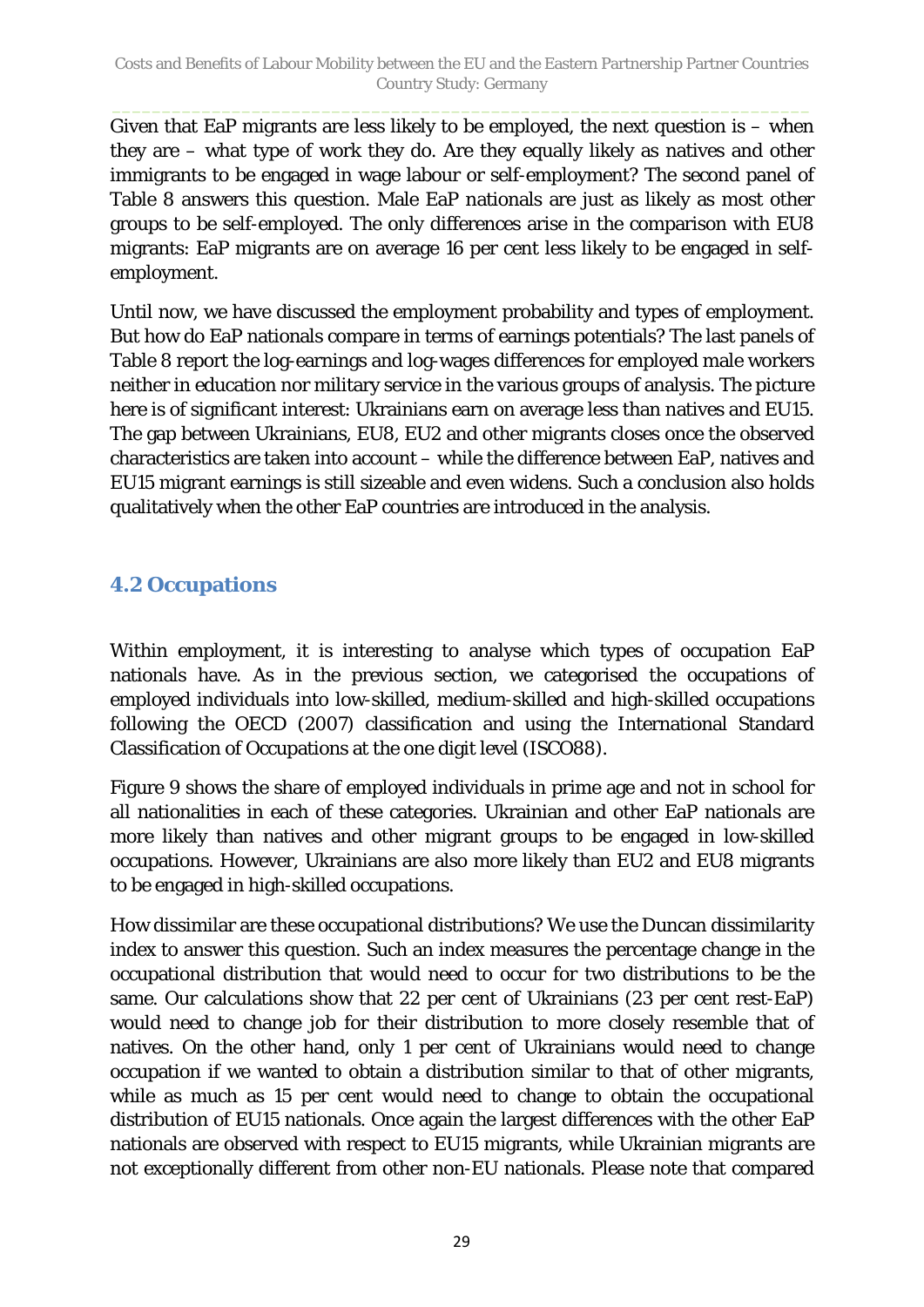Given that EaP migrants are less likely to be employed, the next question is  $-$  when they are – what type of work they do. Are they equally likely as natives and other immigrants to be engaged in wage labour or self-employment? The second panel of Table 8 answers this question. Male EaP nationals are just as likely as most other groups to be self-employed. The only differences arise in the comparison with EU8 migrants: EaP migrants are on average 16 per cent less likely to be engaged in selfemployment.

Until now, we have discussed the employment probability and types of employment. But how do EaP nationals compare in terms of earnings potentials? The last panels of Table 8 report the log-earnings and log-wages differences for employed male workers neither in education nor military service in the various groups of analysis. The picture here is of significant interest: Ukrainians earn on average less than natives and EU15. The gap between Ukrainians, EU8, EU2 and other migrants closes once the observed characteristics are taken into account – while the difference between EaP, natives and EU15 migrant earnings is still sizeable and even widens. Such a conclusion also holds qualitatively when the other EaP countries are introduced in the analysis.

### <span id="page-28-0"></span>**4.2 Occupations**

Within employment, it is interesting to analyse which types of occupation EaP nationals have. As in the previous section, we categorised the occupations of employed individuals into low-skilled, medium-skilled and high-skilled occupations following the OECD (2007) classification and using the International Standard Classification of Occupations at the one digit level (ISCO88).

[Figure 9](#page-29-1) shows the share of employed individuals in prime age and not in school for all nationalities in each of these categories. Ukrainian and other EaP nationals are more likely than natives and other migrant groups to be engaged in low-skilled occupations. However, Ukrainians are also more likely than EU2 and EU8 migrants to be engaged in high-skilled occupations.

How dissimilar are these occupational distributions? We use the Duncan dissimilarity index to answer this question. Such an index measures the percentage change in the occupational distribution that would need to occur for two distributions to be the same. Our calculations show that 22 per cent of Ukrainians (23 per cent rest-EaP) would need to change job for their distribution to more closely resemble that of natives. On the other hand, only 1 per cent of Ukrainians would need to change occupation if we wanted to obtain a distribution similar to that of other migrants, while as much as 15 per cent would need to change to obtain the occupational distribution of EU15 nationals. Once again the largest differences with the other EaP nationals are observed with respect to EU15 migrants, while Ukrainian migrants are not exceptionally different from other non-EU nationals. Please note that compared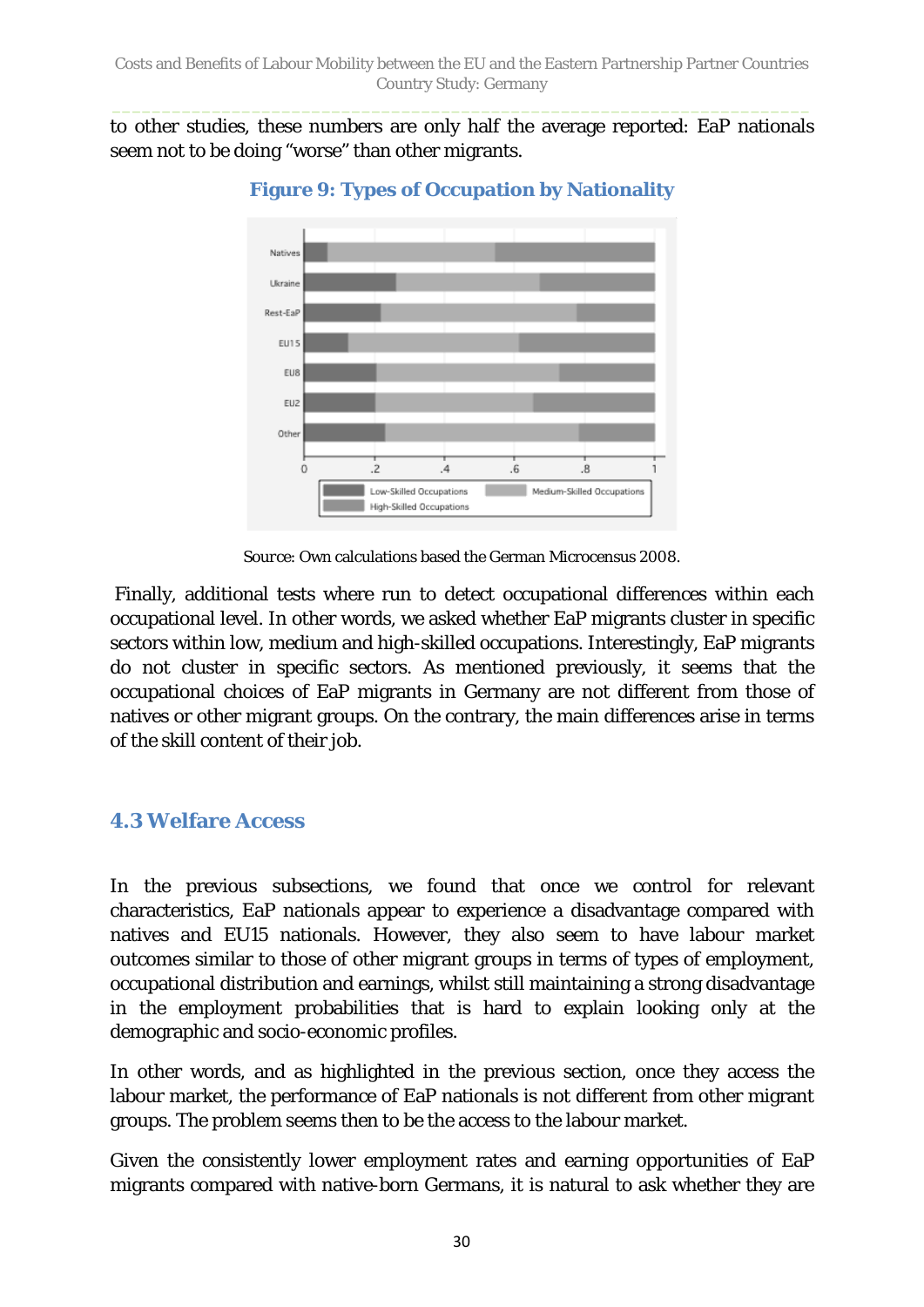<span id="page-29-1"></span>to other studies, these numbers are only half the average reported: EaP nationals seem not to be doing "worse" than other migrants.



**Figure 9: Types of Occupation by Nationality**

*Source*: Own calculations based the German Microcensus 2008.

Finally, additional tests where run to detect occupational differences within each occupational level. In other words, we asked whether EaP migrants cluster in specific sectors within low, medium and high-skilled occupations. Interestingly, EaP migrants do not cluster in specific sectors. As mentioned previously, it seems that the occupational choices of EaP migrants in Germany are not different from those of natives or other migrant groups. On the contrary, the main differences arise in terms of the skill content of their job.

#### <span id="page-29-0"></span>**4.3 Welfare Access**

In the previous subsections, we found that once we control for relevant characteristics, EaP nationals appear to experience a disadvantage compared with natives and EU15 nationals. However, they also seem to have labour market outcomes similar to those of other migrant groups in terms of types of employment, occupational distribution and earnings, whilst still maintaining a strong disadvantage in the employment probabilities that is hard to explain looking only at the demographic and socio-economic profiles.

In other words, and as highlighted in the previous section, once they access the labour market, the performance of EaP nationals is not different from other migrant groups. The problem seems then to be the access to the labour market.

Given the consistently lower employment rates and earning opportunities of EaP migrants compared with native-born Germans, it is natural to ask whether they are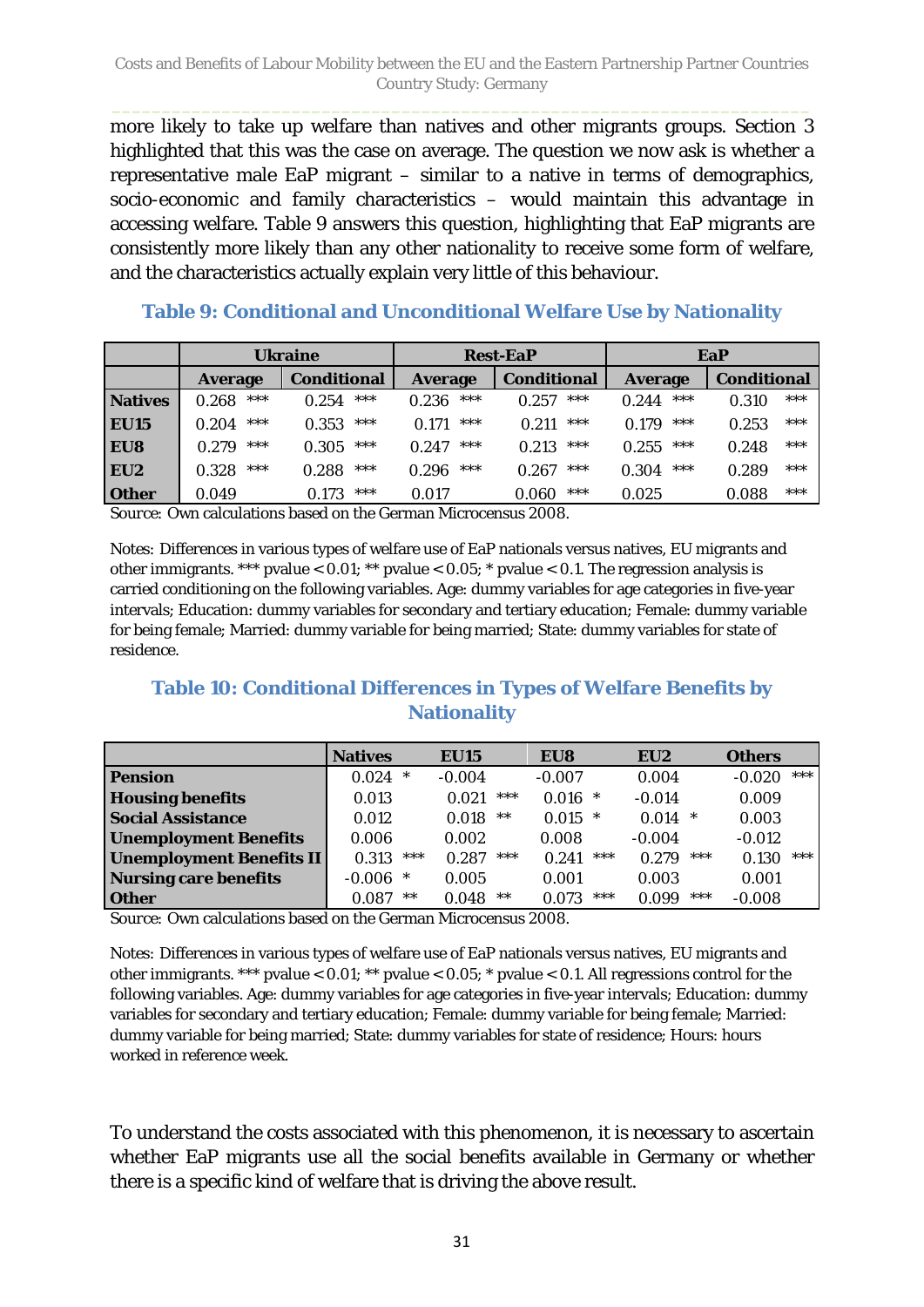more likely to take up welfare than natives and other migrants groups. Section 3 highlighted that this was the case on average. The question we now ask is whether a representative male EaP migrant – similar to a native in terms of demographics, socio-economic and family characteristics – would maintain this advantage in accessing welfare. [Table](#page-30-0) 9 answers this question, highlighting that EaP migrants are consistently more likely than any other nationality to receive some form of welfare, and the characteristics actually explain very little of this behaviour.

|                 |                | <b>Ukraine</b>     |                | <b>Rest-EaP</b>    | EaP            |                    |  |  |
|-----------------|----------------|--------------------|----------------|--------------------|----------------|--------------------|--|--|
|                 | <b>Average</b> | <b>Conditional</b> | <b>Average</b> | <b>Conditional</b> | <b>Average</b> | <b>Conditional</b> |  |  |
| <b>Natives</b>  | ***            | ***                | ***            | $***$              | ***            | ***                |  |  |
|                 | 0.268          | 0.254              | 0.236          | 0.257              | 0.244          | 0.310              |  |  |
| <b>EU15</b>     | ***            | ***                | ***            | ***                | ***            | ***                |  |  |
|                 | 0.204          | 0.353              | 0.171          | 0.211              | 0.179          | 0.253              |  |  |
| EU8             | ***            | ***                | ***            | ***                | ***            | ***                |  |  |
|                 | 0.279          | 0.305              | 0.247          | 0.213              | 0.255          | 0.248              |  |  |
| EU <sub>2</sub> | ***            | ***                | $***$          | $***$              | ***            | ***                |  |  |
|                 | 0.328          | 0.288              | 0.296          | 0.267              | 0.304          | 0.289              |  |  |
| <b>Other</b>    | 0.049          | ***<br>0.173       | 0.017          | ***<br>0.060       | 0.025          | ***<br>0.088       |  |  |

<span id="page-30-0"></span>**Table 9: Conditional and Unconditional Welfare Use by Nationality**

*Source:* Own calculations based on the German Microcensus 2008.

*Notes:* Differences in various types of welfare use of EaP nationals versus natives, EU migrants and other immigrants. \*\*\* pvalue  $< 0.01$ ; \*\* pvalue  $< 0.05$ ; \* pvalue  $< 0.1$ . The regression analysis is carried conditioning on the following variables. Age: dummy variables for age categories in five-year intervals; Education: dummy variables for secondary and tertiary education; Female: dummy variable for being female; Married: dummy variable for being married; State: dummy variables for state of residence.

### **Table 10: Conditional Differences in Types of Welfare Benefits by Nationality**

|                                 | <b>Natives</b> |        | <b>EU15</b> |       | EU8      |        | EU <sub>2</sub> |       | <b>Others</b> |       |
|---------------------------------|----------------|--------|-------------|-------|----------|--------|-----------------|-------|---------------|-------|
| <b>Pension</b>                  | 0.024          | $\ast$ | $-0.004$    |       | $-0.007$ |        | 0.004           |       | $-0.020$      | $***$ |
| <b>Housing benefits</b>         | 0.013          |        | 0.021       | ***   | 0.016    | ∗      | $-0.014$        |       | 0.009         |       |
| <b>Social Assistance</b>        | 0.012          |        | 0.018       | $***$ | 0.015    | $\ast$ | 0.014           | *     | 0.003         |       |
| <b>Unemployment Benefits</b>    | 0.006          |        | 0.002       |       | 0.008    |        | $-0.004$        |       | $-0.012$      |       |
| <b>Unemployment Benefits II</b> | 0.313          | ***    | 0.287       | ***   | 0.241    | ***    | 0.279           | $***$ | 0.130         | ***   |
| <b>Nursing care benefits</b>    | $-0.006$       | $\ast$ | 0.005       |       | 0.001    |        | 0.003           |       | 0.001         |       |
| <b>Other</b>                    | 0.087          | $***$  | 0.048       | $***$ | 0.073    | ***    | 0.099           | ***   | $-0.008$      |       |

*Source:* Own calculations based on the German Microcensus 2008.

*Notes:* Differences in various types of welfare use of EaP nationals versus natives, EU migrants and other immigrants. \*\*\* pvalue < 0.01; \*\* pvalue < 0.05; \* pvalue < 0.1. All regressions control for the following variables. Age: dummy variables for age categories in five-year intervals; Education: dummy variables for secondary and tertiary education; Female: dummy variable for being female; Married: dummy variable for being married; State: dummy variables for state of residence; Hours: hours worked in reference week.

To understand the costs associated with this phenomenon, it is necessary to ascertain whether EaP migrants use all the social benefits available in Germany or whether there is a specific kind of welfare that is driving the above result.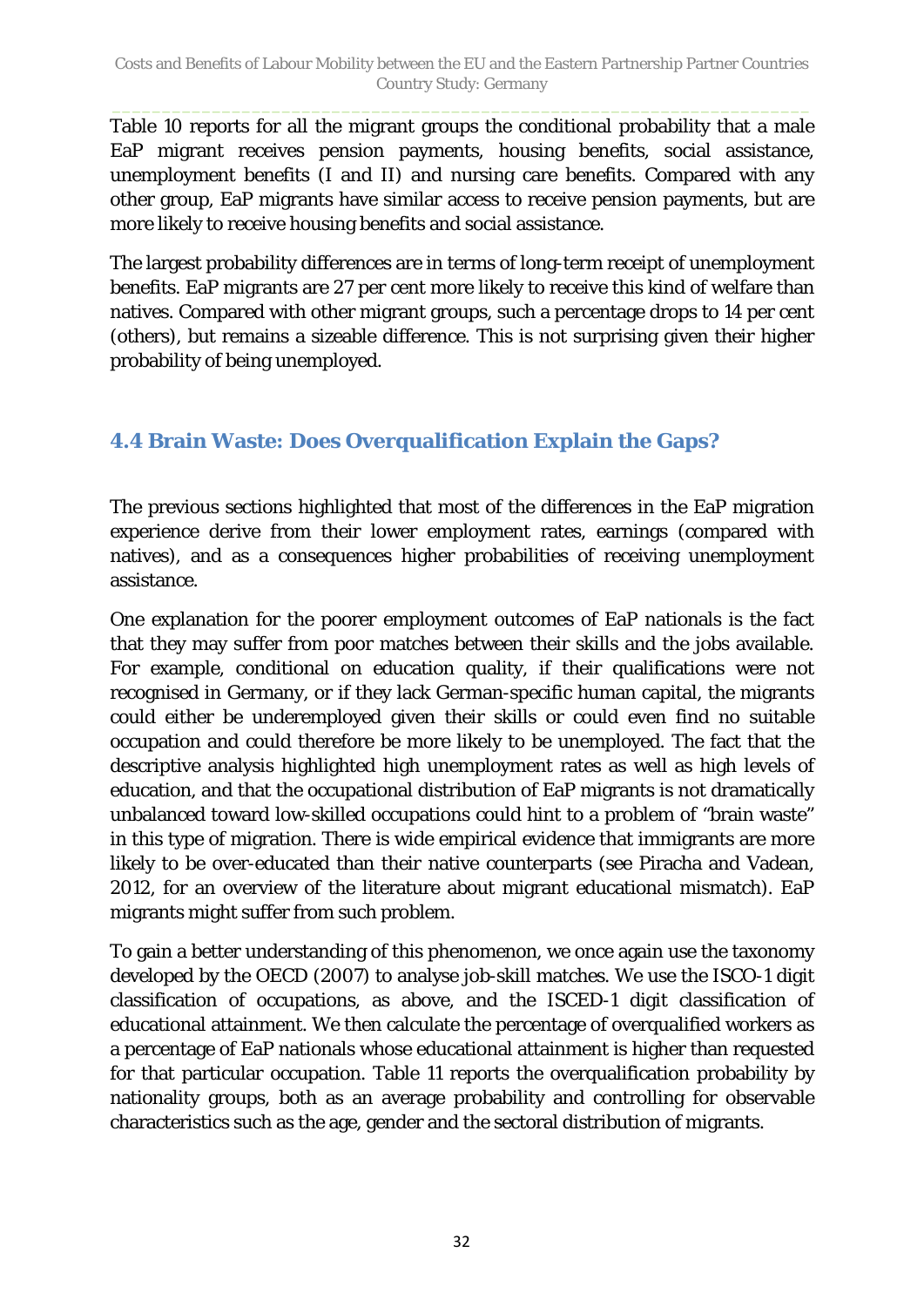Table 10 reports for all the migrant groups the conditional probability that a male EaP migrant receives pension payments, housing benefits, social assistance, unemployment benefits (I and II) and nursing care benefits. Compared with any other group, EaP migrants have similar access to receive pension payments, but are more likely to receive housing benefits and social assistance.

The largest probability differences are in terms of long-term receipt of unemployment benefits. EaP migrants are 27 per cent more likely to receive this kind of welfare than natives. Compared with other migrant groups, such a percentage drops to 14 per cent (others), but remains a sizeable difference. This is not surprising given their higher probability of being unemployed.

## <span id="page-31-0"></span>**4.4 Brain Waste: Does Overqualification Explain the Gaps?**

The previous sections highlighted that most of the differences in the EaP migration experience derive from their lower employment rates, earnings (compared with natives), and as a consequences higher probabilities of receiving unemployment assistance.

One explanation for the poorer employment outcomes of EaP nationals is the fact that they may suffer from poor matches between their skills and the jobs available. For example, conditional on education quality, if their qualifications were not recognised in Germany, or if they lack German-specific human capital, the migrants could either be underemployed given their skills or could even find no suitable occupation and could therefore be more likely to be unemployed. The fact that the descriptive analysis highlighted high unemployment rates as well as high levels of education, and that the occupational distribution of EaP migrants is not dramatically unbalanced toward low-skilled occupations could hint to a problem of "brain waste" in this type of migration. There is wide empirical evidence that immigrants are more likely to be over-educated than their native counterparts (see Piracha and Vadean, 2012, for an overview of the literature about migrant educational mismatch). EaP migrants might suffer from such problem.

To gain a better understanding of this phenomenon, we once again use the taxonomy developed by the OECD (2007) to analyse job-skill matches. We use the ISCO-1 digit classification of occupations, as above, and the ISCED-1 digit classification of educational attainment. We then calculate the percentage of overqualified workers as a percentage of EaP nationals whose educational attainment is higher than requested for that particular occupation. [Table 11](#page-32-0) reports the overqualification probability by nationality groups, both as an average probability and controlling for observable characteristics such as the age, gender and the sectoral distribution of migrants.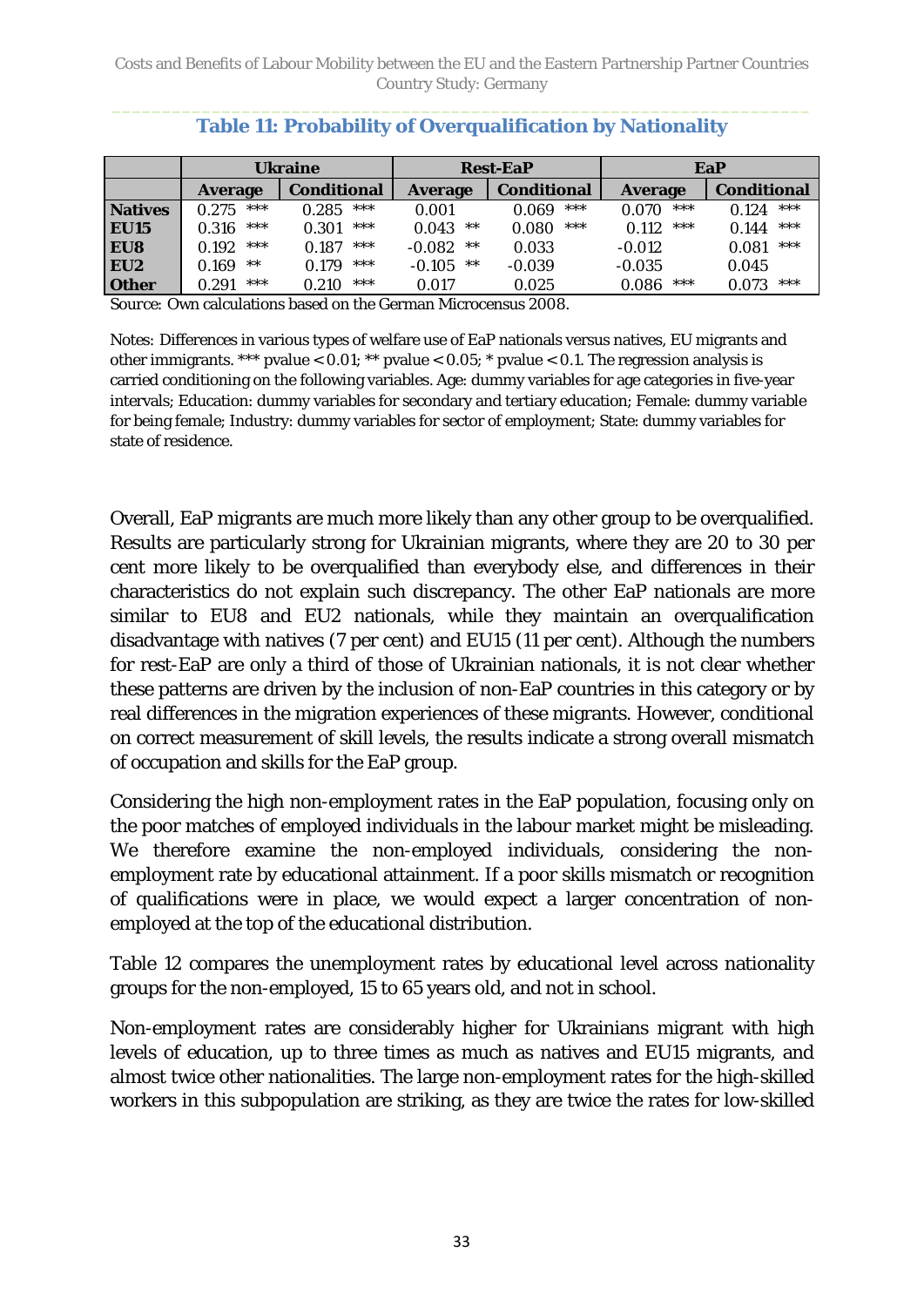<span id="page-32-0"></span>

|                |                | <b>Ukraine</b><br><b>Rest-EaP</b> |                   |                    | EaP            |                    |
|----------------|----------------|-----------------------------------|-------------------|--------------------|----------------|--------------------|
|                | <b>Average</b> | <b>Conditional</b>                | <b>Average</b>    | <b>Conditional</b> | <b>Average</b> | <b>Conditional</b> |
| <b>Natives</b> | ***<br>0.275   | ***<br>0.285                      | 0.001             | ***<br>0.069       | ***<br>0.070   | $***$<br>0.124     |
| <b>EU15</b>    | ***<br>0.316   | ***<br>0.301                      | 0.043<br>$***$    | ***<br>0.080       | ***<br>0.112   | $***$<br>0.144     |
| EU8            | ***<br>0.192   | ***<br>0.187                      | $**$<br>$-0.082$  | 0.033              | $-0.012$       | ***<br>0.081       |
| EU2            | $**$<br>0.169  | ***<br>0.179                      | $***$<br>$-0.105$ | $-0.039$           | $-0.035$       | 0.045              |
| <b>Other</b>   | ***<br>0.291   | ***<br>0.210                      | 0.017             | 0.025              | ***<br>0.086   | ***<br>0.073       |

### **Table 11: Probability of Overqualification by Nationality**

*Source:* Own calculations based on the German Microcensus 2008.

*Notes:* Differences in various types of welfare use of EaP nationals versus natives, EU migrants and other immigrants. \*\*\* pvalue <  $0.01$ ; \*\* pvalue <  $0.05$ ; \* pvalue <  $0.1$ . The regression analysis is carried conditioning on the following variables. Age: dummy variables for age categories in five-year intervals; Education: dummy variables for secondary and tertiary education; Female: dummy variable for being female; Industry: dummy variables for sector of employment; State: dummy variables for state of residence.

Overall, EaP migrants are much more likely than any other group to be overqualified. Results are particularly strong for Ukrainian migrants, where they are 20 to 30 per cent more likely to be overqualified than everybody else, and differences in their characteristics do not explain such discrepancy. The other EaP nationals are more similar to EU8 and EU2 nationals, while they maintain an overqualification disadvantage with natives (7 per cent) and EU15 (11 per cent). Although the numbers for rest-EaP are only a third of those of Ukrainian nationals, it is not clear whether these patterns are driven by the inclusion of non-EaP countries in this category or by real differences in the migration experiences of these migrants. However, conditional on correct measurement of skill levels, the results indicate a strong overall mismatch of occupation and skills for the EaP group.

Considering the high non-employment rates in the EaP population, focusing only on the poor matches of employed individuals in the labour market might be misleading. We therefore examine the non-employed individuals, considering the nonemployment rate by educational attainment. If a poor skills mismatch or recognition of qualifications were in place, we would expect a larger concentration of nonemployed at the top of the educational distribution.

[Table 12](#page-33-1) compares the unemployment rates by educational level across nationality groups for the non-employed, 15 to 65 years old, and not in school.

Non-employment rates are considerably higher for Ukrainians migrant with high levels of education, up to three times as much as natives and EU15 migrants, and almost twice other nationalities. The large non-employment rates for the high-skilled workers in this subpopulation are striking, as they are twice the rates for low-skilled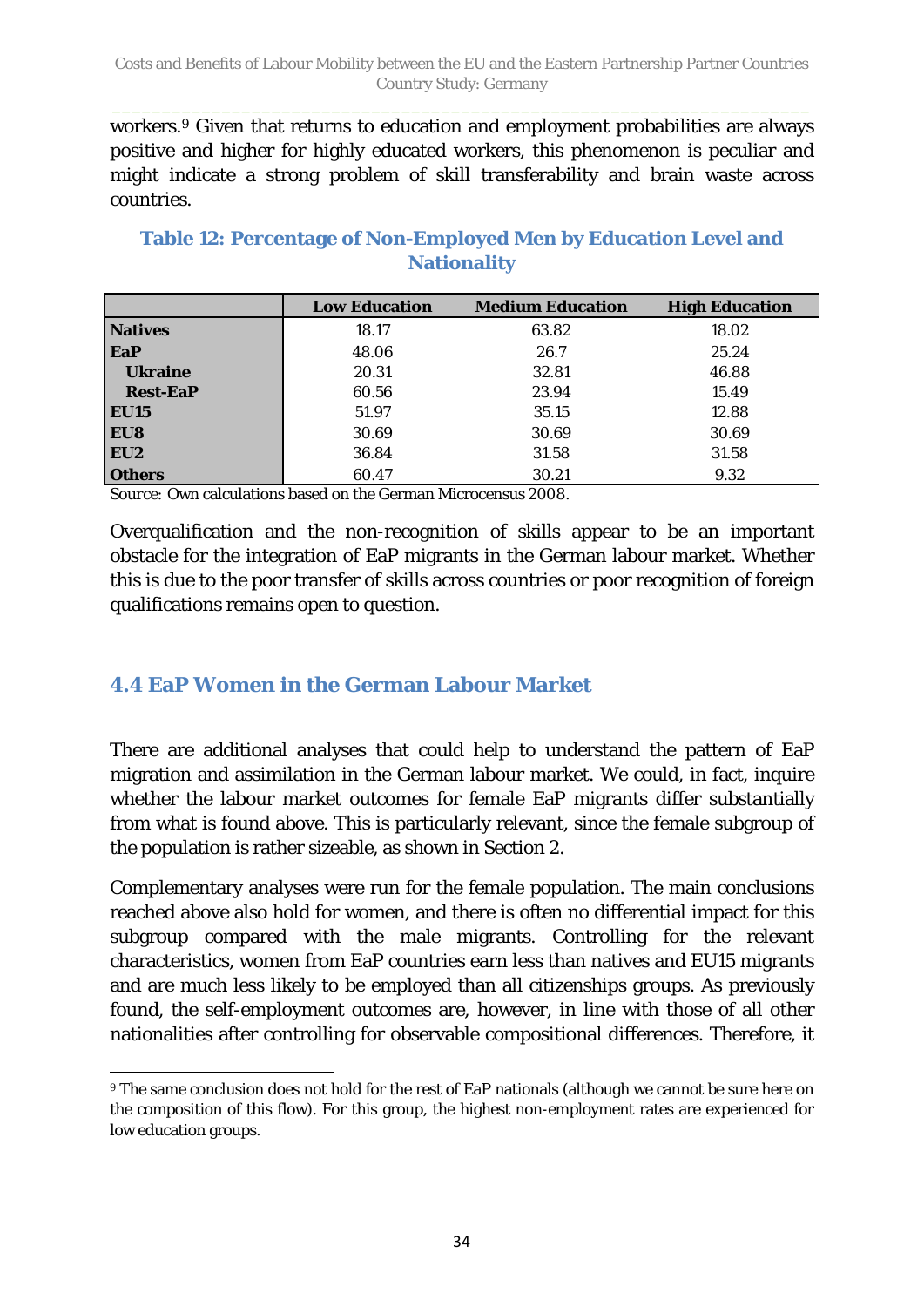workers.[9](#page-33-2) Given that returns to education and employment probabilities are always positive and higher for highly educated workers, this phenomenon is peculiar and might indicate a strong problem of skill transferability and brain waste across countries.

|                 | <b>Low Education</b> | <b>Medium Education</b> | <b>High Education</b> |
|-----------------|----------------------|-------------------------|-----------------------|
| <b>Natives</b>  | 18.17                | 63.82                   | 18.02                 |
| EaP             | 48.06                | 26.7                    | 25.24                 |
| <b>Ukraine</b>  | 20.31                | 32.81                   | 46.88                 |
| <b>Rest-EaP</b> | 60.56                | 23.94                   | 15.49                 |
| <b>EU15</b>     | 51.97                | 35.15                   | 12.88                 |
| EU8             | 30.69                | 30.69                   | 30.69                 |
| EU <sub>2</sub> | 36.84                | 31.58                   | 31.58                 |
| <b>Others</b>   | 60.47                | 30.21                   | 9.32                  |

## <span id="page-33-1"></span>**Table 12: Percentage of Non-Employed Men by Education Level and Nationality**

*Source: O*wn calculations based on the German Microcensus 2008.

Overqualification and the non-recognition of skills appear to be an important obstacle for the integration of EaP migrants in the German labour market. Whether this is due to the poor transfer of skills across countries or poor recognition of foreign qualifications remains open to question.

### <span id="page-33-0"></span>**4.4 EaP Women in the German Labour Market**

There are additional analyses that could help to understand the pattern of EaP migration and assimilation in the German labour market. We could, in fact, inquire whether the labour market outcomes for female EaP migrants differ substantially from what is found above. This is particularly relevant, since the female subgroup of the population is rather sizeable, as shown in Section 2.

Complementary analyses were run for the female population. The main conclusions reached above also hold for women, and there is often no differential impact for this subgroup compared with the male migrants. Controlling for the relevant characteristics, women from EaP countries earn less than natives and EU15 migrants and are much less likely to be employed than all citizenships groups. As previously found, the self-employment outcomes are, however, in line with those of all other nationalities after controlling for observable compositional differences. Therefore, it

<span id="page-33-2"></span> $\overline{a}$ <sup>9</sup> The same conclusion does not hold for the rest of EaP nationals (although we cannot be sure here on the composition of this flow). For this group, the highest non-employment rates are experienced for low education groups.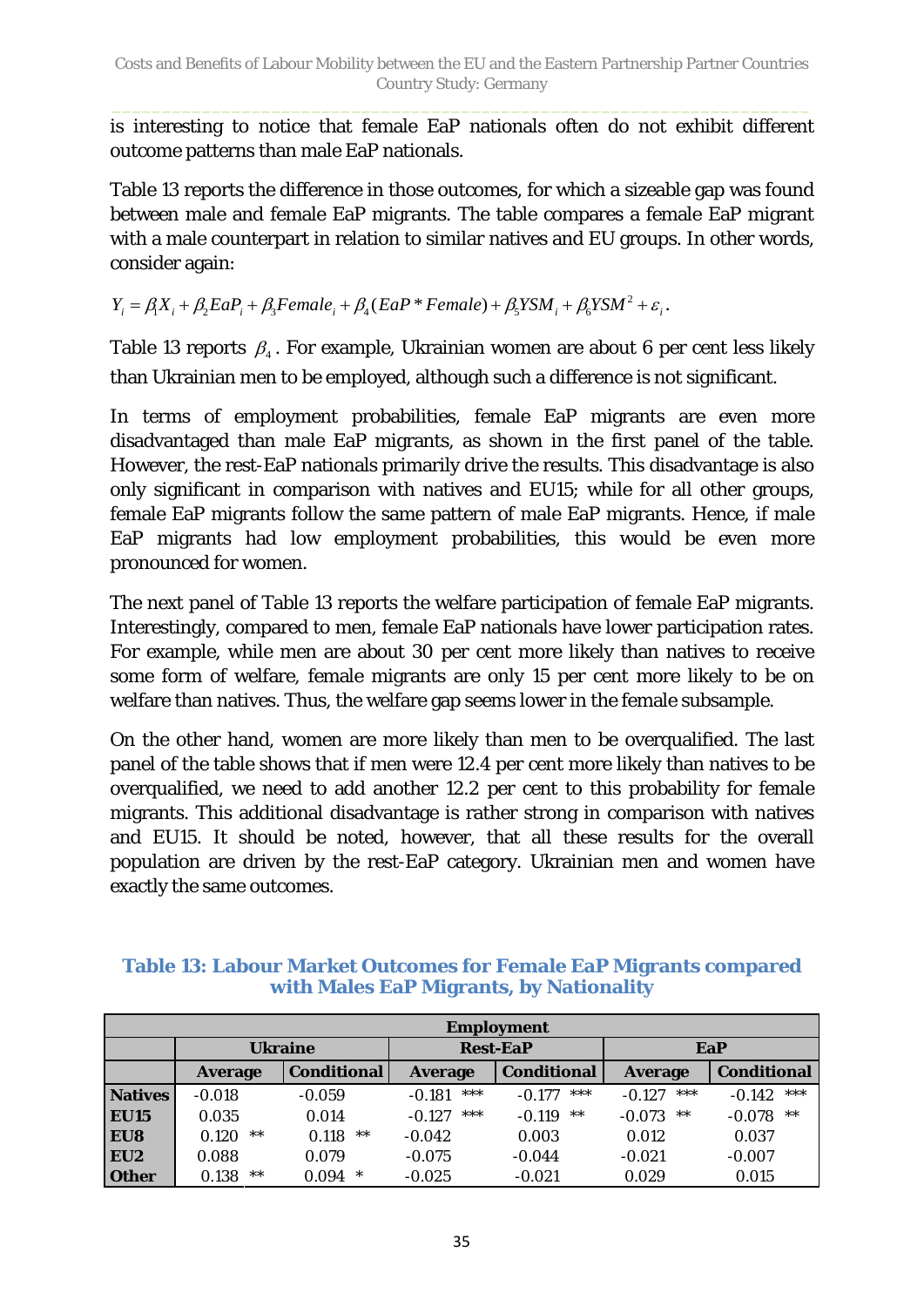is interesting to notice that female EaP nationals often do not exhibit different outcome patterns than male EaP nationals.

[Table 13](#page-34-0) reports the difference in those outcomes, for which a sizeable gap was found between male and female EaP migrants. The table compares a female EaP migrant with a male counterpart in relation to similar natives and EU groups. In other words, consider again:

 $Y_i = \beta_i X_i + \beta_2 E a P_i + \beta_3 F e male_i + \beta_4 (E a P * Female) + \beta_5 Y S M_i + \beta_6 Y S M^2 + \varepsilon_i$ 

Table 13 reports  $\beta$ . For example, Ukrainian women are about 6 per cent less likely than Ukrainian men to be employed, although such a difference is not significant.

In terms of employment probabilities, female EaP migrants are even more disadvantaged than male EaP migrants, as shown in the first panel of the table. However, the rest-EaP nationals primarily drive the results. This disadvantage is also only significant in comparison with natives and EU15; while for all other groups, female EaP migrants follow the same pattern of male EaP migrants. Hence, if male EaP migrants had low employment probabilities, this would be even more pronounced for women.

The next panel of [Table 13](#page-34-0) reports the welfare participation of female EaP migrants. Interestingly, compared to men, female EaP nationals have lower participation rates. For example, while men are about 30 per cent more likely than natives to receive some form of welfare, female migrants are only 15 per cent more likely to be on welfare than natives. Thus, the welfare gap seems lower in the female subsample.

On the other hand, women are more likely than men to be overqualified. The last panel of the table shows that if men were 12.4 per cent more likely than natives to be overqualified, we need to add another 12.2 per cent to this probability for female migrants. This additional disadvantage is rather strong in comparison with natives and EU15. It should be noted, however, that all these results for the overall population are driven by the rest-EaP category. Ukrainian men and women have exactly the same outcomes.

#### <span id="page-34-0"></span>**Table 13: Labour Market Outcomes for Female EaP Migrants compared with Males EaP Migrants, by Nationality**

|                 | <b>Employment</b> |                    |                 |                    |                   |                    |  |  |
|-----------------|-------------------|--------------------|-----------------|--------------------|-------------------|--------------------|--|--|
|                 | <b>Ukraine</b>    |                    | <b>Rest-EaP</b> |                    | EaP               |                    |  |  |
|                 | <b>Average</b>    | <b>Conditional</b> | <b>Average</b>  | <b>Conditional</b> | <b>Average</b>    | <b>Conditional</b> |  |  |
| <b>Natives</b>  | $-0.018$          | $-0.059$           | ***<br>$-0.181$ | ***<br>$-0.177$    | ***<br>$-0.127$   | ***<br>$-0.142$    |  |  |
| <b>EU15</b>     | 0.035             | 0.014              | ***<br>$-0.127$ | $***$<br>$-0.119$  | $***$<br>$-0.073$ | $***$<br>$-0.078$  |  |  |
| EU8             | $***$<br>0.120    | 0.118<br>**        | $-0.042$        | 0.003              | 0.012             | 0.037              |  |  |
| EU <sub>2</sub> | 0.088             | 0.079              | $-0.075$        | $-0.044$           | $-0.021$          | $-0.007$           |  |  |
| <b>Other</b>    | $***$<br>0.138    | $\ast$<br>0.094    | $-0.025$        | $-0.021$           | 0.029             | 0.015              |  |  |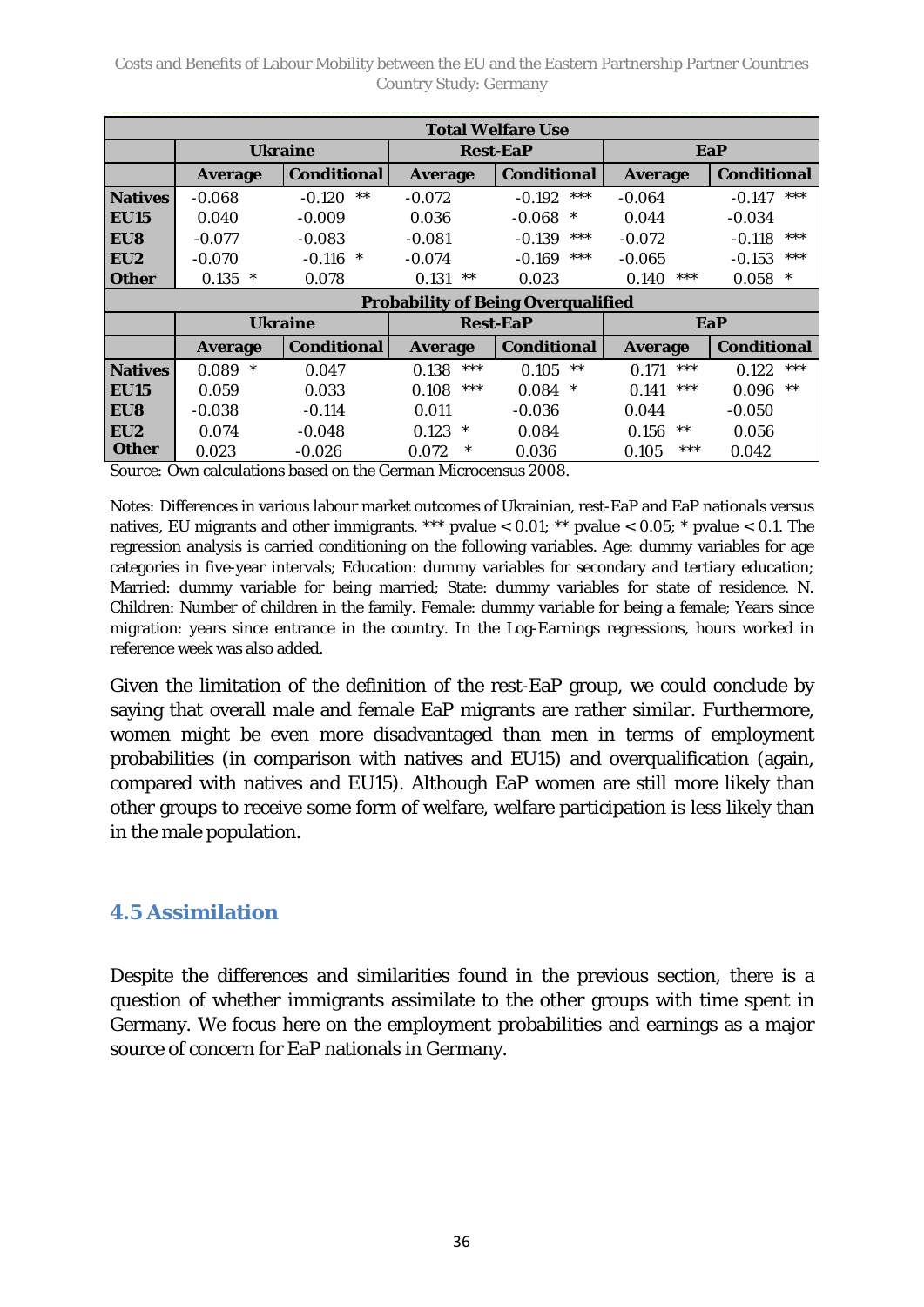Costs and Benefits of Labour Mobility between the EU and the Eastern Partnership Partner Countries Country Study: Germany

| <b>Total Welfare Use</b> |                 |                    |                 |                                           |                |                    |  |
|--------------------------|-----------------|--------------------|-----------------|-------------------------------------------|----------------|--------------------|--|
|                          | <b>Ukraine</b>  |                    | <b>Rest-EaP</b> |                                           | EaP            |                    |  |
|                          | <b>Average</b>  | <b>Conditional</b> | <b>Average</b>  | <b>Conditional</b>                        | <b>Average</b> | <b>Conditional</b> |  |
| <b>Natives</b>           | $-0.068$        | $***$<br>$-0.120$  | $-0.072$        | $***$<br>$-0.192$                         | $-0.064$       | $***$<br>$-0.147$  |  |
| <b>EU15</b>              | 0.040           | $-0.009$           | 0.036           | $-0.068$<br>$\ast$                        | 0.044          | $-0.034$           |  |
| EU8                      | $-0.077$        | $-0.083$           | $-0.081$        | ***<br>$-0.139$                           | $-0.072$       | ***<br>$-0.118$    |  |
| EU2                      | $-0.070$        | $-0.116$<br>$\ast$ | $-0.074$        | $***$<br>$-0.169$                         | $-0.065$       | ***<br>$-0.153$    |  |
| <b>Other</b>             | 0.135<br>$\ast$ | 0.078              | 0.131<br>$***$  | 0.023                                     | ***<br>0.140   | $\ast$<br>0.058    |  |
|                          |                 |                    |                 | <b>Probability of Being Overqualified</b> |                |                    |  |
|                          |                 | <b>Ukraine</b>     |                 | <b>Rest-EaP</b>                           |                | EaP                |  |
|                          | <b>Average</b>  | <b>Conditional</b> | <b>Average</b>  | <b>Conditional</b>                        | <b>Average</b> | <b>Conditional</b> |  |
| <b>Natives</b>           | $\ast$<br>0.089 | 0.047              | $***$<br>0.138  | $***$<br>0.105                            | ***<br>0.171   | ***<br>0.122       |  |
| <b>EU15</b>              | 0.059           | 0.033              | $***$<br>0.108  | 0.084<br>$\ast$                           | ***<br>0.141   | $**$<br>0.096      |  |
| EU8                      | $-0.038$        | $-0.114$           | 0.011           | $-0.036$                                  | 0.044          | $-0.050$           |  |
| EU <sub>2</sub>          | 0.074           | $-0.048$           | 0.123<br>∗      | 0.084                                     | 0.156<br>$***$ | 0.056              |  |
| <b>Other</b>             | 0.023           | $-0.026$           | $\ast$<br>0.072 | 0.036                                     | ***<br>0.105   | 0.042              |  |

*Source:* Own calculations based on the German Microcensus 2008.

*Notes:* Differences in various labour market outcomes of Ukrainian, rest-EaP and EaP nationals versus natives, EU migrants and other immigrants. \*\*\* pvalue  $< 0.01$ ; \*\* pvalue  $< 0.05$ ; \* pvalue  $< 0.1$ . The regression analysis is carried conditioning on the following variables. Age: dummy variables for age categories in five-year intervals; Education: dummy variables for secondary and tertiary education; Married: dummy variable for being married; State: dummy variables for state of residence. N. Children: Number of children in the family. Female: dummy variable for being a female; Years since migration: years since entrance in the country. In the Log-Earnings regressions, hours worked in reference week was also added.

Given the limitation of the definition of the rest-EaP group, we could conclude by saying that overall male and female EaP migrants are rather similar. Furthermore, women might be even more disadvantaged than men in terms of employment probabilities (in comparison with natives and EU15) and overqualification (again, compared with natives and EU15). Although EaP women are still more likely than other groups to receive some form of welfare, welfare participation is less likely than in the male population.

### <span id="page-35-0"></span>**4.5 Assimilation**

Despite the differences and similarities found in the previous section, there is a question of whether immigrants assimilate to the other groups with time spent in Germany. We focus here on the employment probabilities and earnings as a major source of concern for EaP nationals in Germany.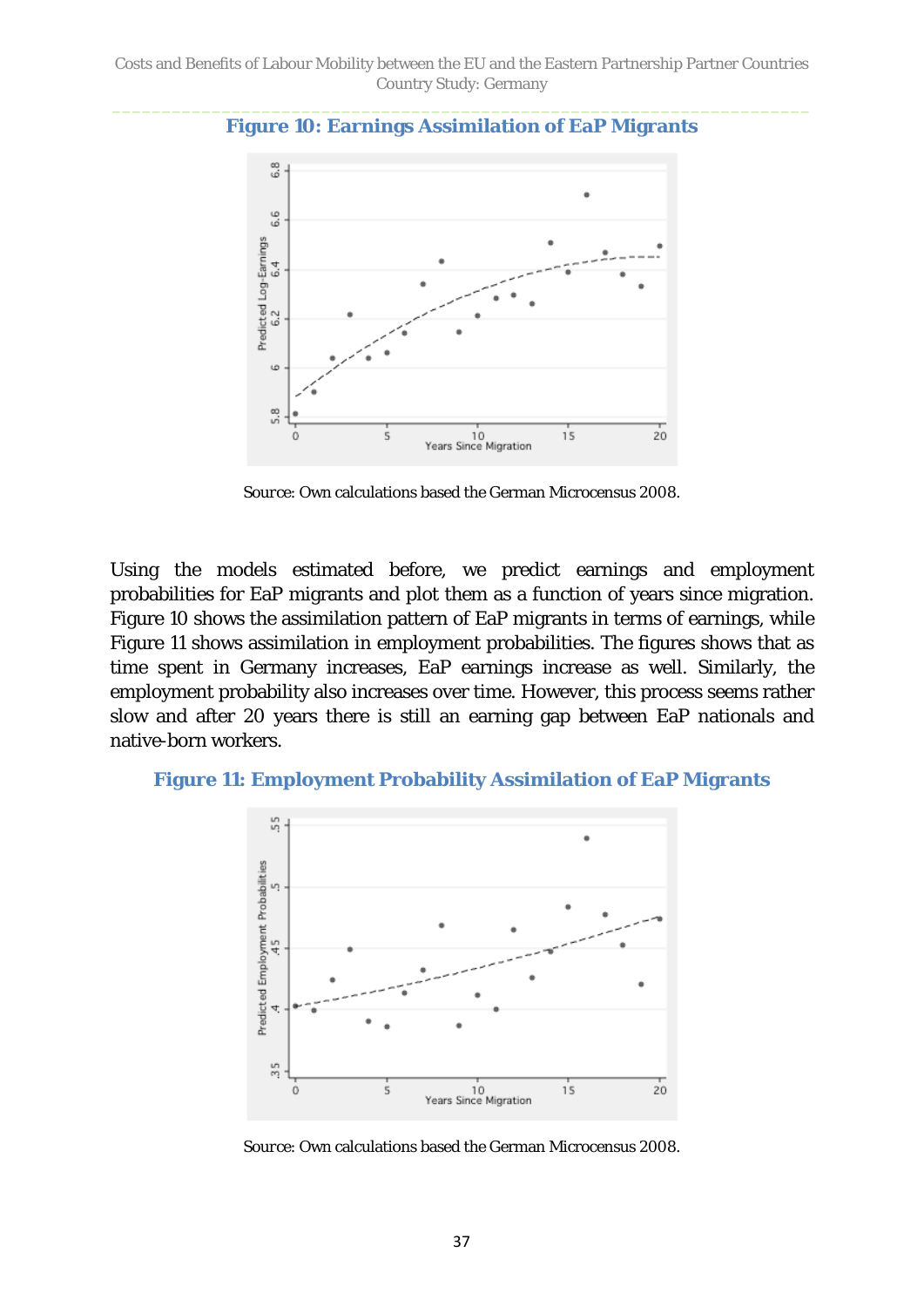

<span id="page-36-0"></span>**Figure 10: Earnings Assimilation of EaP Migrants**

*Source*: Own calculations based the German Microcensus 2008.

Using the models estimated before, we predict earnings and employment probabilities for EaP migrants and plot them as a function of years since migration. [Figure 10](#page-36-0) shows the assimilation pattern of EaP migrants in terms of earnings, while [Figure 11](#page-36-1) shows assimilation in employment probabilities. The figures shows that as time spent in Germany increases, EaP earnings increase as well. Similarly, the employment probability also increases over time. However, this process seems rather slow and after 20 years there is still an earning gap between EaP nationals and native-born workers.

#### <span id="page-36-1"></span>**Figure 11: Employment Probability Assimilation of EaP Migrants**



*Source*: Own calculations based the German Microcensus 2008.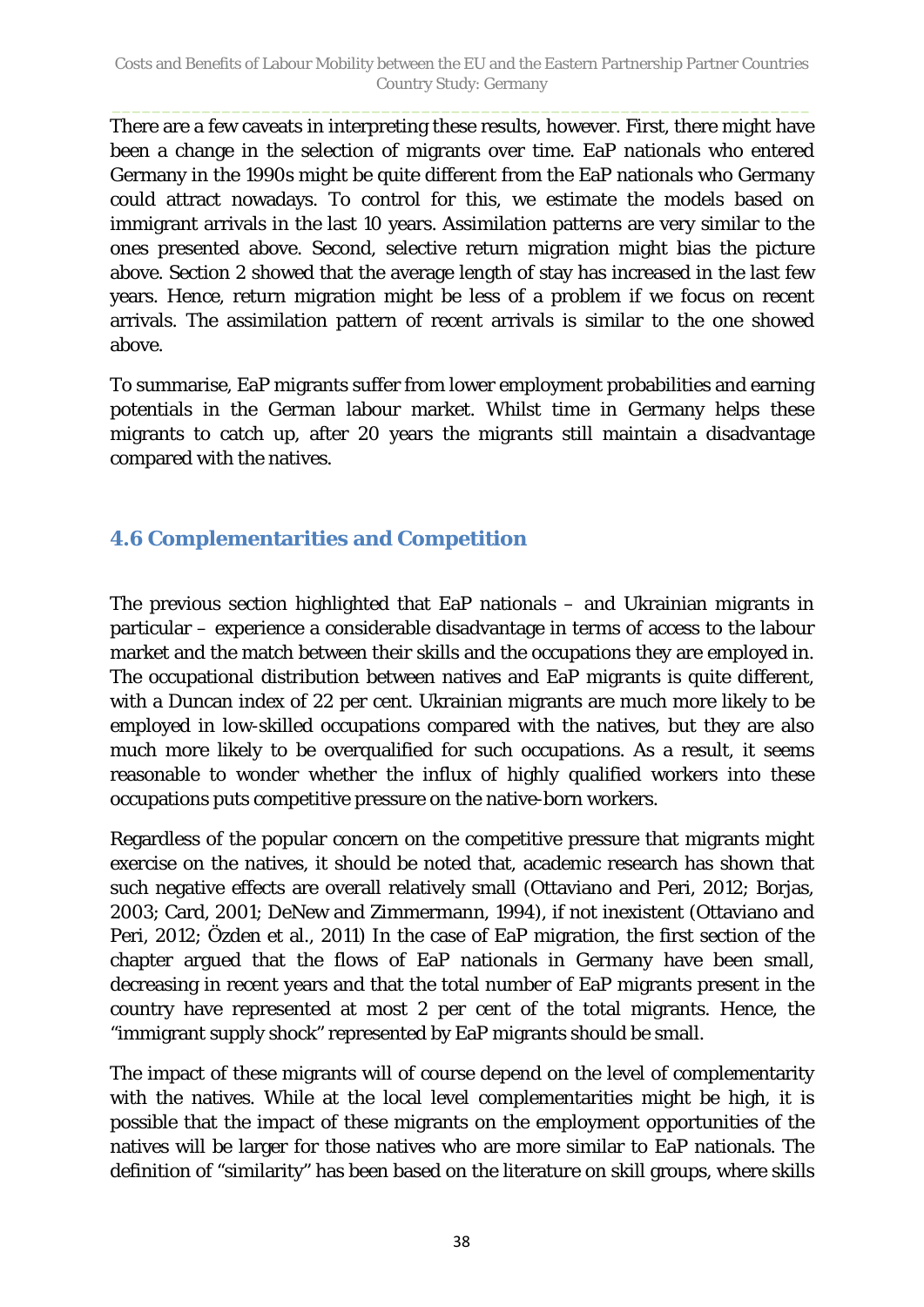There are a few caveats in interpreting these results, however. First, there might have been a change in the selection of migrants over time. EaP nationals who entered Germany in the 1990s might be quite different from the EaP nationals who Germany could attract nowadays. To control for this, we estimate the models based on immigrant arrivals in the last 10 years. Assimilation patterns are very similar to the ones presented above. Second, selective return migration might bias the picture above. Section 2 showed that the average length of stay has increased in the last few years. Hence, return migration might be less of a problem if we focus on recent arrivals. The assimilation pattern of recent arrivals is similar to the one showed above.

To summarise, EaP migrants suffer from lower employment probabilities and earning potentials in the German labour market. Whilst time in Germany helps these migrants to catch up, after 20 years the migrants still maintain a disadvantage compared with the natives.

## <span id="page-37-0"></span>**4.6 Complementarities and Competition**

The previous section highlighted that EaP nationals – and Ukrainian migrants in particular – experience a considerable disadvantage in terms of access to the labour market and the match between their skills and the occupations they are employed in. The occupational distribution between natives and EaP migrants is quite different, with a Duncan index of 22 per cent. Ukrainian migrants are much more likely to be employed in low-skilled occupations compared with the natives, but they are also much more likely to be overqualified for such occupations. As a result, it seems reasonable to wonder whether the influx of highly qualified workers into these occupations puts competitive pressure on the native-born workers.

Regardless of the popular concern on the competitive pressure that migrants might exercise on the natives, it should be noted that, academic research has shown that such negative effects are overall relatively small (Ottaviano and Peri, 2012; Borjas, 2003; Card, 2001; DeNew and Zimmermann, 1994), if not inexistent (Ottaviano and Peri, 2012; Özden et al., 2011) In the case of EaP migration, the first section of the chapter argued that the flows of EaP nationals in Germany have been small, decreasing in recent years and that the total number of EaP migrants present in the country have represented at most 2 per cent of the total migrants. Hence, the "immigrant supply shock" represented by EaP migrants should be small.

The impact of these migrants will of course depend on the level of complementarity with the natives. While at the local level complementarities might be high, it is possible that the impact of these migrants on the employment opportunities of the natives will be larger for those natives who are more similar to EaP nationals. The definition of "similarity" has been based on the literature on skill groups, where skills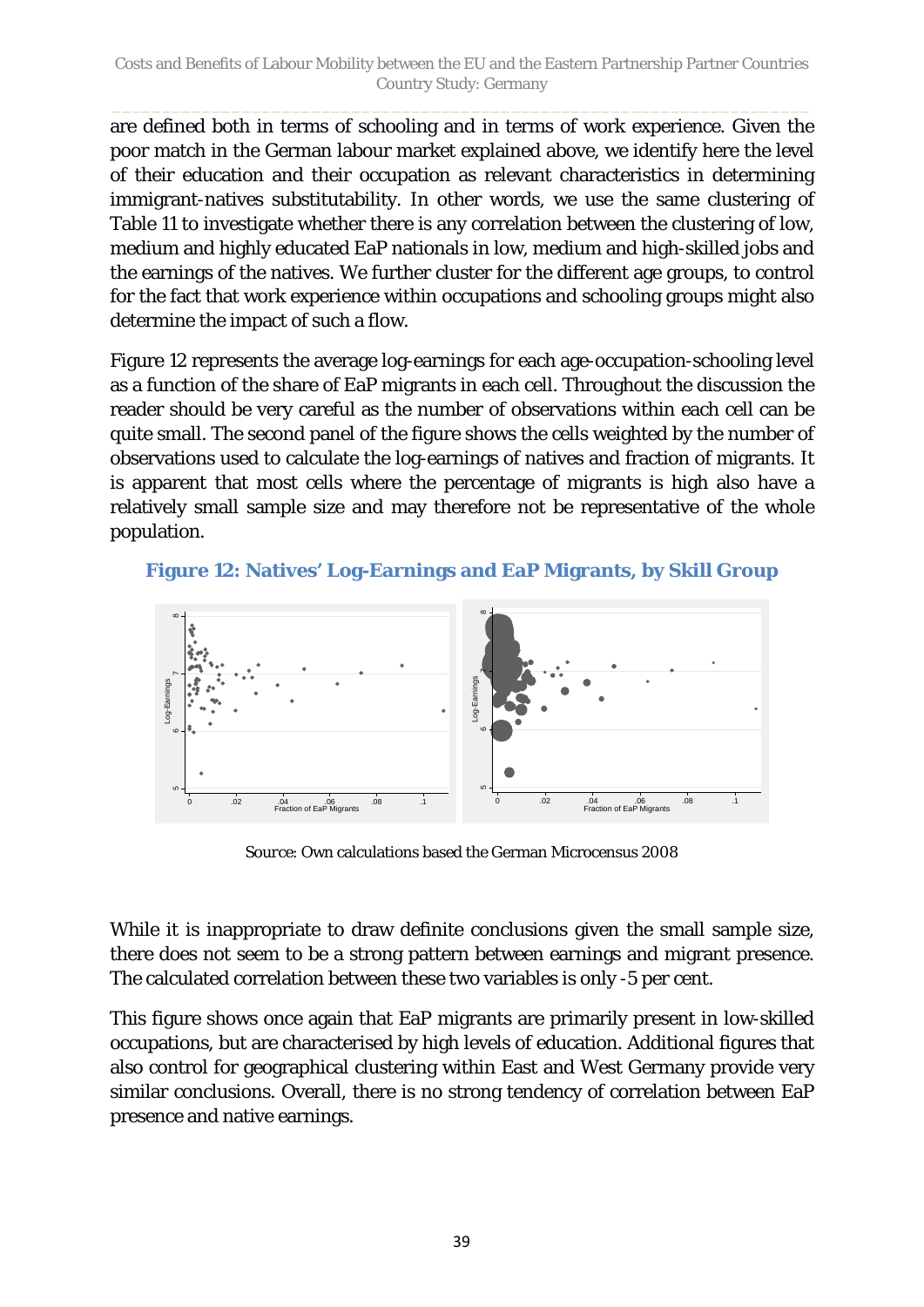are defined both in terms of schooling and in terms of work experience. Given the poor match in the German labour market explained above, we identify here the level of their education and their occupation as relevant characteristics in determining immigrant-natives substitutability. In other words, we use the same clustering of [Table 11](#page-32-0) to investigate whether there is any correlation between the clustering of low, medium and highly educated EaP nationals in low, medium and high-skilled jobs and the earnings of the natives. We further cluster for the different age groups, to control for the fact that work experience within occupations and schooling groups might also determine the impact of such a flow.

[Figure 12](#page-38-0) represents the average log-earnings for each age-occupation-schooling level as a function of the share of EaP migrants in each cell. Throughout the discussion the reader should be very careful as the number of observations within each cell can be quite small. The second panel of the figure shows the cells weighted by the number of observations used to calculate the log-earnings of natives and fraction of migrants. It is apparent that most cells where the percentage of migrants is high also have a relatively small sample size and may therefore not be representative of the whole population.

<span id="page-38-0"></span>



*Source*: Own calculations based the German Microcensus 2008

While it is inappropriate to draw definite conclusions given the small sample size, there does not seem to be a strong pattern between earnings and migrant presence. The calculated correlation between these two variables is only -5 per cent.

This figure shows once again that EaP migrants are primarily present in low-skilled occupations, but are characterised by high levels of education. Additional figures that also control for geographical clustering within East and West Germany provide very similar conclusions. Overall, there is no strong tendency of correlation between EaP presence and native earnings.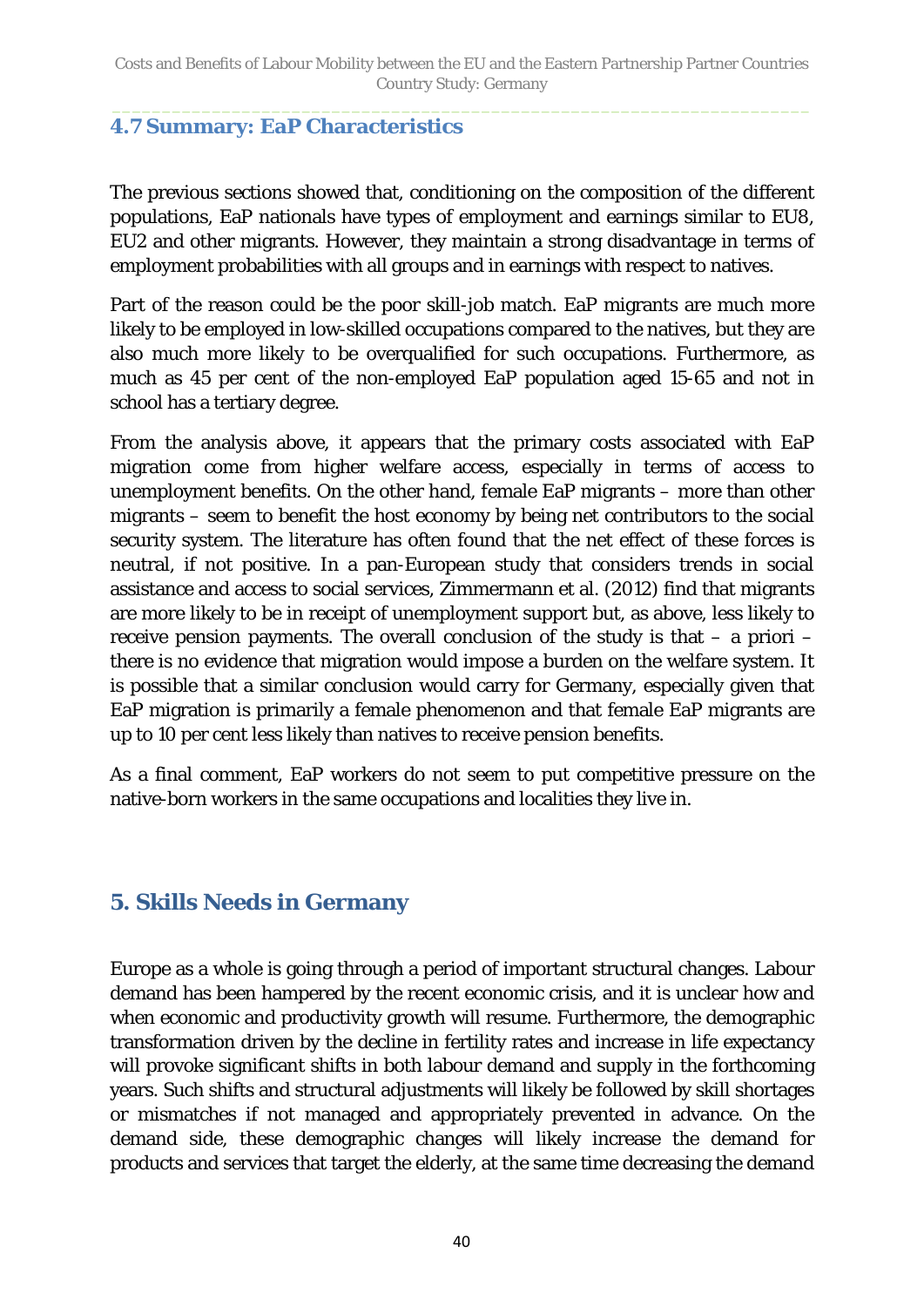#### <span id="page-39-0"></span>**4.7 Summary: EaP Characteristics**

The previous sections showed that, conditioning on the composition of the different populations, EaP nationals have types of employment and earnings similar to EU8, EU2 and other migrants. However, they maintain a strong disadvantage in terms of employment probabilities with all groups and in earnings with respect to natives.

Part of the reason could be the poor skill-job match. EaP migrants are much more likely to be employed in low-skilled occupations compared to the natives, but they are also much more likely to be overqualified for such occupations. Furthermore, as much as 45 per cent of the non-employed EaP population aged 15-65 and not in school has a tertiary degree.

From the analysis above, it appears that the primary costs associated with EaP migration come from higher welfare access, especially in terms of access to unemployment benefits. On the other hand, female EaP migrants – more than other migrants – seem to benefit the host economy by being net contributors to the social security system. The literature has often found that the net effect of these forces is neutral, if not positive. In a pan-European study that considers trends in social assistance and access to social services, Zimmermann et al. (2012) find that migrants are more likely to be in receipt of unemployment support but, as above, less likely to receive pension payments. The overall conclusion of the study is that – a priori – there is no evidence that migration would impose a burden on the welfare system. It is possible that a similar conclusion would carry for Germany, especially given that EaP migration is primarily a female phenomenon and that female EaP migrants are up to 10 per cent less likely than natives to receive pension benefits.

As a final comment, EaP workers do not seem to put competitive pressure on the native-born workers in the same occupations and localities they live in.

## <span id="page-39-1"></span>**5. Skills Needs in Germany**

Europe as a whole is going through a period of important structural changes. Labour demand has been hampered by the recent economic crisis, and it is unclear how and when economic and productivity growth will resume. Furthermore, the demographic transformation driven by the decline in fertility rates and increase in life expectancy will provoke significant shifts in both labour demand and supply in the forthcoming years. Such shifts and structural adjustments will likely be followed by skill shortages or mismatches if not managed and appropriately prevented in advance. On the demand side, these demographic changes will likely increase the demand for products and services that target the elderly, at the same time decreasing the demand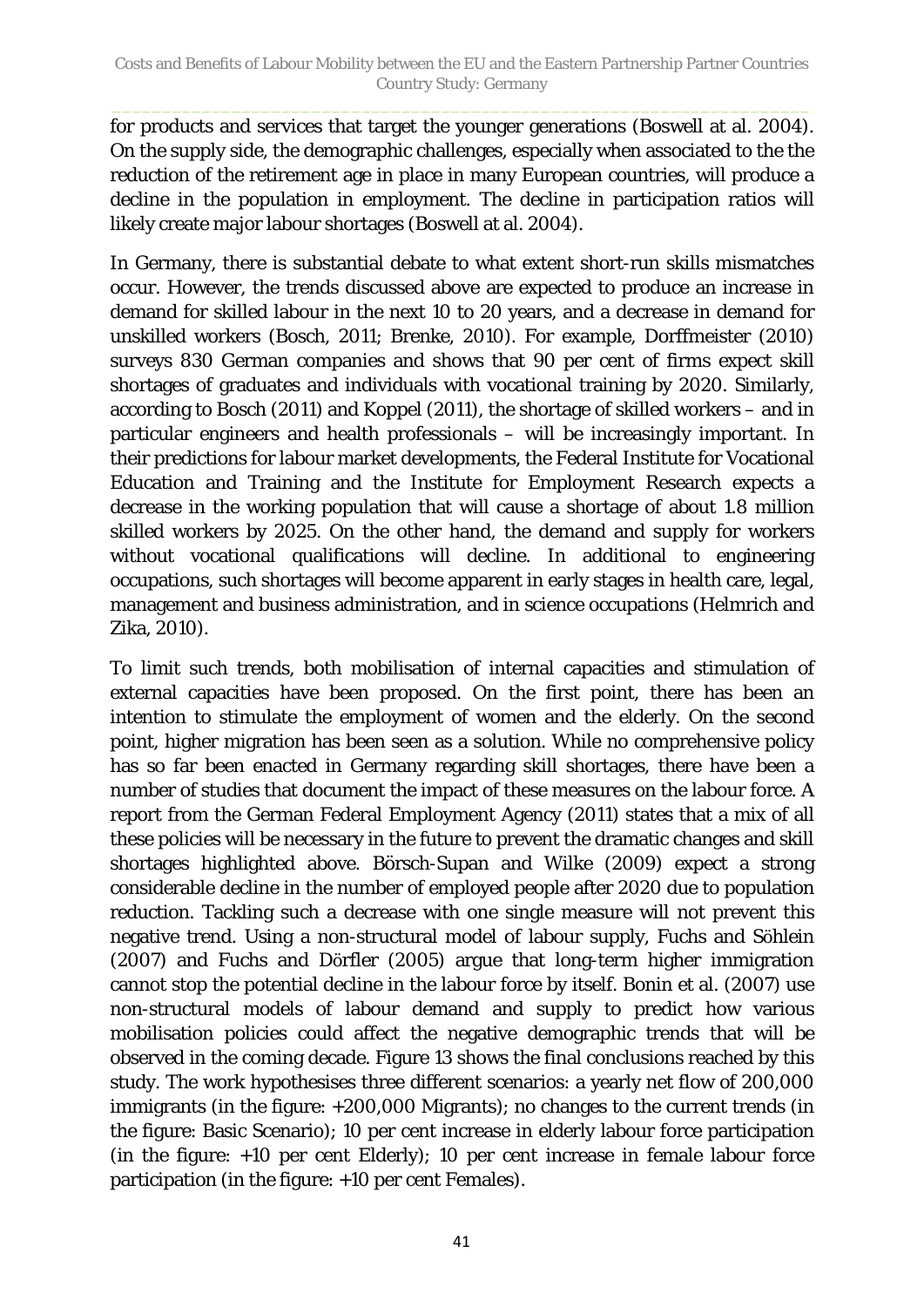for products and services that target the younger generations (Boswell at al. 2004). On the supply side, the demographic challenges, especially when associated to the the reduction of the retirement age in place in many European countries, will produce a decline in the population in employment. The decline in participation ratios will likely create major labour shortages (Boswell at al. 2004).

In Germany, there is substantial debate to what extent short-run skills mismatches occur. However, the trends discussed above are expected to produce an increase in demand for skilled labour in the next 10 to 20 years, and a decrease in demand for unskilled workers (Bosch, 2011; Brenke, 2010). For example, Dorffmeister (2010) surveys 830 German companies and shows that 90 per cent of firms expect skill shortages of graduates and individuals with vocational training by 2020. Similarly, according to Bosch (2011) and Koppel (2011), the shortage of skilled workers – and in particular engineers and health professionals – will be increasingly important. In their predictions for labour market developments, the Federal Institute for Vocational Education and Training and the Institute for Employment Research expects a decrease in the working population that will cause a shortage of about 1.8 million skilled workers by 2025. On the other hand, the demand and supply for workers without vocational qualifications will decline. In additional to engineering occupations, such shortages will become apparent in early stages in health care, legal, management and business administration, and in science occupations (Helmrich and Zika, 2010).

To limit such trends, both mobilisation of internal capacities and stimulation of external capacities have been proposed. On the first point, there has been an intention to stimulate the employment of women and the elderly. On the second point, higher migration has been seen as a solution. While no comprehensive policy has so far been enacted in Germany regarding skill shortages, there have been a number of studies that document the impact of these measures on the labour force. A report from the German Federal Employment Agency (2011) states that a mix of all these policies will be necessary in the future to prevent the dramatic changes and skill shortages highlighted above. Börsch-Supan and Wilke (2009) expect a strong considerable decline in the number of employed people after 2020 due to population reduction. Tackling such a decrease with one single measure will not prevent this negative trend. Using a non-structural model of labour supply, Fuchs and Söhlein (2007) and Fuchs and Dörfler (2005) argue that long-term higher immigration cannot stop the potential decline in the labour force by itself. Bonin et al. (2007) use non-structural models of labour demand and supply to predict how various mobilisation policies could affect the negative demographic trends that will be observed in the coming decade. [Figure 13](#page-41-1) shows the final conclusions reached by this study. The work hypothesises three different scenarios: a yearly net flow of 200,000 immigrants (in the figure: +200,000 Migrants); no changes to the current trends (in the figure: Basic Scenario); 10 per cent increase in elderly labour force participation (in the figure: +10 per cent Elderly); 10 per cent increase in female labour force participation (in the figure: +10 per cent Females).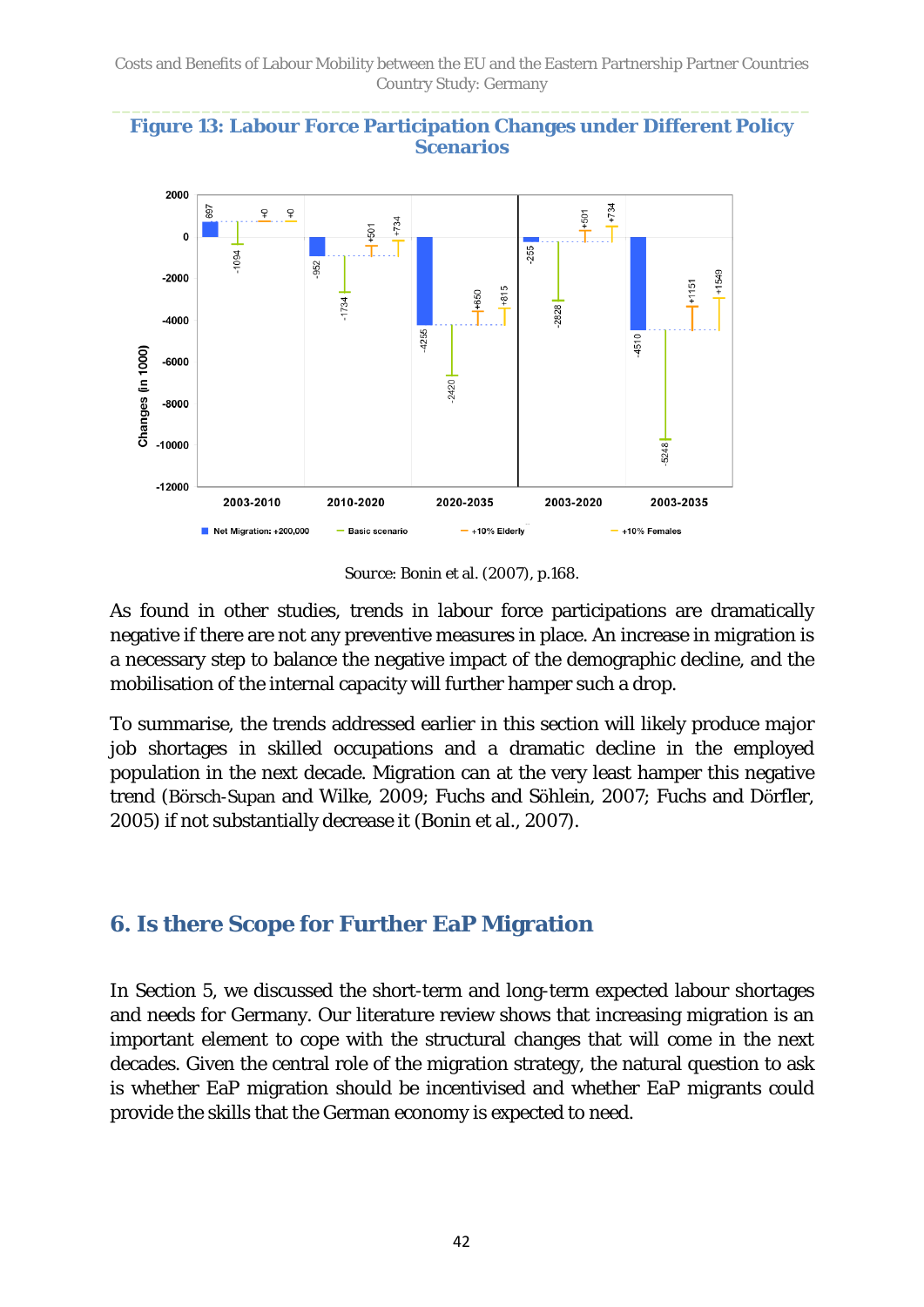<span id="page-41-1"></span>



*Source*: Bonin et al. (2007), p.168.

As found in other studies, trends in labour force participations are dramatically negative if there are not any preventive measures in place. An increase in migration is a necessary step to balance the negative impact of the demographic decline, and the mobilisation of the internal capacity will further hamper such a drop.

To summarise, the trends addressed earlier in this section will likely produce major job shortages in skilled occupations and a dramatic decline in the employed population in the next decade. Migration can at the very least hamper this negative trend (Börsch-Supan and Wilke, 2009; Fuchs and Söhlein, 2007; Fuchs and Dörfler, 2005) if not substantially decrease it (Bonin et al., 2007).

## <span id="page-41-0"></span>**6. Is there Scope for Further EaP Migration**

In Section 5, we discussed the short-term and long-term expected labour shortages and needs for Germany. Our literature review shows that increasing migration is an important element to cope with the structural changes that will come in the next decades. Given the central role of the migration strategy, the natural question to ask is whether EaP migration should be incentivised and whether EaP migrants could provide the skills that the German economy is expected to need.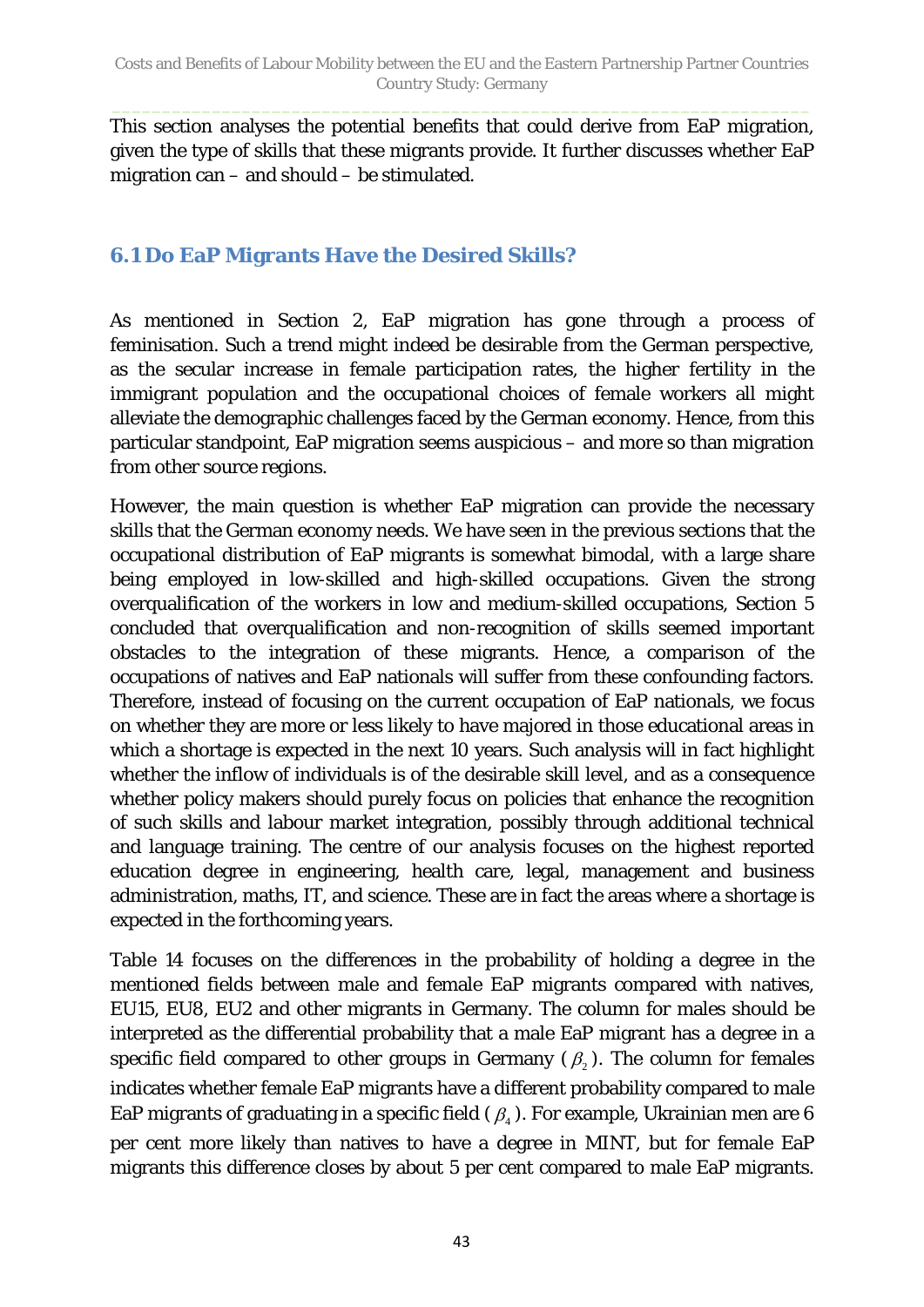This section analyses the potential benefits that could derive from EaP migration, given the type of skills that these migrants provide. It further discusses whether EaP migration can – and should – be stimulated.

### <span id="page-42-0"></span>**6.1 Do EaP Migrants Have the Desired Skills?**

As mentioned in Section 2, EaP migration has gone through a process of feminisation. Such a trend might indeed be desirable from the German perspective, as the secular increase in female participation rates, the higher fertility in the immigrant population and the occupational choices of female workers all might alleviate the demographic challenges faced by the German economy. Hence, from this particular standpoint, EaP migration seems auspicious – and more so than migration from other source regions.

However, the main question is whether EaP migration can provide the necessary skills that the German economy needs. We have seen in the previous sections that the occupational distribution of EaP migrants is somewhat bimodal, with a large share being employed in low-skilled and high-skilled occupations. Given the strong overqualification of the workers in low and medium-skilled occupations, Section 5 concluded that overqualification and non-recognition of skills seemed important obstacles to the integration of these migrants. Hence, a comparison of the occupations of natives and EaP nationals will suffer from these confounding factors. Therefore, instead of focusing on the current occupation of EaP nationals, we focus on whether they are more or less likely to have majored in those educational areas in which a shortage is expected in the next 10 years. Such analysis will in fact highlight whether the inflow of individuals is of the desirable skill level, and as a consequence whether policy makers should purely focus on policies that enhance the recognition of such skills and labour market integration, possibly through additional technical and language training. The centre of our analysis focuses on the highest reported education degree in engineering, health care, legal, management and business administration, maths, IT, and science. These are in fact the areas where a shortage is expected in the forthcoming years.

Table 14 focuses on the differences in the probability of holding a degree in the mentioned fields between male and female EaP migrants compared with natives, EU15, EU8, EU2 and other migrants in Germany. The column for males should be interpreted as the differential probability that a male EaP migrant has a degree in a specific field compared to other groups in Germany  $(\beta_2)$ . The column for females indicates whether female EaP migrants have a different probability compared to male EaP migrants of graduating in a specific field ( $\beta$ ). For example, Ukrainian men are 6 per cent more likely than natives to have a degree in MINT, but for female EaP migrants this difference closes by about 5 per cent compared to male EaP migrants.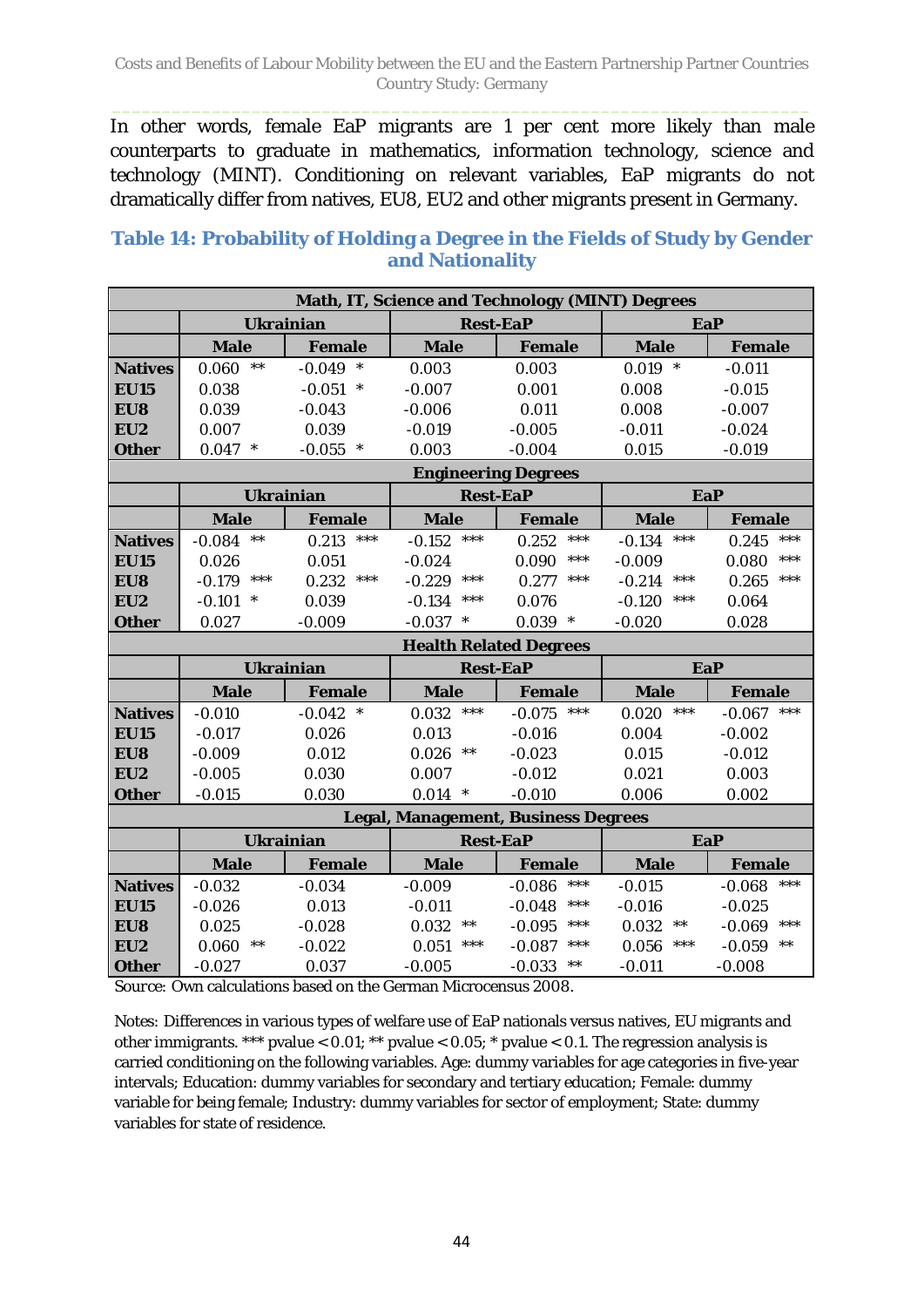In other words, female EaP migrants are 1 per cent more likely than male counterparts to graduate in mathematics, information technology, science and technology (MINT). Conditioning on relevant variables, EaP migrants do not dramatically differ from natives, EU8, EU2 and other migrants present in Germany.

#### **Table 14: Probability of Holding a Degree in the Fields of Study by Gender and Nationality**

| Math, IT, Science and Technology (MINT) Degrees |                                     |                    |                               |                                            |                          |                               |
|-------------------------------------------------|-------------------------------------|--------------------|-------------------------------|--------------------------------------------|--------------------------|-------------------------------|
|                                                 | <b>Ukrainian</b>                    |                    | <b>Rest-EaP</b>               |                                            |                          | <b>EaP</b>                    |
|                                                 | <b>Male</b>                         | Female             | <b>Male</b>                   | <b>Female</b>                              | <b>Male</b>              | <b>Female</b>                 |
| <b>Natives</b>                                  | $***$<br>0.060                      | $-0.049$<br>$\ast$ | 0.003                         | 0.003                                      | $0.019$ *                | $-0.011$                      |
| <b>EU15</b>                                     | 0.038                               | $-0.051$<br>$\ast$ | $-0.007$                      | 0.001                                      | 0.008                    | $-0.015$                      |
| EU8                                             | 0.039                               | $-0.043$           | $-0.006$                      | 0.011                                      | 0.008                    | $-0.007$                      |
| EU2                                             | 0.007                               | 0.039              | $-0.019$                      | $-0.005$                                   | $-0.011$                 | $-0.024$                      |
| <b>Other</b>                                    | $0.047$ *                           | $-0.055$ *         | 0.003                         | $-0.004$                                   | 0.015                    | $-0.019$                      |
|                                                 |                                     |                    | <b>Engineering Degrees</b>    |                                            |                          |                               |
|                                                 | <b>Ukrainian</b>                    |                    | <b>Rest-EaP</b>               |                                            | <b>EaP</b>               |                               |
|                                                 | <b>Male</b>                         | <b>Female</b>      | <b>Male</b>                   | <b>Female</b>                              | <b>Male</b>              | <b>Female</b>                 |
| <b>Natives</b>                                  | $***$<br>$-0.084$                   | 0.213<br>$***$     | $-0.152$<br>$***$             | 0.252<br>***                               | ***<br>$-0.134$          | ***<br>0.245                  |
| <b>EU15</b>                                     | 0.026                               | 0.051              | $-0.024$                      | $***$<br>0.090                             | $-0.009$                 | ***<br>0.080                  |
| EU8                                             | ***<br>$-0.179$                     | $***$<br>0.232     | $***$<br>$-0.229$             | ***<br>0.277                               | $***$<br>$-0.214$        | $***$<br>0.265                |
| EU2                                             | $-0.101$<br>$\ast$                  | 0.039              | ***<br>$-0.134$               | 0.076                                      | $***$<br>$-0.120$        | 0.064                         |
| <b>Other</b>                                    | 0.027                               | $-0.009$           | $-0.037$<br>$\ast$            | 0.039<br>$\ast$                            | $-0.020$                 | 0.028                         |
|                                                 |                                     |                    | <b>Health Related Degrees</b> |                                            |                          |                               |
|                                                 | <b>Ukrainian</b><br><b>Rest-EaP</b> |                    |                               | <b>EaP</b>                                 |                          |                               |
|                                                 |                                     |                    |                               |                                            |                          |                               |
|                                                 | <b>Male</b>                         | <b>Female</b>      | <b>Male</b>                   | <b>Female</b>                              | <b>Male</b>              | <b>Female</b>                 |
| <b>Natives</b>                                  | $-0.010$                            | $\ast$<br>$-0.042$ | $***$<br>0.032                | $***$<br>$-0.075$                          | $***$<br>0.020           | $***$<br>$-0.067$             |
| <b>EU15</b>                                     | $-0.017$                            | 0.026              | 0.013                         | $-0.016$                                   | 0.004                    | $-0.002$                      |
| EU8                                             | $-0.009$                            | 0.012              | 0.026<br>$***$                | $-0.023$                                   | 0.015                    | $-0.012$                      |
| EU2                                             | $-0.005$                            | 0.030              | 0.007                         | $-0.012$                                   | 0.021                    | 0.003                         |
| <b>Other</b>                                    | $-0.015$                            | 0.030              | $0.014$ *                     | $-0.010$                                   | 0.006                    | 0.002                         |
|                                                 |                                     |                    |                               | <b>Legal, Management, Business Degrees</b> |                          |                               |
|                                                 | <b>Ukrainian</b>                    |                    | <b>Rest-EaP</b>               |                                            | EaP                      |                               |
|                                                 | <b>Male</b>                         | <b>Female</b>      | <b>Male</b>                   | <b>Female</b>                              | <b>Male</b>              | <b>Female</b>                 |
| <b>Natives</b>                                  | $-0.032$                            | $-0.034$           | $-0.009$                      | ***<br>$-0.086$                            | $-0.015$                 | ***<br>$-0.068$               |
| <b>EU15</b>                                     | $-0.026$                            | 0.013              | $-0.011$                      | $-0.048$<br>***                            | $-0.016$                 | $-0.025$                      |
| EU8                                             | 0.025                               | $-0.028$           | 0.032<br>$***$                | $-0.095$<br>***                            | 0.032<br>$***$           | ***<br>$-0.069$               |
| EU2<br><b>Other</b>                             | 0.060<br>$***$<br>$-0.027$          | $-0.022$<br>0.037  | ***<br>0.051<br>$-0.005$      | $-0.087$<br>***<br>$-0.033$                | ***<br>0.056<br>$-0.011$ | $***$<br>$-0.059$<br>$-0.008$ |

*Source:* Own calculations based on the German Microcensus 2008.

*Notes:* Differences in various types of welfare use of EaP nationals versus natives, EU migrants and other immigrants. \*\*\* pvalue < 0.01; \*\* pvalue < 0.05; \* pvalue < 0.1. The regression analysis is carried conditioning on the following variables. Age: dummy variables for age categories in five-year intervals; Education: dummy variables for secondary and tertiary education; Female: dummy variable for being female; Industry: dummy variables for sector of employment; State: dummy variables for state of residence.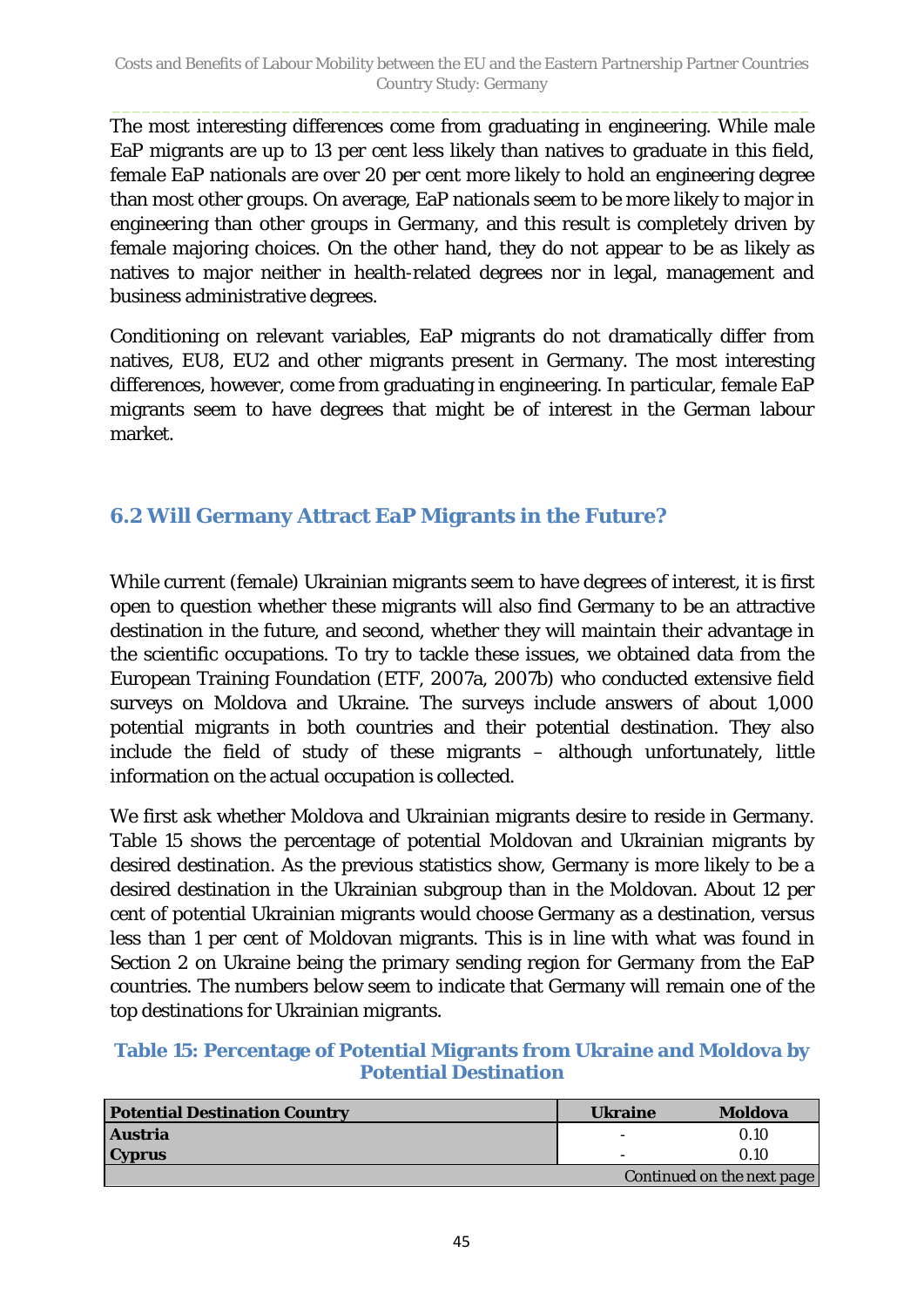The most interesting differences come from graduating in engineering. While male EaP migrants are up to 13 per cent less likely than natives to graduate in this field, female EaP nationals are over 20 per cent more likely to hold an engineering degree than most other groups. On average, EaP nationals seem to be more likely to major in engineering than other groups in Germany, and this result is completely driven by female majoring choices. On the other hand, they do not appear to be as likely as natives to major neither in health-related degrees nor in legal, management and business administrative degrees.

Conditioning on relevant variables, EaP migrants do not dramatically differ from natives, EU8, EU2 and other migrants present in Germany. The most interesting differences, however, come from graduating in engineering. In particular, female EaP migrants seem to have degrees that might be of interest in the German labour market.

### <span id="page-44-0"></span>**6.2 Will Germany Attract EaP Migrants in the Future?**

While current (female) Ukrainian migrants seem to have degrees of interest, it is first open to question whether these migrants will also find Germany to be an attractive destination in the future, and second, whether they will maintain their advantage in the scientific occupations. To try to tackle these issues, we obtained data from the European Training Foundation (ETF, 2007a, 2007b) who conducted extensive field surveys on Moldova and Ukraine. The surveys include answers of about 1,000 potential migrants in both countries and their potential destination. They also include the field of study of these migrants – although unfortunately, little information on the actual occupation is collected.

We first ask whether Moldova and Ukrainian migrants desire to reside in Germany. [Table 15](#page-44-1) shows the percentage of potential Moldovan and Ukrainian migrants by desired destination. As the previous statistics show, Germany is more likely to be a desired destination in the Ukrainian subgroup than in the Moldovan. About 12 per cent of potential Ukrainian migrants would choose Germany as a destination, versus less than 1 per cent of Moldovan migrants. This is in line with what was found in Section 2 on Ukraine being the primary sending region for Germany from the EaP countries. The numbers below seem to indicate that Germany will remain one of the top destinations for Ukrainian migrants.

#### <span id="page-44-1"></span>**Table 15: Percentage of Potential Migrants from Ukraine and Moldova by Potential Destination**

| <b>Potential Destination Country</b> | <b>Ukraine</b> | <b>Moldova</b>             |
|--------------------------------------|----------------|----------------------------|
| <b>Austria</b>                       | ۰              | 0.10                       |
| <b>Cyprus</b>                        |                | 0.10                       |
|                                      |                | Continued on the next page |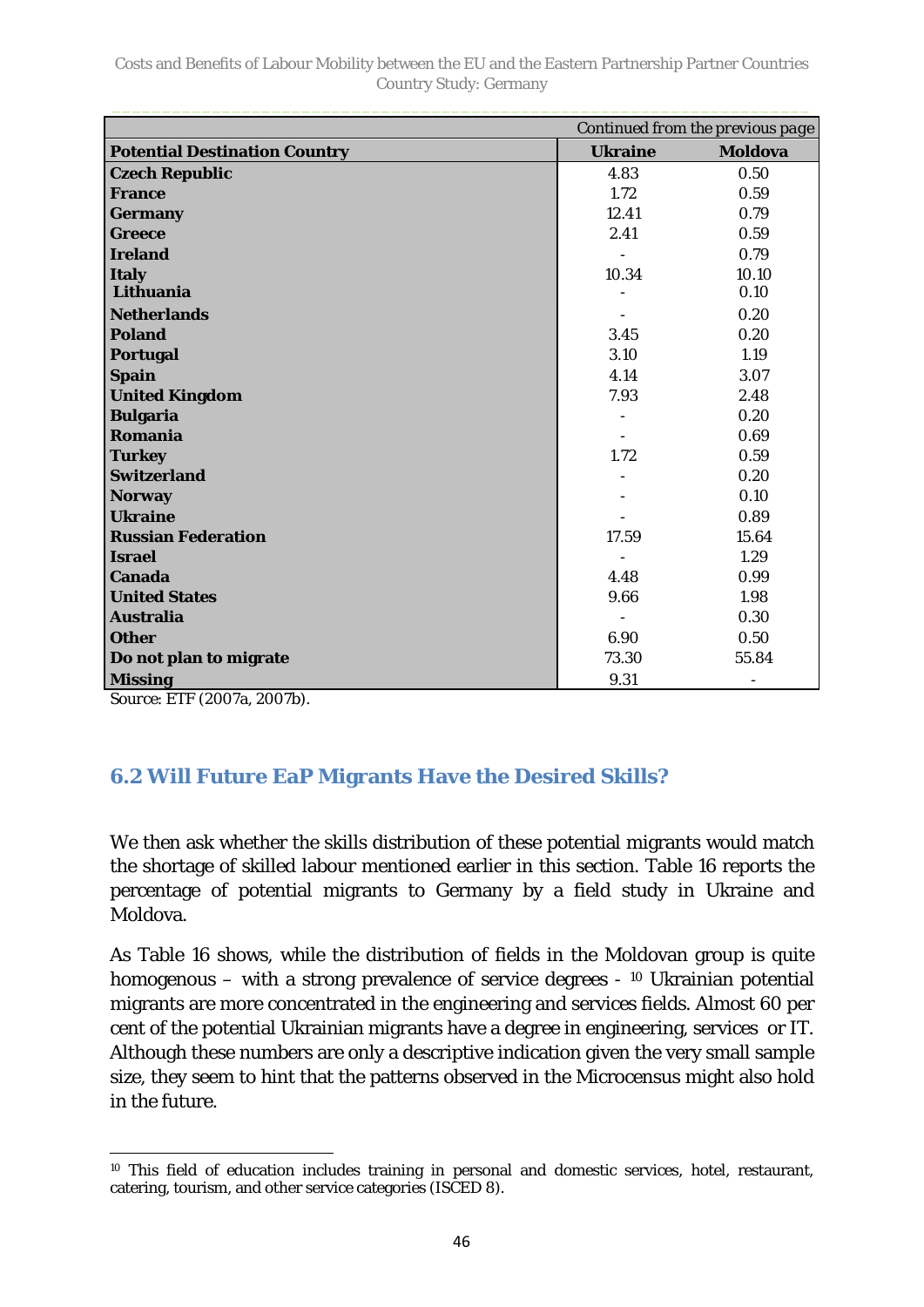| Continued from the previous page     |                |                          |  |  |
|--------------------------------------|----------------|--------------------------|--|--|
| <b>Potential Destination Country</b> | <b>Ukraine</b> | <b>Moldova</b>           |  |  |
| <b>Czech Republic</b>                | 4.83           | 0.50                     |  |  |
| <b>France</b>                        | 1.72           | 0.59                     |  |  |
| <b>Germany</b>                       | 12.41          | 0.79                     |  |  |
| <b>Greece</b>                        | 2.41           | 0.59                     |  |  |
| <b>Ireland</b>                       |                | 0.79                     |  |  |
| <b>Italy</b>                         | 10.34          | 10.10                    |  |  |
| Lithuania                            |                | 0.10                     |  |  |
| <b>Netherlands</b>                   |                | 0.20                     |  |  |
| <b>Poland</b>                        | 3.45           | 0.20                     |  |  |
| <b>Portugal</b>                      | 3.10           | 1.19                     |  |  |
| <b>Spain</b>                         | 4.14           | 3.07                     |  |  |
| <b>United Kingdom</b>                | 7.93           | 2.48                     |  |  |
| <b>Bulgaria</b>                      |                | 0.20                     |  |  |
| Romania                              |                | 0.69                     |  |  |
| <b>Turkey</b>                        | 1.72           | 0.59                     |  |  |
| <b>Switzerland</b>                   |                | 0.20                     |  |  |
| <b>Norway</b>                        |                | 0.10                     |  |  |
| <b>Ukraine</b>                       |                | 0.89                     |  |  |
| <b>Russian Federation</b>            | 17.59          | 15.64                    |  |  |
| <b>Israel</b>                        | $\blacksquare$ | 1.29                     |  |  |
| Canada                               | 4.48           | 0.99                     |  |  |
| <b>United States</b>                 | 9.66           | 1.98                     |  |  |
| <b>Australia</b>                     |                | 0.30                     |  |  |
| <b>Other</b>                         | 6.90           | 0.50                     |  |  |
| Do not plan to migrate               | 73.30          | 55.84                    |  |  |
| <b>Missing</b>                       | 9.31           | $\overline{\phantom{a}}$ |  |  |

*Source*: ETF (2007a, 2007b).

### <span id="page-45-0"></span>**6.2 Will Future EaP Migrants Have the Desired Skills?**

We then ask whether the skills distribution of these potential migrants would match the shortage of skilled labour mentioned earlier in this section. [Table 16](#page-46-1) reports the percentage of potential migrants to Germany by a field study in Ukraine and Moldova.

As [Table 16](#page-46-1) shows, while the distribution of fields in the Moldovan group is quite homogenous – with a strong prevalence of service degrees - [10](#page-45-1) Ukrainian potential migrants are more concentrated in the engineering and services fields. Almost 60 per cent of the potential Ukrainian migrants have a degree in engineering, services or IT. Although these numbers are only a descriptive indication given the very small sample size, they seem to hint that the patterns observed in the Microcensus might also hold in the future.

<span id="page-45-1"></span> $\overline{a}$ <sup>10</sup> This field of education includes training in personal and domestic services, hotel, restaurant, catering, tourism, and other service categories (ISCED 8).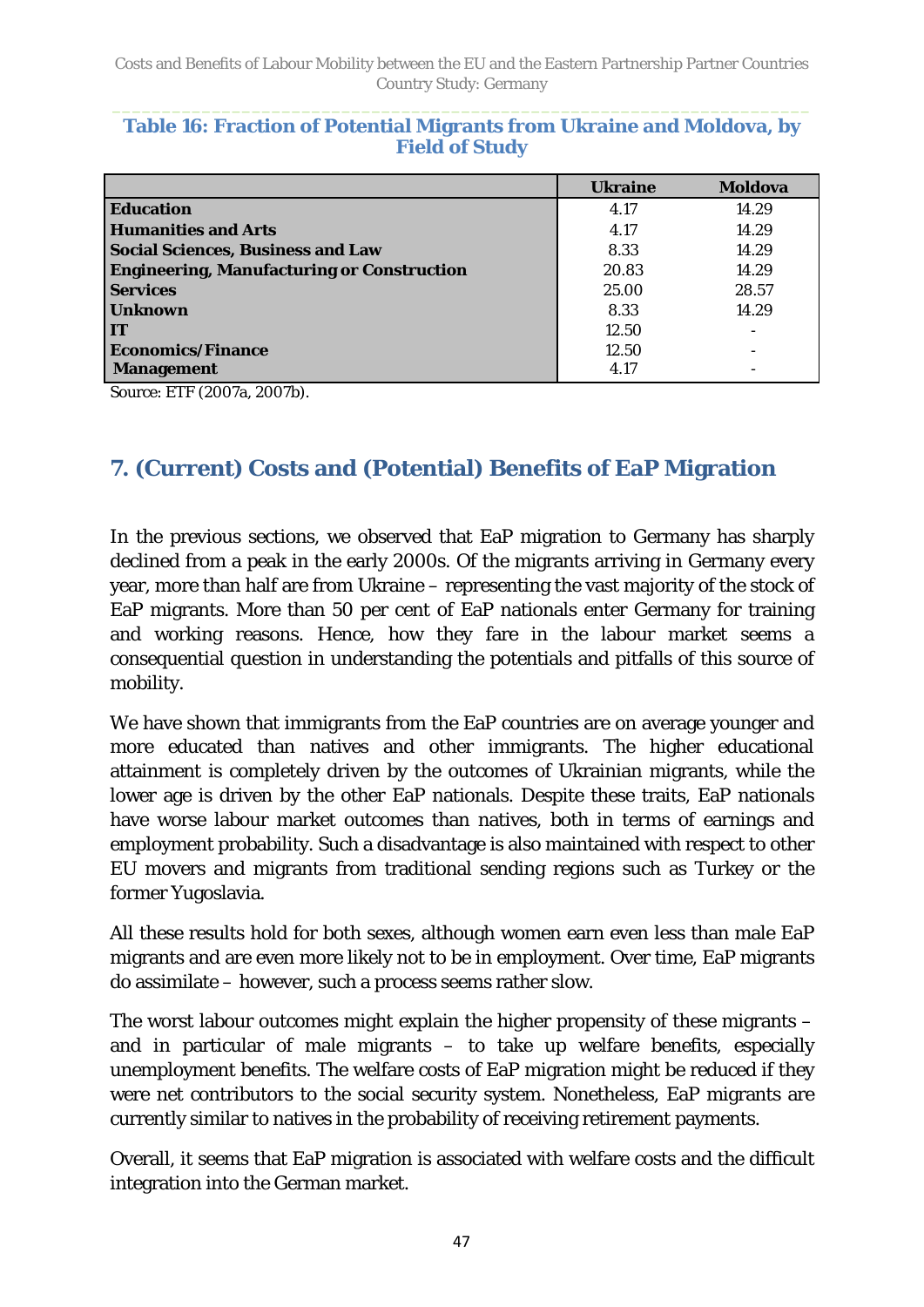<span id="page-46-1"></span>

|  | Table 16: Fraction of Potential Migrants from Ukraine and Moldova, by |                       |  |  |  |
|--|-----------------------------------------------------------------------|-----------------------|--|--|--|
|  |                                                                       | <b>Field of Study</b> |  |  |  |

|                                                   | <b>Ukraine</b> | <b>Moldova</b> |
|---------------------------------------------------|----------------|----------------|
| <b>Education</b>                                  | 4.17           | 14.29          |
| <b>Humanities and Arts</b>                        | 4.17           | 14.29          |
| <b>Social Sciences, Business and Law</b>          | 8.33           | 14.29          |
| <b>Engineering, Manufacturing or Construction</b> | 20.83          | 14.29          |
| <b>Services</b>                                   | 25.00          | 28.57          |
| <b>Unknown</b>                                    | 8.33           | 14.29          |
| <b>IT</b>                                         | 12.50          |                |
| <b>Economics/Finance</b>                          | 12.50          |                |
| <b>Management</b>                                 | 4.17           |                |

<span id="page-46-0"></span>Source: ETF (2007a, 2007b).

## **7. (Current) Costs and (Potential) Benefits of EaP Migration**

In the previous sections, we observed that EaP migration to Germany has sharply declined from a peak in the early 2000s. Of the migrants arriving in Germany every year, more than half are from Ukraine – representing the vast majority of the stock of EaP migrants. More than 50 per cent of EaP nationals enter Germany for training and working reasons. Hence, how they fare in the labour market seems a consequential question in understanding the potentials and pitfalls of this source of mobility.

We have shown that immigrants from the EaP countries are on average younger and more educated than natives and other immigrants. The higher educational attainment is completely driven by the outcomes of Ukrainian migrants, while the lower age is driven by the other EaP nationals. Despite these traits, EaP nationals have worse labour market outcomes than natives, both in terms of earnings and employment probability. Such a disadvantage is also maintained with respect to other EU movers and migrants from traditional sending regions such as Turkey or the former Yugoslavia.

All these results hold for both sexes, although women earn even less than male EaP migrants and are even more likely not to be in employment. Over time, EaP migrants do assimilate – however, such a process seems rather slow.

The worst labour outcomes might explain the higher propensity of these migrants – and in particular of male migrants – to take up welfare benefits, especially unemployment benefits. The welfare costs of EaP migration might be reduced if they were net contributors to the social security system. Nonetheless, EaP migrants are currently similar to natives in the probability of receiving retirement payments.

Overall, it seems that EaP migration is associated with welfare costs and the difficult integration into the German market.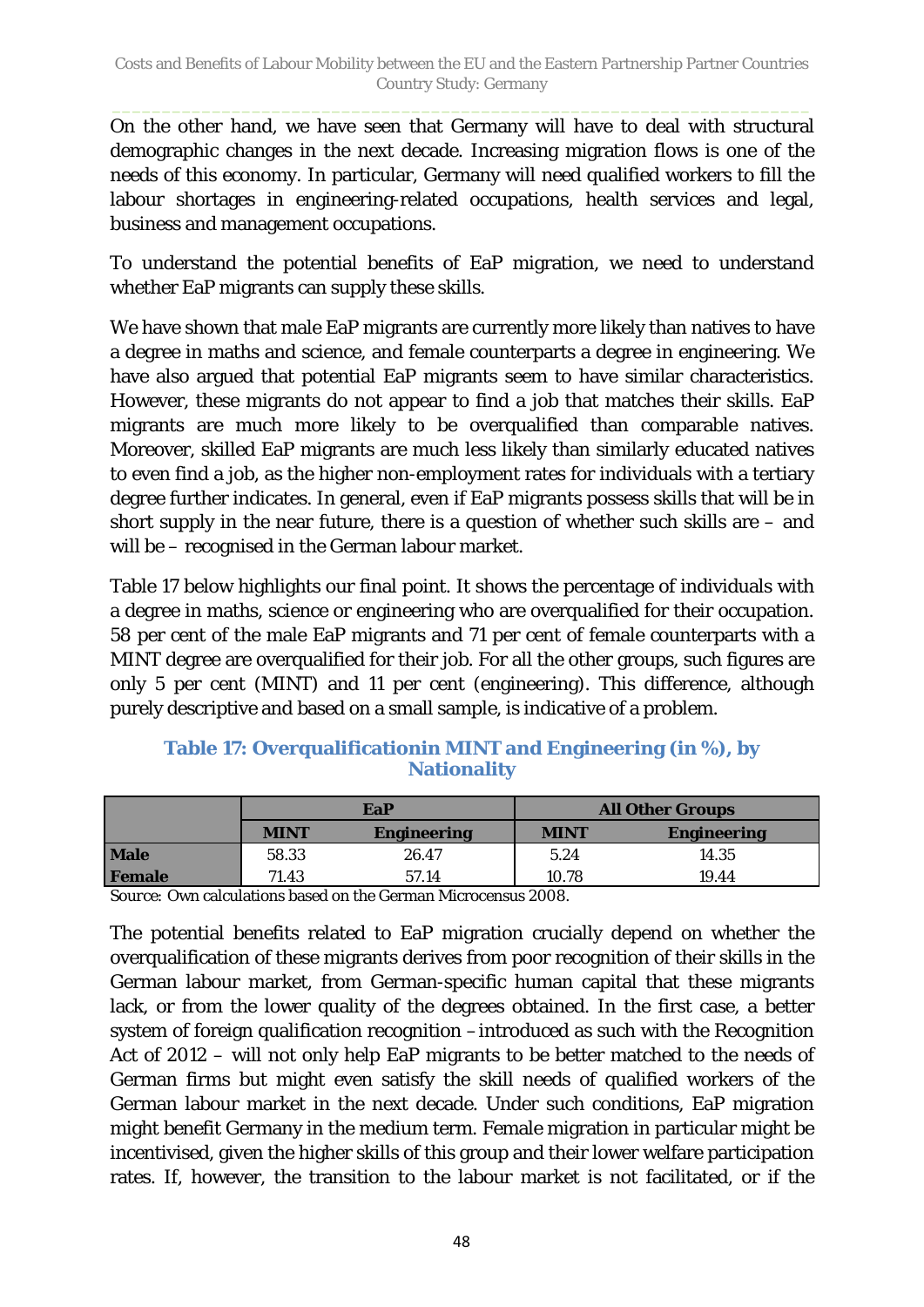On the other hand, we have seen that Germany will have to deal with structural demographic changes in the next decade. Increasing migration flows is one of the needs of this economy. In particular, Germany will need qualified workers to fill the labour shortages in engineering-related occupations, health services and legal, business and management occupations.

To understand the potential benefits of EaP migration, we need to understand whether EaP migrants can supply these skills.

We have shown that male EaP migrants are currently more likely than natives to have a degree in maths and science, and female counterparts a degree in engineering. We have also argued that potential EaP migrants seem to have similar characteristics. However, these migrants do not appear to find a job that matches their skills. EaP migrants are much more likely to be overqualified than comparable natives. Moreover, skilled EaP migrants are much less likely than similarly educated natives to even find a job, as the higher non-employment rates for individuals with a tertiary degree further indicates. In general, even if EaP migrants possess skills that will be in short supply in the near future, there is a question of whether such skills are – and will be – recognised in the German labour market.

[Table 17](#page-47-0) below highlights our final point. It shows the percentage of individuals with a degree in maths, science or engineering who are overqualified for their occupation. 58 per cent of the male EaP migrants and 71 per cent of female counterparts with a MINT degree are overqualified for their job. For all the other groups, such figures are only 5 per cent (MINT) and 11 per cent (engineering). This difference, although purely descriptive and based on a small sample, is indicative of a problem.

#### <span id="page-47-0"></span>**Table 17: Overqualificationin MINT and Engineering (in %), by Nationality**

|               | EaP         |                    | <b>All Other Groups</b> |                    |  |
|---------------|-------------|--------------------|-------------------------|--------------------|--|
|               | <b>MINT</b> | <b>Engineering</b> | <b>MINT</b>             | <b>Engineering</b> |  |
| <b>Male</b>   | 58.33       | 26.47              | 5.24                    | 14.35              |  |
| <b>Female</b> | 71.43       | 57.14              | 10.78                   | 19.44              |  |

*Source:* Own calculations based on the German Microcensus 2008.

The potential benefits related to EaP migration crucially depend on whether the overqualification of these migrants derives from poor recognition of their skills in the German labour market, from German-specific human capital that these migrants lack, or from the lower quality of the degrees obtained. In the first case, a better system of foreign qualification recognition –introduced as such with the Recognition Act of 2012 – will not only help EaP migrants to be better matched to the needs of German firms but might even satisfy the skill needs of qualified workers of the German labour market in the next decade. Under such conditions, EaP migration might benefit Germany in the medium term. Female migration in particular might be incentivised, given the higher skills of this group and their lower welfare participation rates. If, however, the transition to the labour market is not facilitated, or if the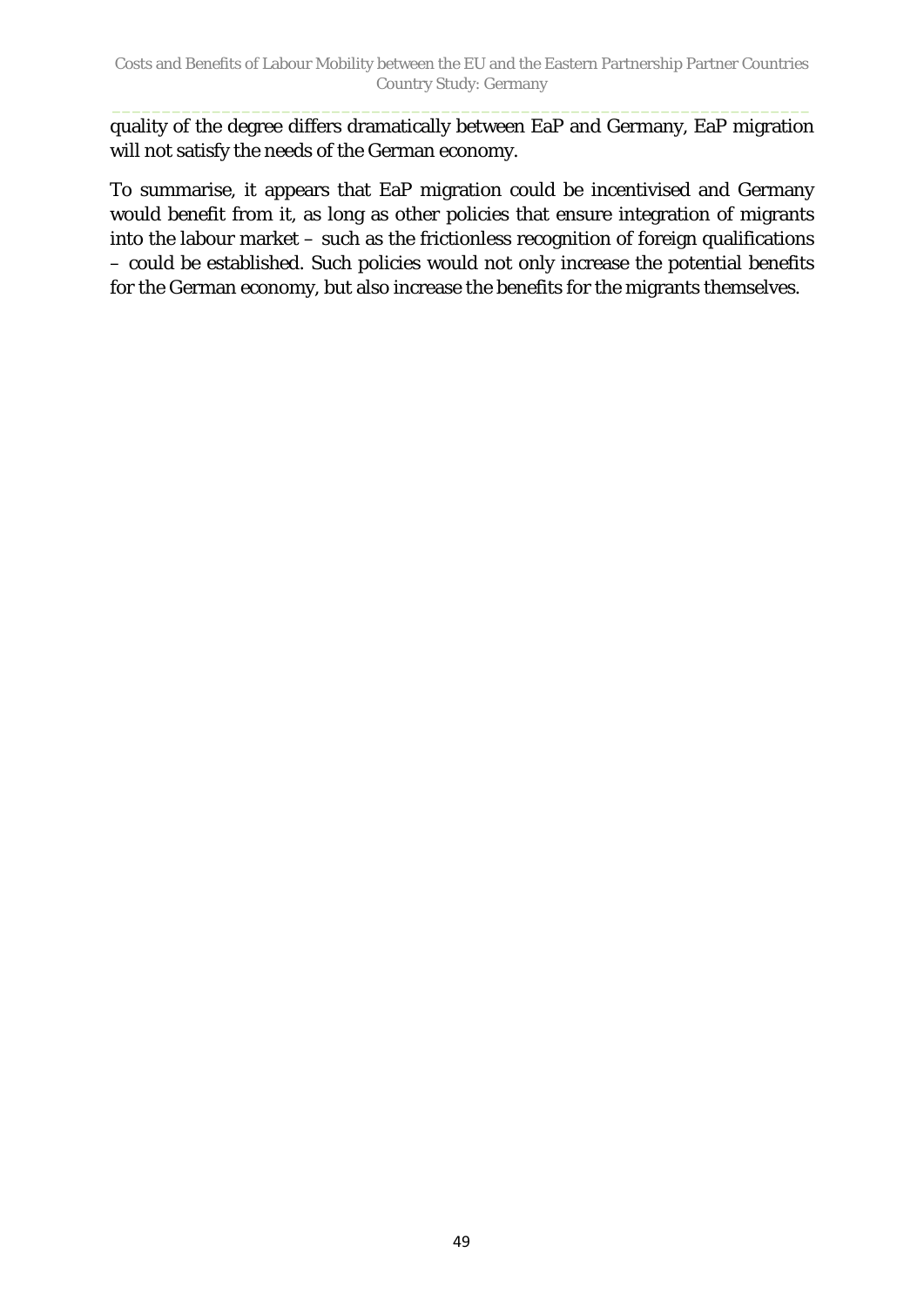quality of the degree differs dramatically between EaP and Germany, EaP migration will not satisfy the needs of the German economy.

To summarise, it appears that EaP migration could be incentivised and Germany would benefit from it, as long as other policies that ensure integration of migrants into the labour market – such as the frictionless recognition of foreign qualifications – could be established. Such policies would not only increase the potential benefits for the German economy, but also increase the benefits for the migrants themselves.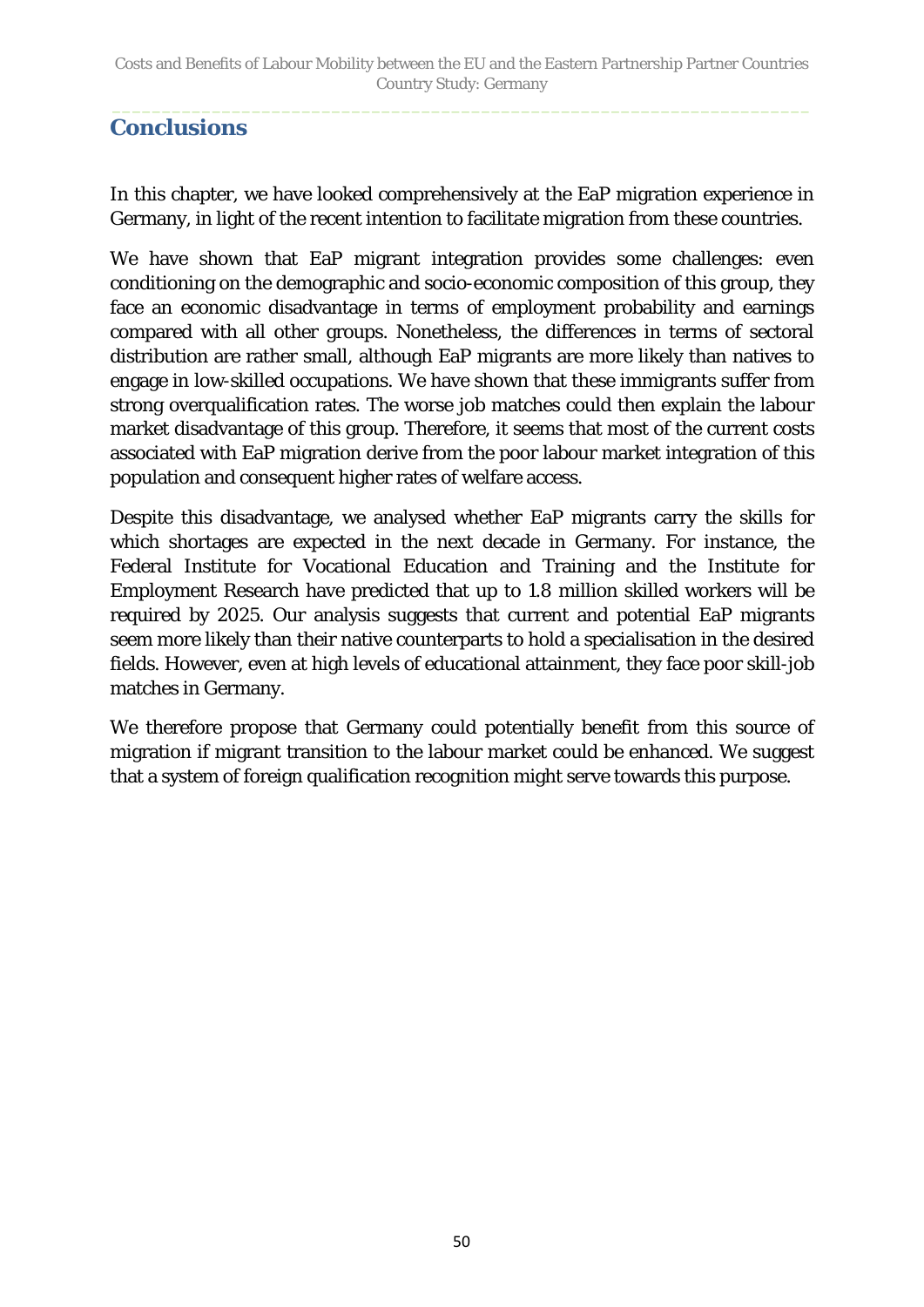### <span id="page-49-0"></span>**Conclusions**

In this chapter, we have looked comprehensively at the EaP migration experience in Germany, in light of the recent intention to facilitate migration from these countries.

We have shown that EaP migrant integration provides some challenges: even conditioning on the demographic and socio-economic composition of this group, they face an economic disadvantage in terms of employment probability and earnings compared with all other groups. Nonetheless, the differences in terms of sectoral distribution are rather small, although EaP migrants are more likely than natives to engage in low-skilled occupations. We have shown that these immigrants suffer from strong overqualification rates. The worse job matches could then explain the labour market disadvantage of this group. Therefore, it seems that most of the current costs associated with EaP migration derive from the poor labour market integration of this population and consequent higher rates of welfare access.

Despite this disadvantage, we analysed whether EaP migrants carry the skills for which shortages are expected in the next decade in Germany. For instance, the Federal Institute for Vocational Education and Training and the Institute for Employment Research have predicted that up to 1.8 million skilled workers will be required by 2025. Our analysis suggests that current and potential EaP migrants seem more likely than their native counterparts to hold a specialisation in the desired fields. However, even at high levels of educational attainment, they face poor skill-job matches in Germany.

We therefore propose that Germany could potentially benefit from this source of migration if migrant transition to the labour market could be enhanced. We suggest that a system of foreign qualification recognition might serve towards this purpose.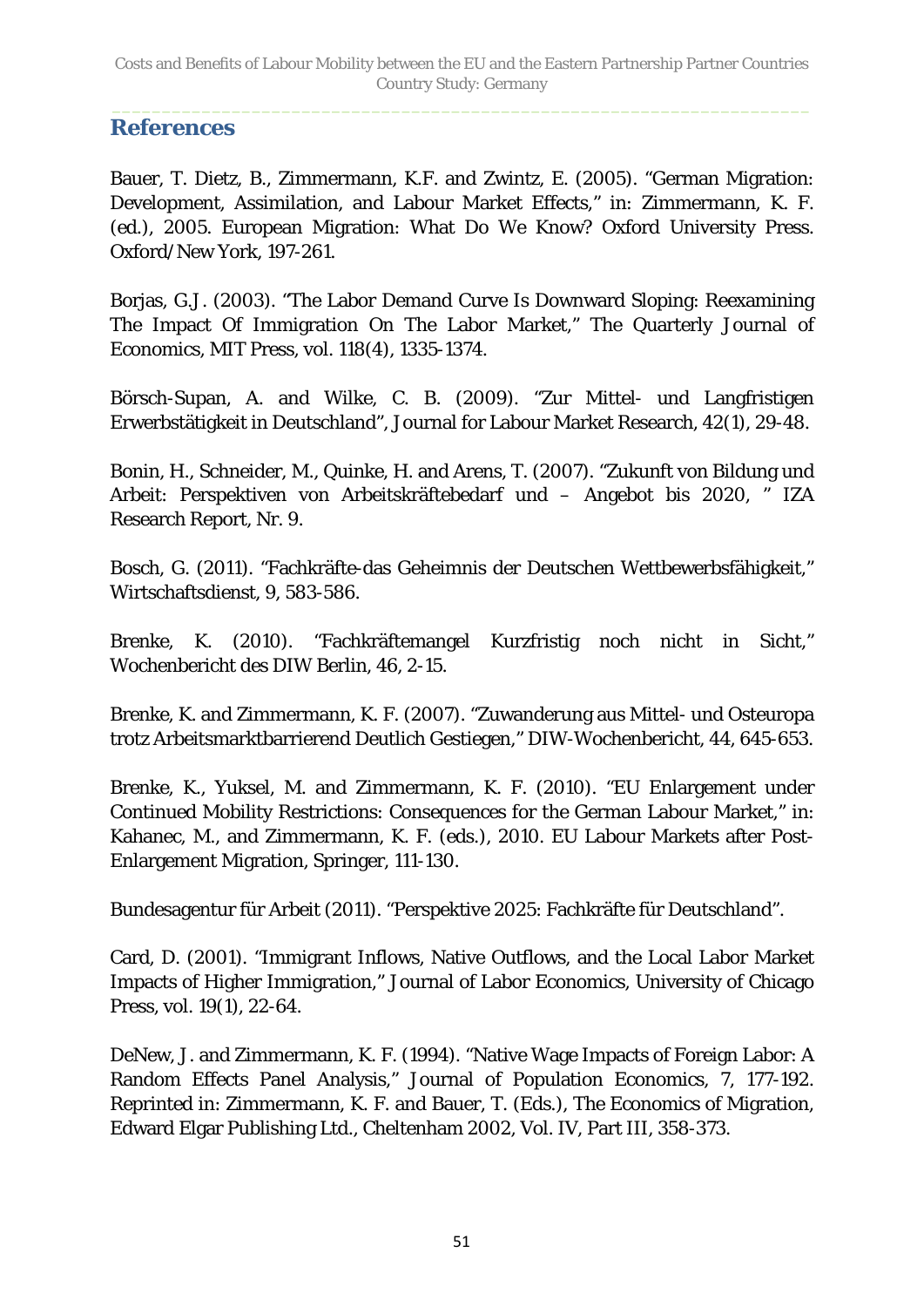### <span id="page-50-0"></span>**References**

Bauer, T. Dietz, B., Zimmermann, K.F. and Zwintz, E. (2005). "German Migration: Development, Assimilation, and Labour Market Effects," in: Zimmermann, K. F. (ed.), 2005. European Migration: What Do We Know? Oxford University Press. Oxford/New York, 197-261.

Borjas, G.J. (2003). "The Labor Demand Curve Is Downward Sloping: Reexamining The Impact Of Immigration On The Labor Market," The Quarterly Journal of Economics, MIT Press, vol. 118(4), 1335-1374.

Börsch-Supan, A. and Wilke, C. B. (2009). "Zur Mittel- und Langfristigen Erwerbstätigkeit in Deutschland", Journal for Labour Market Research, 42(1), 29-48.

Bonin, H., Schneider, M., Quinke, H. and Arens, T. (2007). "Zukunft von Bildung und Arbeit: Perspektiven von Arbeitskräftebedarf und – Angebot bis 2020, " IZA Research Report, Nr. 9.

Bosch, G. (2011). "Fachkräfte-das Geheimnis der Deutschen Wettbewerbsfähigkeit," Wirtschaftsdienst, 9, 583-586.

Brenke, K. (2010). "Fachkräftemangel Kurzfristig noch nicht in Sicht," Wochenbericht des DIW Berlin, 46, 2-15.

Brenke, K. and Zimmermann, K. F. (2007). "Zuwanderung aus Mittel- und Osteuropa trotz Arbeitsmarktbarrierend Deutlich Gestiegen," DIW-Wochenbericht, 44, 645-653.

Brenke, K., Yuksel, M. and Zimmermann, K. F. (2010). "EU Enlargement under Continued Mobility Restrictions: Consequences for the German Labour Market," in: Kahanec, M., and Zimmermann, K. F. (eds.), 2010. EU Labour Markets after Post-Enlargement Migration, Springer, 111-130.

Bundesagentur für Arbeit (2011). "Perspektive 2025: Fachkräfte für Deutschland".

Card, D. (2001). "Immigrant Inflows, Native Outflows, and the Local Labor Market Impacts of Higher Immigration," Journal of Labor Economics, University of Chicago Press, vol. 19(1), 22-64.

DeNew, J. and Zimmermann, K. F. (1994). "Native Wage Impacts of Foreign Labor: A Random Effects Panel Analysis," Journal of Population Economics, 7, 177-192. Reprinted in: Zimmermann, K. F. and Bauer, T. (Eds.), The Economics of Migration, Edward Elgar Publishing Ltd., Cheltenham 2002, Vol. IV, Part III, 358-373.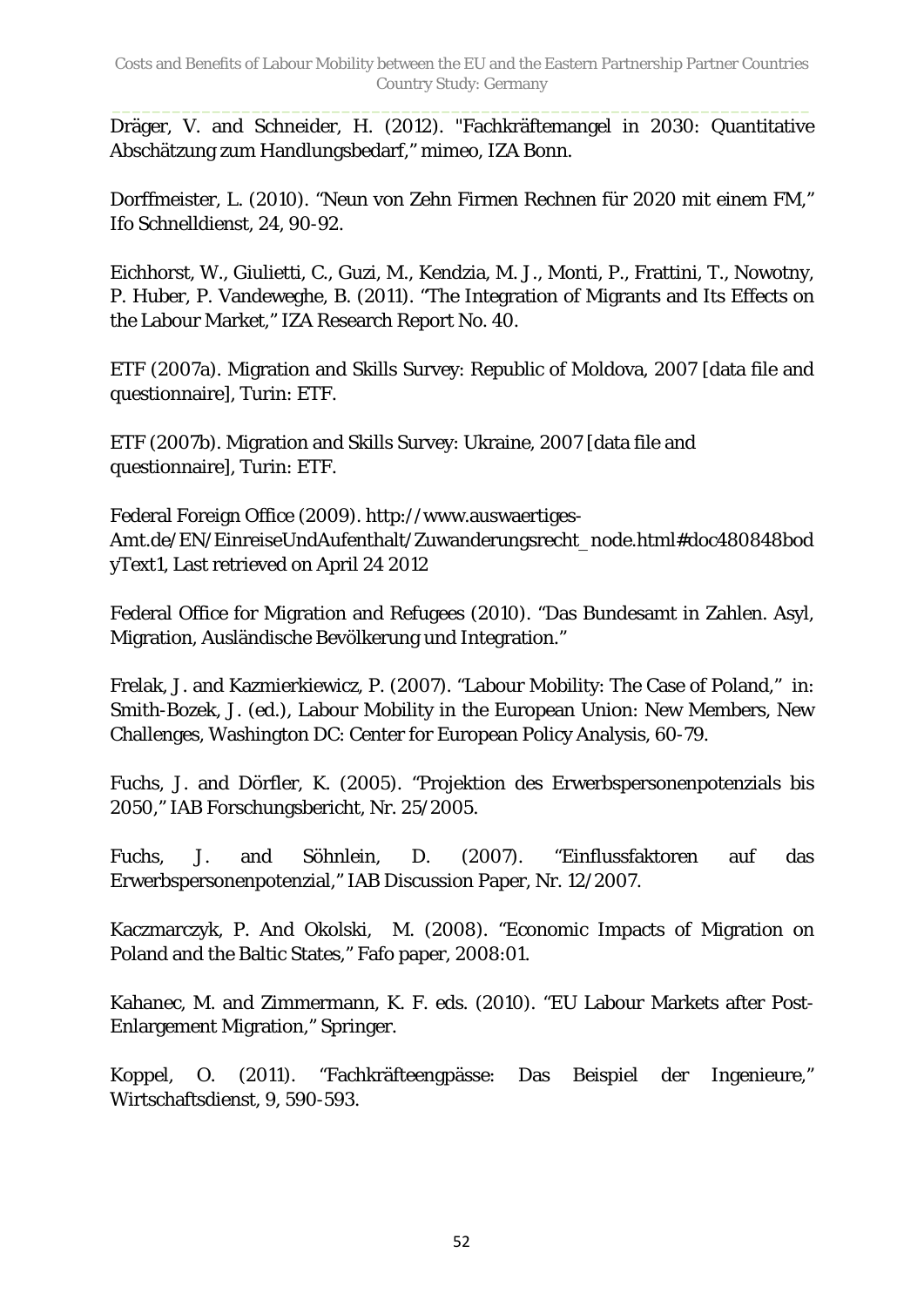Dräger, V. and Schneider, H. (2012). "Fachkräftemangel in 2030: Quantitative Abschätzung zum Handlungsbedarf," mimeo, IZA Bonn.

Dorffmeister, L. (2010). "Neun von Zehn Firmen Rechnen für 2020 mit einem FM," Ifo Schnelldienst, 24, 90-92.

Eichhorst, W., Giulietti, C., Guzi, M., Kendzia, M. J., Monti, P., Frattini, T., Nowotny, P. Huber, P. Vandeweghe, B. (2011). "The Integration of Migrants and Its Effects on the Labour Market," IZA Research Report No. 40.

ETF (2007a). Migration and Skills Survey: Republic of Moldova, 2007 [data file and questionnaire], Turin: ETF.

ETF (2007b). Migration and Skills Survey: Ukraine, 2007 [data file and questionnaire], Turin: ETF.

Federal Foreign Office (2009). [http://www.auswaertiges-](http://www.auswaertiges-amt.de/EN/EinreiseUndAufenthalt/Zuwanderungsrecht_node.html#doc480848bodyText1)[Amt.de/EN/EinreiseUndAufenthalt/Zuwanderungsrecht\\_node.html#doc480848bod](http://www.auswaertiges-amt.de/EN/EinreiseUndAufenthalt/Zuwanderungsrecht_node.html#doc480848bodyText1) [yText1,](http://www.auswaertiges-amt.de/EN/EinreiseUndAufenthalt/Zuwanderungsrecht_node.html#doc480848bodyText1) Last retrieved on April 24 2012

Federal Office for Migration and Refugees (2010). "Das Bundesamt in Zahlen. Asyl, Migration, Ausländische Bevölkerung und Integration."

Frelak, J. and Kazmierkiewicz, P. (2007). "Labour Mobility: The Case of Poland," in: Smith-Bozek, J. (ed.), Labour Mobility in the European Union: New Members, New Challenges, Washington DC: Center for European Policy Analysis, 60-79.

Fuchs, J. and Dörfler, K. (2005). "Projektion des Erwerbspersonenpotenzials bis 2050," IAB Forschungsbericht, Nr. 25/2005.

Fuchs, J. and Söhnlein, D. (2007). "Einflussfaktoren auf das Erwerbspersonenpotenzial," IAB Discussion Paper, Nr. 12/2007.

Kaczmarczyk, P. And Okolski, M. (2008). "Economic Impacts of Migration on Poland and the Baltic States," Fafo paper, 2008:01.

Kahanec, M. and Zimmermann, K. F. eds. (2010). "EU Labour Markets after Post-Enlargement Migration," Springer.

Koppel, O. (2011). "Fachkräfteengpässe: Das Beispiel der Ingenieure," Wirtschaftsdienst, 9, 590-593.